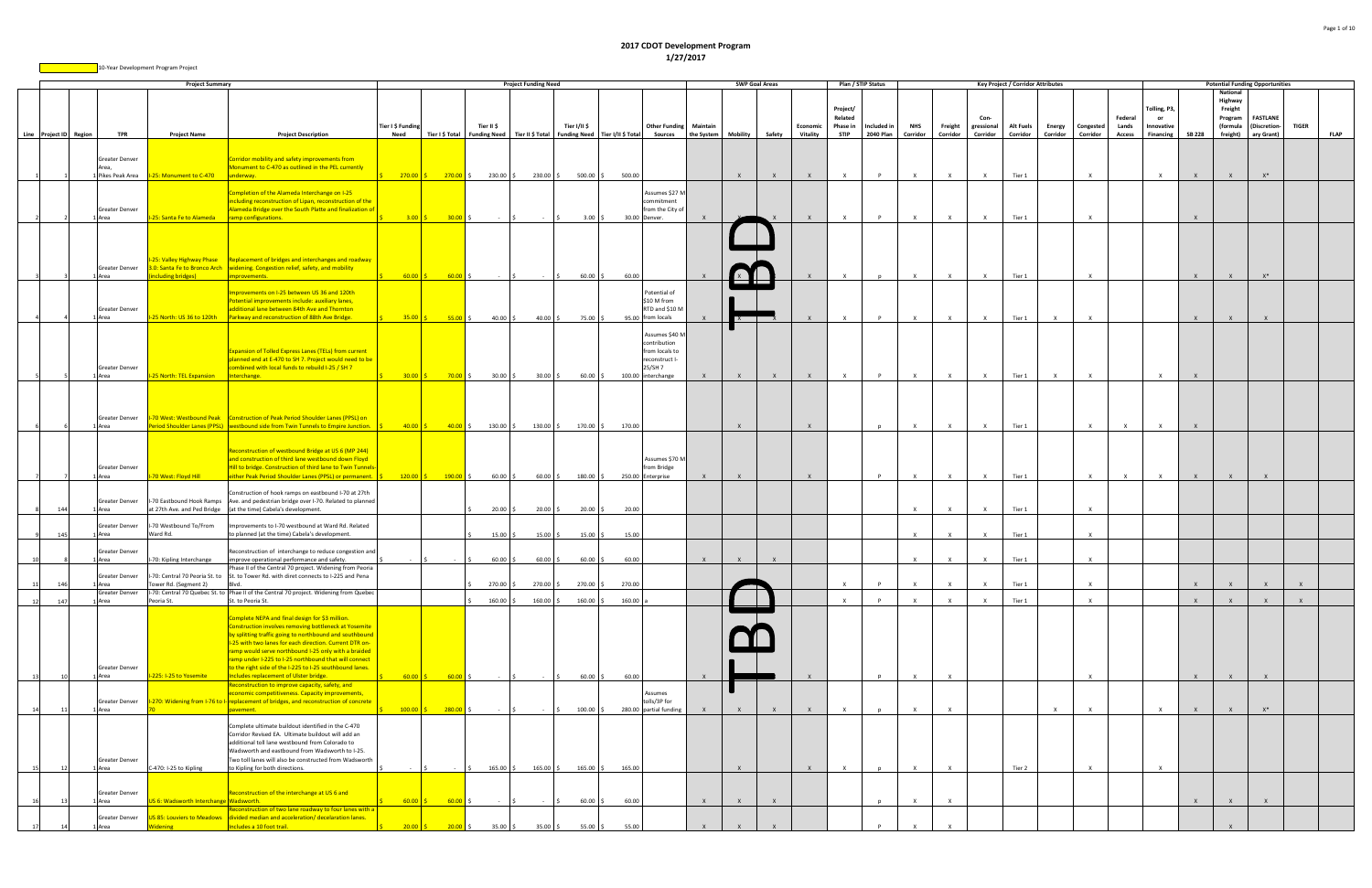|                        |      |                                                   | <b>Project Summary</b>                         |                                                                                                                                                                                                                                                                                                                                                                                                                                                     |                                                         |                 |                  | <b>Project Funding Need</b>                                         |                                 |        |                                                                                                    |              | <b>SWP Goal Areas</b> |              |                      | Plan / STIP Status                             |                          |                        |                     |                                | <b>Key Project / Corridor Attributes</b> |                    |                       |                                   |                                                 |               | <b>Potential Funding Opportunities</b>                            |                                               |              |             |
|------------------------|------|---------------------------------------------------|------------------------------------------------|-----------------------------------------------------------------------------------------------------------------------------------------------------------------------------------------------------------------------------------------------------------------------------------------------------------------------------------------------------------------------------------------------------------------------------------------------------|---------------------------------------------------------|-----------------|------------------|---------------------------------------------------------------------|---------------------------------|--------|----------------------------------------------------------------------------------------------------|--------------|-----------------------|--------------|----------------------|------------------------------------------------|--------------------------|------------------------|---------------------|--------------------------------|------------------------------------------|--------------------|-----------------------|-----------------------------------|-------------------------------------------------|---------------|-------------------------------------------------------------------|-----------------------------------------------|--------------|-------------|
| Line Project ID Region |      | <b>TPR</b>                                        | <b>Project Name</b>                            | <b>Project Description</b>                                                                                                                                                                                                                                                                                                                                                                                                                          | Tier I \$ Funding<br>Need                               | Tier I \$ Total | Tier II \$       | Funding Need   Tier II \$ Total   Funding Need   Tier I/II \$ Total | Tier I/II \$                    |        | <b>Other Funding Maintain</b><br><b>Sources</b>                                                    | the System   | Mobility              | Safety       | Economic<br>Vitality | Project/<br>Related<br>Phase in<br><b>STIP</b> | Included in<br>2040 Plan | <b>NHS</b><br>Corridor | Freight<br>Corridor | Con-<br>gressional<br>Corridor | <b>Alt Fuels</b><br>Corridor             | Energy<br>Corridor | Congested<br>Corridor | Federal<br>Lands<br><b>Access</b> | Tolling, P3,<br>- or<br>Innovative<br>Financing | <b>SB 228</b> | National<br>Highway<br>Freight<br>Program<br>(formula<br>freight) | <b>FASTLANE</b><br>(Discretion-<br>ary Grant) | <b>TIGER</b> | <b>FLAP</b> |
|                        |      | Greater Denver<br>Area,                           | Pikes Peak Area   1-25: Monument to C-470      | Corridor mobility and safety improvements from<br>Monument to C-470 as outlined in the PEL currently<br>underway.                                                                                                                                                                                                                                                                                                                                   | $270.00$ \$ 270.00 \$ 230.00 \$ 230.00 \$ 500.00 \$     |                 |                  |                                                                     |                                 | 500.00 |                                                                                                    |              | $\mathsf{X}$          | $\mathsf{X}$ | $\mathsf{X}$         | $\mathsf{x}$                                   | $\mathsf{P}$             | $\mathbf{x}$           | $\times$            | $\mathbf{x}$                   | Tier 1                                   |                    |                       |                                   | $\mathsf{X}$                                    | $\mathsf{X}$  | $\mathsf{X}$                                                      | $X^*$                                         |              |             |
|                        |      | Greater Denver<br>1 Area                          | -25: Santa Fe to Alameda                       | Completion of the Alameda Interchange on I-25<br>ncluding reconstruction of Lipan, reconstruction of the<br>Alameda Bridge over the South Platte and finalization of<br>ramp configurations.                                                                                                                                                                                                                                                        | 3.00                                                    | $30.00$ \$      |                  |                                                                     | 3.00%                           |        | Assumes \$27 M<br>ommitment<br>from the City of<br>30.00 Denver.                                   |              |                       |              | $\mathsf{X}$         | $\mathbf{x}$                                   | P                        | $\mathbf{x}$           | $\mathbf{x}$        | $\mathbf{x}$                   | Tier 1                                   |                    | $\mathbf{x}$          |                                   |                                                 | $\mathbf{x}$  |                                                                   |                                               |              |             |
|                        |      | Greater Denver                                    |                                                | 25: Valley Highway Phase Replacement of bridges and interchanges and roadway<br>3.0: Santa Fe to Bronco Arch   widening. Congestion relief, safety, and mobility                                                                                                                                                                                                                                                                                    |                                                         |                 |                  |                                                                     |                                 |        |                                                                                                    |              |                       |              |                      |                                                |                          |                        |                     |                                |                                          |                    |                       |                                   |                                                 |               |                                                                   |                                               |              |             |
|                        |      | L Area<br>Greater Denver<br>1 Area                | ncluding bridges)<br>-25 North: US 36 to 120th | mprovements.<br>nprovements on I-25 between US 36 and 120th<br>otential improvements include: auxiliary lanes,<br>additional lane between 84th Ave and Thornton<br>Parkway and reconstruction of 88th Ave Bridge.                                                                                                                                                                                                                                   | $60.00$ \$                                              | $60.00$ \$      | $\sim$ 100 $\mu$ |                                                                     | $60.00$ \$<br>40.00 \$ 75.00 \$ | 60.00  | Potential of<br>\$10 M from<br>RTD and \$10 M<br>95.00 from locals                                 |              | كالك<br>$x - 1$       |              | $\mathsf{X}$         | $\mathsf{X}$                                   | n<br>$\mathsf{P}$        | $\times$<br>$\times$   | $\mathsf{X}$        | $\mathsf{x}$                   | Tier 1<br>Tier 1                         |                    |                       |                                   |                                                 | $\mathsf{X}$  | $\mathbf{x}$                                                      | $X^*$                                         |              |             |
|                        |      | Greater Denver<br>1 Area                          | I-25 North: TEL Expansion                      | <b>Expansion of Tolled Express Lanes (TELs) from current</b><br>planned end at E-470 to SH 7. Project would need to be<br>combined with local funds to rebuild I-25 / SH 7<br>nterchange.                                                                                                                                                                                                                                                           | $30.00 \t\begin{bmatrix} 5 \\ 20.00 \t\end{bmatrix}$ \$ |                 | $30.00$ \$       | $30.00\%$                                                           | $60.00$ \$                      |        | Assumes \$40 M<br>contribution<br>from locals to<br>reconstruct I-<br>5/SH 7<br>100.00 interchange | $\mathbf{x}$ | $\mathsf{X}$          | $\mathsf{X}$ | X                    | $\mathsf{X}$                                   | P                        | $\mathsf{X}$           | $\mathsf{X}$        | $\mathsf{X}$                   | Tier 1                                   | $\mathsf{x}$       | $\mathsf{x}$          |                                   | $\mathsf{X}$                                    | $\mathsf{X}$  |                                                                   |                                               |              |             |
|                        |      | Greater Denver<br>1 Area                          |                                                | 1-70 West: Westbound Peak   Construction of Peak Period Shoulder Lanes (PPSL) on<br>Period Shoulder Lanes (PPSL) vestbound side from Twin Tunnels to Empire Junction.                                                                                                                                                                                                                                                                               | $40.00$ \$                                              | $40.00$ \$      |                  | 130.00 \$ 130.00 \$                                                 | 170.00 \$                       | 170.00 |                                                                                                    |              | $\mathsf{X}$          |              | $\mathsf{X}$         |                                                | $\mathbf{D}$             | $\mathsf{X}$           | $\mathsf{x}$        |                                | Tier 1                                   |                    |                       | $\mathbf{x}$                      |                                                 |               |                                                                   |                                               |              |             |
|                        |      | Greater Denver<br>1 Area                          | 70 West: Floyd Hill                            | Reconstruction of westbound Bridge at US 6 (MP 244)<br>and construction of third lane westbound down Floyd<br>Hill to bridge. Construction of third lane to Twin Tunnel<br>either Peak Period Shoulder Lanes (PPSL) or permanent.                                                                                                                                                                                                                   | $120.00$ \$ $190.00$ \$                                 |                 |                  | $60.00 \div 60.00 \div 180.00 \div$                                 |                                 |        | Assumes \$70 M<br>rom Bridge<br>250.00 Enterprise                                                  |              | $\times$              |              | $\mathsf{x}$         |                                                | P                        | $\mathsf{X}$           | $\mathsf{X}$        | $\mathsf{x}$                   | Tier 1                                   |                    |                       |                                   |                                                 |               |                                                                   |                                               |              |             |
|                        | 144  | Greater Denver<br>1 Area                          |                                                | Construction of hook ramps on eastbound I-70 at 27th<br>I-70 Eastbound Hook Ramps Ave. and pedestrian bridge over I-70. Related to planned<br>at 27th Ave. and Ped Bridge (at the time) Cabela's development.                                                                                                                                                                                                                                       |                                                         |                 | $20.00$ \$       | $20.00\frac{1}{2}$                                                  | $20.00$ \$                      | 20.00  |                                                                                                    |              |                       |              |                      |                                                |                          | $\times$               | $\mathsf{X}$        | $\mathsf{x}$                   | Tier 1                                   |                    |                       |                                   |                                                 |               |                                                                   |                                               |              |             |
|                        | -145 | Greater Denver<br>1 Area                          | I-70 Westbound To/From<br>Ward Rd.             | Improvements to I-70 westbound at Ward Rd. Related<br>to planned (at the time) Cabela's development.                                                                                                                                                                                                                                                                                                                                                |                                                         |                 | 15.00%           | 15.00%                                                              | $15.00\%$                       | 15.00  |                                                                                                    |              |                       |              |                      |                                                |                          | $\mathsf{x}$           |                     |                                | Tier 1                                   |                    |                       |                                   |                                                 |               |                                                                   |                                               |              |             |
|                        |      | <b>Greater Denver</b><br>L Area                   | I-70: Kipling Interchange                      | Reconstruction of interchange to reduce congestion and<br>improve operational performance and safety.<br>Phase II of the Central 70 project. Widening from Peoria                                                                                                                                                                                                                                                                                   |                                                         |                 | $60.00$ \$       | 60.00 \$                                                            | $60.00$ \$                      | 60.00  |                                                                                                    | $\mathbf{x}$ | $\mathsf{X}$          | $\mathsf{X}$ |                      |                                                |                          | $\times$               | $\mathbf{x}$        | $\mathsf{x}$                   | Tier 1                                   |                    |                       |                                   |                                                 |               |                                                                   |                                               |              |             |
| 11                     | 146  | <b>Greater Denver</b><br>1 Area<br>Greater Denver | Tower Rd. (Segment 2)                          | I-70: Central 70 Peoria St. to St. to Tower Rd. with diret connects to I-225 and Pena<br>Blvd.<br>I-70: Central 70 Quebec St. to Phae II of the Central 70 project. Widening from Quebec                                                                                                                                                                                                                                                            |                                                         |                 | 270.00           | 270.00 \$                                                           | 270.00 \$                       | 270.00 |                                                                                                    |              |                       |              |                      |                                                |                          | $\mathsf{x}$           | $\mathsf{x}$        |                                | Tier 1                                   |                    | $\mathbf{x}$          |                                   |                                                 | $\mathsf{X}$  | $\times$                                                          | $\mathsf{X}$                                  |              |             |
| 12                     | 147  | L Area                                            | Peoria St.                                     | St. to Peoria St.                                                                                                                                                                                                                                                                                                                                                                                                                                   |                                                         |                 | 160.00           | 160.00                                                              | $160.00$ \$                     | 160.00 |                                                                                                    |              |                       |              |                      | $\mathbf{x}$                                   | P                        | $\mathsf{x}$           | $\mathsf{x}$        | $\mathsf{x}$                   | Tier 1                                   |                    | $\mathsf{x}$          |                                   |                                                 | $\mathsf{X}$  | $\mathbf{x}$                                                      | $\mathbf{x}$                                  | $\mathbf{x}$ |             |
|                        |      | Greater Denver<br>Area                            | 225: I-25 to Yosemite                          | complete NEPA and final design for \$3 million.<br>Construction involves removing bottleneck at Yosemite<br>by splitting traffic going to northbound and southbound<br>-25 with two lanes for each direction. Current DTR on-<br>ramp would serve northbound I-25 only with a braided<br>ramp under I-225 to I-25 northbound that will connect<br>to the right side of the I-225 to I-25 southbound lanes.<br>ncludes replacement of Ulster bridge. | $60.00$ \$                                              | 60.00           |                  |                                                                     | $60.00$ \$                      | 60.00  |                                                                                                    |              |                       |              |                      |                                                |                          | $\mathbf{x}$           | $\mathsf{x}$        |                                |                                          |                    |                       |                                   |                                                 |               |                                                                   |                                               |              |             |
|                        |      | Greater Denver<br>Area                            |                                                | Reconstruction to improve capacity, safety, and<br>economic competitiveness. Capacity improvements,<br>I-270: Widening from I-76 to I- replacement of bridges, and reconstruction of concrete<br>avement.                                                                                                                                                                                                                                           | 100.00                                                  | 280.00          |                  |                                                                     | $100.00$ \$                     |        | Assumes<br>tolls/3P for<br>280.00 partial funding                                                  | $\mathsf{X}$ | $\mathsf{X}$          | $\mathsf{X}$ | $\mathsf{X}$         | $\mathsf{X}$                                   |                          | $\times$               | $\mathsf{x}$        |                                |                                          | $\mathsf{X}$       | $\times$              |                                   | $\mathsf{x}$                                    | $\mathbf{x}$  | $\mathsf{X}$                                                      | $X^*$                                         |              |             |
|                        |      | Greater Denver<br>Area                            | C-470: I-25 to Kipling                         | Complete ultimate buildout identified in the C-470<br>Corridor Revised EA. Ultimate buildout will add an<br>additional toll lane westbound from Colorado to<br>Wadsworth and eastbound from Wadsworth to I-25.<br>Two toll lanes will also be constructed from Wadsworth<br>to Kipling for both directions.                                                                                                                                         |                                                         |                 |                  | $165.00 \div 165.00 \div$                                           | 165.00%                         | 165.00 |                                                                                                    |              | $\mathsf{X}$          |              | $\mathsf{X}$         | $\mathbf{Y}$                                   |                          | $\times$               | $\mathsf{x}$        |                                | Tier 2                                   |                    |                       |                                   | $\mathbf{x}$                                    |               |                                                                   |                                               |              |             |
|                        |      | Greater Denver<br>L Area                          | S 6: Wadsworth Interchange Wadsworth.          | Reconstruction of the interchange at US 6 and                                                                                                                                                                                                                                                                                                                                                                                                       | $60.00$ $\mid$ \$                                       | $60.00$ \$      | $\sim$           |                                                                     | $60.00$ \$                      | 60.00  |                                                                                                    | $\mathsf{X}$ | $\mathsf{x}$          | $\mathsf{X}$ |                      |                                                | n                        | $\times$               | $\mathsf{x}$        |                                |                                          |                    |                       |                                   |                                                 | $\mathsf{X}$  | $\times$                                                          | $\mathsf{X}$                                  |              |             |
|                        |      | Greater Denver<br>L Area                          | idening                                        | econstruction of two lane roadway to four lanes with a<br>US 85: Louviers to Meadows   divided median and acceleration/ decelaration lanes.<br>ncludes a 10 foot trail.                                                                                                                                                                                                                                                                             | $20.00$ \$                                              | $20.00$ \$      | 35.00%           | 35.00 \$                                                            | $55.00$ \$                      | 55.00  |                                                                                                    |              |                       |              |                      |                                                |                          |                        |                     |                                |                                          |                    |                       |                                   |                                                 |               |                                                                   |                                               |              |             |

## **2017 CDOT Development Program 1/27/2017**

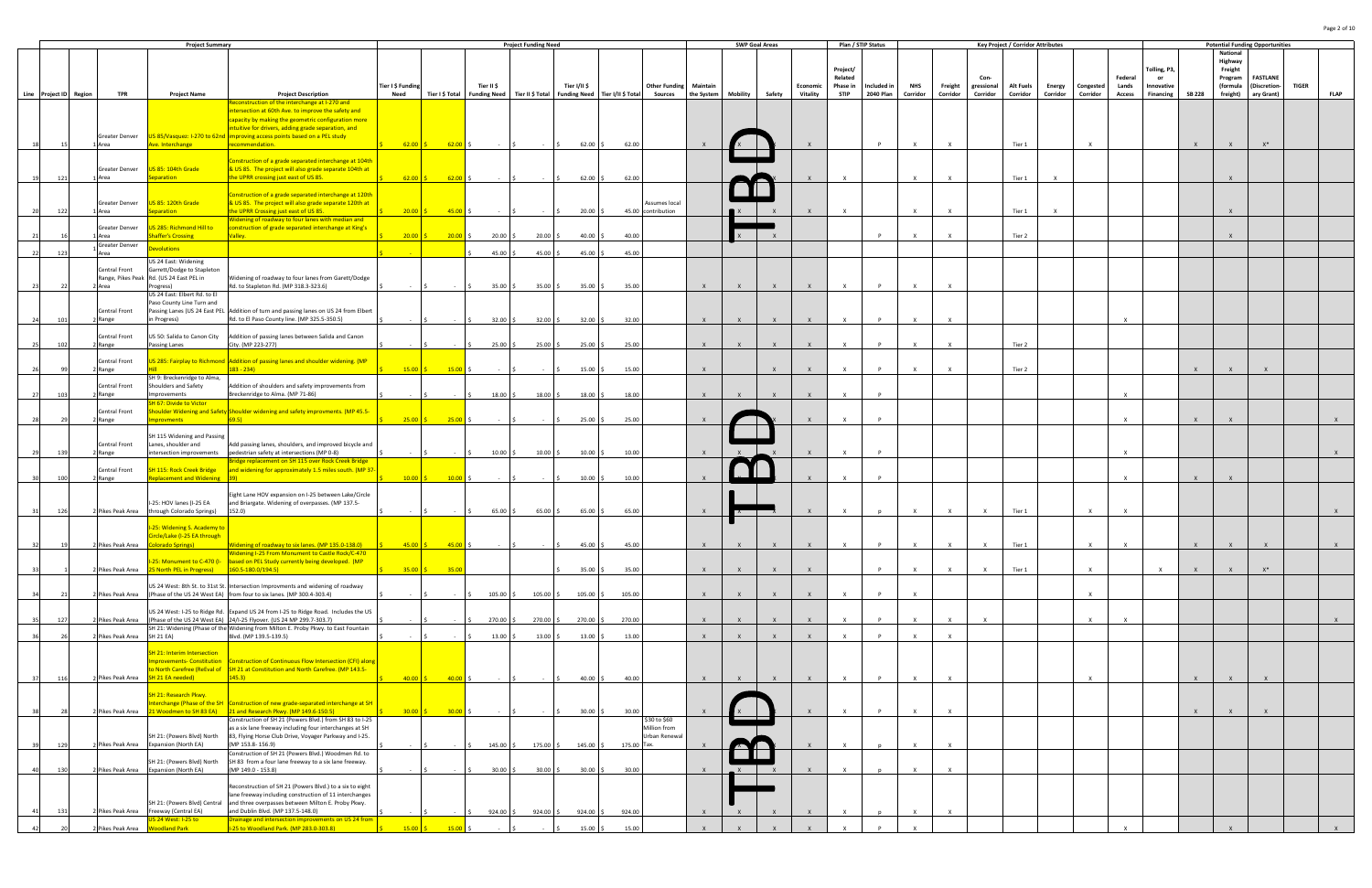|                        |                           | <b>Project Summary</b>                                             |                                                                                                                                             |                           |                                                             |                                             | <b>Project Funding Need</b> |                                                   |             |                                                              |              |              | <b>SWP Goal Areas</b> |                      | Plan / STIP Status      |                                 |                 |                     |                        | <b>Key Project / Corridor Attributes</b> |          |                              |              |                         |               |                      | <b>Potential Funding Opportunities</b> |              |             |
|------------------------|---------------------------|--------------------------------------------------------------------|---------------------------------------------------------------------------------------------------------------------------------------------|---------------------------|-------------------------------------------------------------|---------------------------------------------|-----------------------------|---------------------------------------------------|-------------|--------------------------------------------------------------|--------------|--------------|-----------------------|----------------------|-------------------------|---------------------------------|-----------------|---------------------|------------------------|------------------------------------------|----------|------------------------------|--------------|-------------------------|---------------|----------------------|----------------------------------------|--------------|-------------|
|                        |                           |                                                                    |                                                                                                                                             |                           |                                                             |                                             |                             |                                                   |             |                                                              |              |              |                       |                      |                         |                                 |                 |                     |                        |                                          |          |                              |              |                         |               | National             |                                        |              |             |
|                        |                           |                                                                    |                                                                                                                                             |                           |                                                             |                                             |                             |                                                   |             |                                                              |              |              |                       |                      | Project/                |                                 |                 |                     |                        |                                          |          |                              |              | Folling, P3,            |               | Highway<br>Freight   |                                        |              |             |
|                        |                           |                                                                    |                                                                                                                                             |                           |                                                             |                                             |                             |                                                   |             |                                                              |              |              |                       |                      | Related                 |                                 |                 |                     | Con-                   |                                          |          |                              | Federal      |                         |               | Program              | <b>FASTLANE</b>                        |              |             |
| Line Project ID Region | TPR                       | <b>Project Name</b>                                                | <b>Project Description</b>                                                                                                                  | Tier I \$ Funding<br>Need | Tier I \$ Total                                             | Tier II \$<br>Funding Need Tier II \$ Total |                             | Tier I/II \$<br>Funding Need   Tier I/II \$ Total |             | <b>Other Funding Maintain</b><br>Sources the System Mobility |              |              | Safety                | Economic<br>Vitality | Phase in<br><b>STIP</b> | Included in<br><b>2040 Plan</b> | NHS<br>Corridor | Freight<br>Corridor | gressional<br>Corridor | Alt Fuels<br>Corridor                    | Corridor | Energy Congested<br>Corridor | Lands        | Innovative<br>Financing | <b>SB 228</b> | (formula<br>freight) | Discretion-<br>ary Grant)              | <b>TIGER</b> | <b>FLAP</b> |
|                        |                           |                                                                    | Reconstruction of the interchange at I-270 and                                                                                              |                           |                                                             |                                             |                             |                                                   |             |                                                              |              |              |                       |                      |                         |                                 |                 |                     |                        |                                          |          |                              | Access       |                         |               |                      |                                        |              |             |
|                        |                           |                                                                    | intersection at 60th Ave. to improve the safety and                                                                                         |                           |                                                             |                                             |                             |                                                   |             |                                                              |              |              |                       |                      |                         |                                 |                 |                     |                        |                                          |          |                              |              |                         |               |                      |                                        |              |             |
|                        |                           |                                                                    | capacity by making the geometric configuration more                                                                                         |                           |                                                             |                                             |                             |                                                   |             |                                                              |              |              |                       |                      |                         |                                 |                 |                     |                        |                                          |          |                              |              |                         |               |                      |                                        |              |             |
|                        | Greater Denver            |                                                                    | ntuitive for drivers, adding grade separation, and<br>US 85/Vasquez: I-270 to 62nd improving access points based on a PEL study             |                           |                                                             |                                             |                             |                                                   |             |                                                              |              |              |                       |                      |                         |                                 |                 |                     |                        |                                          |          |                              |              |                         |               |                      |                                        |              |             |
|                        | 1 Area                    | Ave. Interchange                                                   | recommendation.                                                                                                                             | $62.00$ \$                | $62.00$ \$                                                  |                                             |                             | 62.00                                             | 62.00       |                                                              |              |              |                       |                      |                         |                                 | $\mathbf{x}$    |                     |                        | Tier 1                                   |          |                              |              |                         |               |                      |                                        |              |             |
|                        |                           |                                                                    |                                                                                                                                             |                           |                                                             |                                             |                             |                                                   |             |                                                              |              |              |                       |                      |                         |                                 |                 |                     |                        |                                          |          |                              |              |                         |               |                      |                                        |              |             |
|                        | Greater Denver            | US 85: 104th Grade                                                 | Construction of a grade separated interchange at 104th<br>& US 85. The project will also grade separate 104th at                            |                           |                                                             |                                             |                             |                                                   |             |                                                              |              |              |                       |                      |                         |                                 |                 |                     |                        |                                          |          |                              |              |                         |               |                      |                                        |              |             |
| $12^{\circ}$           | 1 Area                    | eparation                                                          | the UPRR crossing just east of US 85.                                                                                                       | $62.00$ \$                | 62.00                                                       |                                             |                             | 62.00                                             | 62.00       |                                                              |              |              |                       |                      | $\mathbf{Y}$            |                                 | $\times$        |                     |                        | Tier 1                                   |          |                              |              |                         |               |                      |                                        |              |             |
|                        |                           |                                                                    |                                                                                                                                             |                           |                                                             |                                             |                             |                                                   |             |                                                              |              |              |                       |                      |                         |                                 |                 |                     |                        |                                          |          |                              |              |                         |               |                      |                                        |              |             |
|                        | Greater Denver            | US 85: 120th Grade                                                 | Construction of a grade separated interchange at 120th<br>& US 85. The project will also grade separate 120th at                            |                           |                                                             |                                             |                             |                                                   |             | Assumes local                                                |              |              |                       |                      |                         |                                 |                 |                     |                        |                                          |          |                              |              |                         |               |                      |                                        |              |             |
| 122                    | 1 Area                    | eparation                                                          | the UPRR Crossing just east of US 85.                                                                                                       |                           |                                                             | $20.00$ S 45.00 S - S                       |                             | 20.00                                             |             | 45.00 contribution                                           |              |              |                       |                      | $\mathsf{X}$            |                                 | $\mathsf{X}$    | X                   |                        | Tier 1                                   |          |                              |              |                         |               |                      |                                        |              |             |
|                        |                           |                                                                    | Widening of roadway to four lanes with median and                                                                                           |                           |                                                             |                                             |                             |                                                   |             |                                                              |              |              |                       |                      |                         |                                 |                 |                     |                        |                                          |          |                              |              |                         |               |                      |                                        |              |             |
|                        | Greater Denver<br>Area    | US 285: Richmond Hill to<br>haffer's Crossing                      | construction of grade separated interchange at King's<br>Valley.                                                                            | $20.00$ \$                | $20.00$ \$                                                  | $20.00$ \$                                  | 20.00                       | 40.00                                             | 40.00       |                                                              |              |              |                       |                      |                         |                                 | $\mathsf{x}$    | $\mathsf{x}$        |                        | Tier 2                                   |          |                              |              |                         |               | $\mathbf{x}$         |                                        |              |             |
|                        | Greater Denver            | evolutions                                                         |                                                                                                                                             |                           |                                                             |                                             |                             |                                                   |             |                                                              |              |              |                       |                      |                         |                                 |                 |                     |                        |                                          |          |                              |              |                         |               |                      |                                        |              |             |
|                        | Area                      |                                                                    |                                                                                                                                             |                           |                                                             | 45.00%                                      | 45.00                       | 45.00                                             | 45.00       |                                                              |              |              |                       |                      |                         |                                 |                 |                     |                        |                                          |          |                              |              |                         |               |                      |                                        |              |             |
|                        | Central Front             | US 24 East: Widening<br>Garrett/Dodge to Stapleton                 |                                                                                                                                             |                           |                                                             |                                             |                             |                                                   |             |                                                              |              |              |                       |                      |                         |                                 |                 |                     |                        |                                          |          |                              |              |                         |               |                      |                                        |              |             |
|                        |                           | Range, Pikes Peak Rd. (US 24 East PEL in                           | Widening of roadway to four lanes from Garett/Dodge                                                                                         |                           |                                                             |                                             |                             |                                                   |             |                                                              |              |              |                       |                      |                         |                                 |                 |                     |                        |                                          |          |                              |              |                         |               |                      |                                        |              |             |
|                        | Area                      | Progress)                                                          | Rd. to Stapleton Rd. (MP 318.3-323.6)                                                                                                       |                           |                                                             | 35.00%                                      | 35.00                       | 35.00                                             | 35.00       |                                                              | $\mathbf{x}$ |              | $\mathsf{X}$          |                      | $\mathsf{x}$            |                                 |                 |                     |                        |                                          |          |                              |              |                         |               |                      |                                        |              |             |
|                        |                           | US 24 East: Elbert Rd. to El                                       |                                                                                                                                             |                           |                                                             |                                             |                             |                                                   |             |                                                              |              |              |                       |                      |                         |                                 |                 |                     |                        |                                          |          |                              |              |                         |               |                      |                                        |              |             |
|                        | Central Front             | Paso County Line Turn and                                          | Passing Lanes (US 24 East PEL Addition of turn and passing lanes on US 24 from Elbert                                                       |                           |                                                             |                                             |                             |                                                   |             |                                                              |              |              |                       |                      |                         |                                 |                 |                     |                        |                                          |          |                              |              |                         |               |                      |                                        |              |             |
|                        | 2 Range                   | in Progress)                                                       | Rd. to El Paso County line. (MP 325.5-350.5)                                                                                                |                           |                                                             | $32.00$ \$                                  | 32.00                       | 32.00                                             | 32.00       |                                                              | $\mathsf{X}$ | $\mathsf{X}$ | $\mathsf{X}$          |                      |                         | P.                              | $\mathbf{x}$    |                     |                        |                                          |          |                              | $\mathbf{x}$ |                         |               |                      |                                        |              |             |
|                        |                           |                                                                    |                                                                                                                                             |                           |                                                             |                                             |                             |                                                   |             |                                                              |              |              |                       |                      |                         |                                 |                 |                     |                        |                                          |          |                              |              |                         |               |                      |                                        |              |             |
|                        | Central Front<br>Range    | US 50: Salida to Canon City<br>Passing Lanes                       | Addition of passing lanes between Salida and Canon<br>City. (MP 223-277)                                                                    |                           |                                                             | 25.00%                                      | 25.00                       | 25.00                                             | 25.00       |                                                              | $\mathsf{X}$ |              | $\mathsf{X}$          |                      |                         |                                 |                 |                     |                        | Tier 2                                   |          |                              |              |                         |               |                      |                                        |              |             |
|                        |                           |                                                                    |                                                                                                                                             |                           |                                                             |                                             |                             |                                                   |             |                                                              |              |              |                       |                      |                         |                                 |                 |                     |                        |                                          |          |                              |              |                         |               |                      |                                        |              |             |
|                        | Central Front             |                                                                    | <b>JS 285: Fairplay to Richmond Addition of passing lanes and shoulder widening. (MP</b>                                                    |                           |                                                             |                                             |                             |                                                   |             |                                                              |              |              |                       |                      |                         |                                 |                 |                     |                        |                                          |          |                              |              |                         |               |                      |                                        |              |             |
|                        | 2 Range                   | SH 9: Breckenridge to Alma,                                        | $183 - 234$                                                                                                                                 | $15.00 \, \text{S}$       | 15.00                                                       |                                             |                             | 15.00                                             | 15.00       |                                                              | $\mathsf{X}$ |              | $\mathbf{x}$          |                      |                         | <b>P</b>                        | $\mathbf{x}$    |                     |                        | Tier 2                                   |          |                              |              |                         |               |                      |                                        |              |             |
|                        | Central Front             | Shoulders and Safety                                               | Addition of shoulders and safety improvements from                                                                                          |                           |                                                             |                                             |                             |                                                   |             |                                                              |              |              |                       |                      |                         |                                 |                 |                     |                        |                                          |          |                              |              |                         |               |                      |                                        |              |             |
|                        | Range                     | mprovements                                                        | Breckenridge to Alma. (MP 71-86)                                                                                                            |                           |                                                             | $18.00\frac{1}{5}$                          | 18.00                       | 18.00                                             | 18.00       |                                                              | $\mathsf{X}$ |              |                       |                      | $\mathbf{Y}$            |                                 |                 |                     |                        |                                          |          |                              | $\mathsf{x}$ |                         |               |                      |                                        |              |             |
|                        | Central Front             | <b>SH 67: Divide to Victor</b>                                     | Shoulder Widening and Safety Shoulder widening and safety improvments. (MP 45.5-                                                            |                           |                                                             |                                             |                             |                                                   |             |                                                              |              |              |                       |                      |                         |                                 |                 |                     |                        |                                          |          |                              |              |                         |               |                      |                                        |              |             |
|                        | 2 Range                   | nprovments                                                         | 69.5)                                                                                                                                       | $25.00$ \$                | 25.00                                                       |                                             |                             | 25.00                                             | 25.00       |                                                              |              |              |                       |                      |                         | P                               |                 |                     |                        |                                          |          |                              | $\mathsf{x}$ |                         | $\mathbf{x}$  |                      |                                        |              |             |
|                        |                           |                                                                    |                                                                                                                                             |                           |                                                             |                                             |                             |                                                   |             |                                                              |              |              |                       |                      |                         |                                 |                 |                     |                        |                                          |          |                              |              |                         |               |                      |                                        |              |             |
|                        | Central Front             | SH 115 Widening and Passing                                        |                                                                                                                                             |                           |                                                             |                                             |                             |                                                   |             |                                                              |              |              |                       |                      |                         |                                 |                 |                     |                        |                                          |          |                              |              |                         |               |                      |                                        |              |             |
|                        | Range                     | Lanes, shoulder and                                                | Add passing lanes, shoulders, and improved bicycle and<br>intersection improvements pedestrian safety at intersections (MP 0-8)             |                           |                                                             | $10.00$ \$                                  | 10.00                       | 10.00                                             | 10.00       |                                                              |              |              |                       |                      |                         | <b>P</b>                        |                 |                     |                        |                                          |          |                              | $\times$     |                         |               |                      |                                        |              |             |
|                        |                           |                                                                    | Bridge replacement on SH 115 over Rock Creek Bridge                                                                                         |                           |                                                             |                                             |                             |                                                   |             |                                                              |              |              |                       |                      |                         |                                 |                 |                     |                        |                                          |          |                              |              |                         |               |                      |                                        |              |             |
|                        | Central Front             | <b>SH 115: Rock Creek Bridge</b>                                   | and widening for approximately 1.5 miles south. (MP 37                                                                                      |                           |                                                             |                                             |                             |                                                   |             |                                                              |              |              |                       |                      |                         |                                 |                 |                     |                        |                                          |          |                              |              |                         |               |                      |                                        |              |             |
| 100                    | 2 Range                   | <b>Replacement and Widening 39)</b>                                |                                                                                                                                             | $10.00$ \$                | $10.00$ \$                                                  |                                             |                             | 10.00                                             | 10.00       |                                                              |              |              |                       |                      |                         | <b>P</b>                        |                 |                     |                        |                                          |          |                              | $\times$     |                         |               |                      |                                        |              |             |
|                        |                           |                                                                    | Eight Lane HOV expansion on I-25 between Lake/Circle                                                                                        |                           |                                                             |                                             |                             |                                                   |             |                                                              |              |              |                       |                      |                         |                                 |                 |                     |                        |                                          |          |                              |              |                         |               |                      |                                        |              |             |
|                        |                           | I-25: HOV lanes (I-25 EA                                           | and Briargate. Widening of overpasses. (MP 137.5-                                                                                           |                           |                                                             |                                             |                             |                                                   |             |                                                              |              |              |                       |                      |                         |                                 |                 |                     |                        |                                          |          |                              |              |                         |               |                      |                                        |              |             |
| 126                    |                           | 2 Pikes Peak Area through Colorado Springs)                        | 152.0                                                                                                                                       |                           |                                                             | 65.00 \$                                    | 65.00%                      | 65.00 \$                                          | 65.00       |                                                              | $\mathsf{x}$ | $x -$        |                       |                      |                         |                                 | $\mathsf{x}$    |                     | $\mathsf{x}$           | Tier 1                                   |          |                              | $\times$     |                         |               |                      |                                        |              |             |
|                        |                           | I-25: Widening S. Academy to                                       |                                                                                                                                             |                           |                                                             |                                             |                             |                                                   |             |                                                              |              |              |                       |                      |                         |                                 |                 |                     |                        |                                          |          |                              |              |                         |               |                      |                                        |              |             |
|                        | 2 Pikes Peak Area         | Circle/Lake (I-25 EA through                                       |                                                                                                                                             |                           |                                                             |                                             |                             |                                                   |             |                                                              |              |              |                       |                      |                         |                                 |                 |                     |                        |                                          |          |                              |              |                         |               |                      |                                        |              |             |
|                        |                           | <b>Diorado Springs</b> )                                           | Widening of roadway to six lanes. (MP 135.0-138.0)<br><b>Widening I-25 From Monument to Castle Rock/C-470</b>                               | $45.00$ \$                | 45.00                                                       |                                             |                             | 45.00                                             | 45.00       |                                                              | $\mathsf{X}$ |              |                       |                      |                         |                                 |                 |                     |                        | Tier 1                                   |          |                              |              |                         |               |                      |                                        |              |             |
|                        |                           |                                                                    | 1-25: Monument to C-470 (I- based on PEL Study currently being developed. (MP                                                               |                           |                                                             |                                             |                             |                                                   |             |                                                              |              |              |                       |                      |                         |                                 |                 |                     |                        |                                          |          |                              |              |                         |               |                      |                                        |              |             |
|                        | 2 Pikes Peak Area         | 25 North PEL in Progress) 260.5-180.0/194.5                        |                                                                                                                                             | $35.00$ \$                | 35.00                                                       |                                             |                             | 35.00 :                                           | 35.00       |                                                              | $\mathsf{X}$ |              |                       |                      |                         |                                 | $\mathbf{x}$    |                     |                        | Tier 1                                   |          |                              |              |                         |               |                      | $X^*$                                  |              |             |
|                        |                           |                                                                    | US 24 West: 8th St. to 31st St. Intersection Improvments and widening of roadway                                                            |                           |                                                             |                                             |                             |                                                   |             |                                                              |              |              |                       |                      |                         |                                 |                 |                     |                        |                                          |          |                              |              |                         |               |                      |                                        |              |             |
|                        |                           |                                                                    | 2 Pikes Peak Area (Phase of the US 24 West EA) from four to six lanes. (MP 300.4-303.4)                                                     |                           |                                                             | $105.00$ \$                                 | 105.00                      | 105.00                                            | 105.00      |                                                              | $\mathsf{X}$ | $\mathsf{X}$ | $\mathsf{X}$          | $\mathbf{x}$         | $\mathsf{x}$            | P                               | $\mathsf{x}$    |                     |                        |                                          |          | $\mathbf{Y}$                 |              |                         |               |                      |                                        |              |             |
|                        |                           |                                                                    | US 24 West: I-25 to Ridge Rd. Expand US 24 from I-25 to Ridge Road. Includes the US                                                         |                           |                                                             |                                             |                             |                                                   |             |                                                              |              |              |                       |                      |                         |                                 |                 |                     |                        |                                          |          |                              |              |                         |               |                      |                                        |              |             |
| 12                     |                           |                                                                    | Pikes Peak Area (Phase of the US 24 West EA) 24/I-25 Flyover. (US 24 MP 299.7-303.7)                                                        |                           |                                                             | 270.00 \$                                   | 270.00                      | 270.00                                            | 270.00      |                                                              | $\mathsf{X}$ | $\mathsf{x}$ | $\mathsf{X}$          |                      | $\times$                | P.                              | $\mathsf{x}$    | $\mathsf{x}$        |                        |                                          |          |                              | $\times$     |                         |               |                      |                                        |              |             |
|                        |                           |                                                                    | SH 21: Widening (Phase of the Widening from Milton E. Proby Pkwy. to East Fountain                                                          |                           |                                                             |                                             |                             |                                                   |             |                                                              |              |              |                       |                      |                         |                                 |                 |                     |                        |                                          |          |                              |              |                         |               |                      |                                        |              |             |
|                        | Pikes Peak Area SH 21 EA) |                                                                    | Blvd. (MP 139.5-139.5)                                                                                                                      |                           |                                                             | $13.00$ \$                                  | 13.00                       | 13.00                                             | 13.00       |                                                              | $\mathsf{X}$ |              |                       |                      | $\mathbf{x}$            |                                 | $\mathbf{x}$    |                     |                        |                                          |          |                              |              |                         |               |                      |                                        |              |             |
|                        |                           | SH 21: Interim Intersection                                        |                                                                                                                                             |                           |                                                             |                                             |                             |                                                   |             |                                                              |              |              |                       |                      |                         |                                 |                 |                     |                        |                                          |          |                              |              |                         |               |                      |                                        |              |             |
|                        |                           |                                                                    | mprovements- Constitution   Construction of Continuous Flow Intersection (CFI) along                                                        |                           |                                                             |                                             |                             |                                                   |             |                                                              |              |              |                       |                      |                         |                                 |                 |                     |                        |                                          |          |                              |              |                         |               |                      |                                        |              |             |
|                        |                           |                                                                    | to North Carefree (ReEval of SH 21 at Constitution and North Carefree. (MP 143.5-                                                           |                           |                                                             |                                             |                             |                                                   |             |                                                              |              |              |                       |                      |                         |                                 |                 |                     |                        |                                          |          |                              |              |                         |               |                      |                                        |              |             |
| 116<br>37              | 2 Pikes Peak Area         | SH 21 EA needed)                                                   | 145.3)                                                                                                                                      |                           | $40.00 \t\t\begin{bmatrix} 5 \\ 40.00 \t\t\end{bmatrix}$ \$ |                                             |                             | 40.00                                             | 40.00       |                                                              | $\mathsf{X}$ |              |                       |                      | $\mathbf{x}$            |                                 |                 | $\mathbf{x}$        |                        |                                          |          |                              |              |                         |               |                      |                                        |              |             |
|                        |                           | SH 21: Research Pkwy.                                              |                                                                                                                                             |                           |                                                             |                                             |                             |                                                   |             |                                                              |              |              |                       |                      |                         |                                 |                 |                     |                        |                                          |          |                              |              |                         |               |                      |                                        |              |             |
|                        |                           |                                                                    | nterchange (Phase of the SH Construction of new grade-separated interchange at SH                                                           |                           |                                                             |                                             |                             |                                                   |             |                                                              |              |              |                       |                      |                         |                                 |                 |                     |                        |                                          |          |                              |              |                         |               |                      |                                        |              |             |
|                        |                           |                                                                    | 2 Pikes Peak Area 21 Woodmen to SH 83 EA) 21 and Research Pkwy. (MP 149.6-150.5)<br>Construction of SH 21 (Powers Blvd.) from SH 83 to I-25 | $30.00$ $\mid$ \$         | $30.00$ \$                                                  |                                             |                             | $30.00$ \$                                        | 30.00       | \$30 to \$60                                                 |              |              |                       |                      |                         |                                 | $\mathsf{x}$    | $\mathsf{x}$        |                        |                                          |          |                              |              |                         |               |                      |                                        |              |             |
|                        |                           |                                                                    | as a six lane freeway including four interchanges at SH                                                                                     |                           |                                                             |                                             |                             |                                                   |             | Million from                                                 |              |              |                       |                      |                         |                                 |                 |                     |                        |                                          |          |                              |              |                         |               |                      |                                        |              |             |
|                        |                           | SH 21: (Powers Blvd) North                                         | 83, Flying Horse Club Drive, Voyager Parkway and I-25.                                                                                      |                           |                                                             |                                             |                             |                                                   |             | Urban Renewal                                                |              |              |                       |                      |                         |                                 |                 |                     |                        |                                          |          |                              |              |                         |               |                      |                                        |              |             |
| 129                    |                           | 2 Pikes Peak Area Expansion (North EA)                             | (MP 153.8-156.9)                                                                                                                            |                           |                                                             | 145.00 \$                                   | 175.00                      | 145.00                                            | 175.00 Tax. |                                                              |              |              |                       |                      |                         |                                 |                 | $\mathsf{x}$        |                        |                                          |          |                              |              |                         |               |                      |                                        |              |             |
|                        |                           | SH 21: (Powers Blvd) North                                         | Construction of SH 21 (Powers Blvd.) Woodmen Rd. to<br>SH 83 from a four lane freeway to a six lane freeway.                                |                           |                                                             |                                             |                             |                                                   |             |                                                              |              |              |                       |                      |                         |                                 |                 |                     |                        |                                          |          |                              |              |                         |               |                      |                                        |              |             |
| 130                    |                           | 2 Pikes Peak Area Expansion (North EA)                             | (MP 149.0 - 153.8)                                                                                                                          |                           |                                                             | $30.00$ \$                                  | 30.00                       | $30.00$ \$                                        | 30.00       |                                                              | $\mathsf{X}$ | $\mathsf{X}$ | $\mathsf{X}$          | $\mathsf{X}$         | $\mathsf{X}$            |                                 | $\times$        | $\mathbf{x}$        |                        |                                          |          |                              |              |                         |               |                      |                                        |              |             |
|                        |                           |                                                                    |                                                                                                                                             |                           |                                                             |                                             |                             |                                                   |             |                                                              |              |              |                       |                      |                         |                                 |                 |                     |                        |                                          |          |                              |              |                         |               |                      |                                        |              |             |
|                        |                           |                                                                    | Reconstruction of SH 21 (Powers Blvd.) to a six to eight<br>lane freeway including construction of 11 interchanges                          |                           |                                                             |                                             |                             |                                                   |             |                                                              |              |              |                       |                      |                         |                                 |                 |                     |                        |                                          |          |                              |              |                         |               |                      |                                        |              |             |
|                        |                           |                                                                    | SH 21: (Powers Blvd) Central and three overpasses between Milton E. Proby Pkwy.                                                             |                           |                                                             |                                             |                             |                                                   |             |                                                              |              |              |                       |                      |                         |                                 |                 |                     |                        |                                          |          |                              |              |                         |               |                      |                                        |              |             |
| 13'                    |                           | 2 Pikes Peak Area Freeway (Central EA)                             | and Dublin Blvd. (MP 137.5-148.0)                                                                                                           |                           |                                                             | $924.00$ \$                                 | $924.00$ \$                 | 924.00                                            | 924.00      |                                                              | $\mathsf{X}$ |              |                       |                      | $\mathbf{x}$            |                                 | $\times$        | $\mathbf{x}$        |                        |                                          |          |                              |              |                         |               |                      |                                        |              |             |
|                        |                           | S 24 West: I-25 to<br>2 Pikes Peak Area <mark>Woodland Park</mark> | Drainage and intersection improvements on US 24 from<br>I-25 to Woodland Park. (MP 283.0-303.8)                                             | $15.00$ \$                | 15.00                                                       |                                             |                             | 15.00 \$                                          | 15.00       |                                                              | $\mathsf{x}$ |              |                       |                      |                         |                                 |                 |                     |                        |                                          |          |                              |              |                         |               |                      |                                        |              |             |
|                        |                           |                                                                    |                                                                                                                                             |                           |                                                             |                                             |                             |                                                   |             |                                                              |              |              |                       |                      |                         |                                 |                 |                     |                        |                                          |          |                              |              |                         |               |                      |                                        |              |             |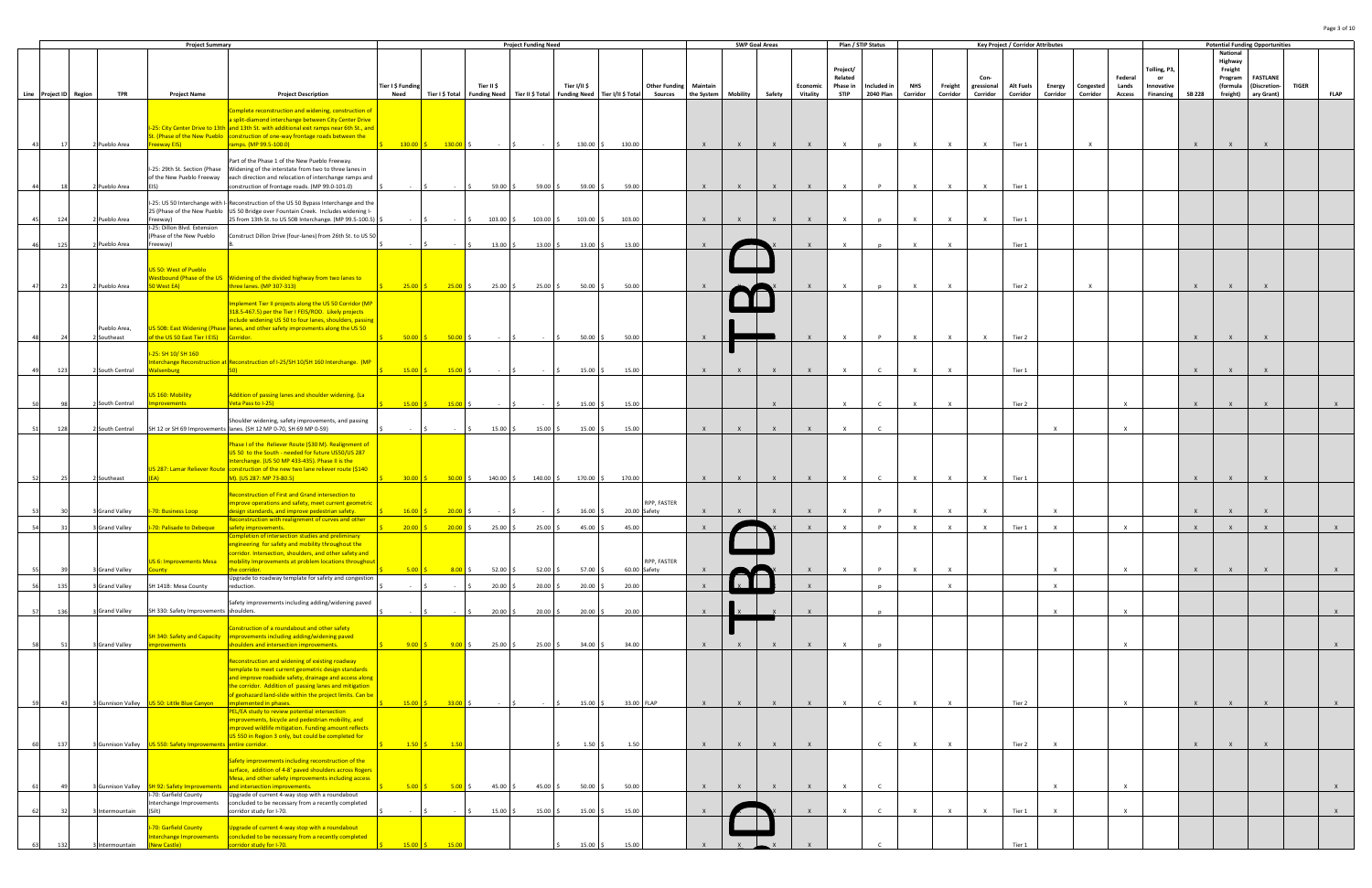|    |                        |                     | <b>Project Summary</b>                             |                                                                                                                                                                             |                   |                                                           |                              | <b>Project Funding Need</b> |               |                                                  |                                 |              | <b>SWP Goal Areas</b> |                 |              | Plan / STIP Status |              |              |              |              | <b>Key Project / Corridor Attributes</b> |              |           |               |              |               | <b>Potential Funding Opportunities</b> |                 |              |              |
|----|------------------------|---------------------|----------------------------------------------------|-----------------------------------------------------------------------------------------------------------------------------------------------------------------------------|-------------------|-----------------------------------------------------------|------------------------------|-----------------------------|---------------|--------------------------------------------------|---------------------------------|--------------|-----------------------|-----------------|--------------|--------------------|--------------|--------------|--------------|--------------|------------------------------------------|--------------|-----------|---------------|--------------|---------------|----------------------------------------|-----------------|--------------|--------------|
|    |                        |                     |                                                    |                                                                                                                                                                             |                   |                                                           |                              |                             |               |                                                  |                                 |              |                       |                 |              |                    |              |              |              |              |                                          |              |           |               |              |               | National                               |                 |              |              |
|    |                        |                     |                                                    |                                                                                                                                                                             |                   |                                                           |                              |                             |               |                                                  |                                 |              |                       |                 |              | Project/           |              |              |              |              |                                          |              |           |               | Tolling, P3, |               | Highway<br>Freight                     |                 |              |              |
|    |                        |                     |                                                    |                                                                                                                                                                             |                   |                                                           |                              |                             |               |                                                  |                                 |              |                       |                 |              | Related            |              |              |              | Con-         |                                          |              |           | Federal       |              |               | Program                                | <b>FASTLANE</b> |              |              |
|    |                        |                     |                                                    |                                                                                                                                                                             | Tier I \$ Funding |                                                           | Tier II \$                   |                             | Tier I/II \$  |                                                  | <b>Other Funding   Maintain</b> |              |                       |                 | Economic     | Phase in           | Included in  | <b>NHS</b>   | Freight      | gressional   | <b>Alt Fuels</b>                         | Energy       | Congested | Lands         | Innovative   |               | (formula                               | (Discretion-    | <b>TIGER</b> |              |
|    | Line Project ID Region | <b>TPR</b>          | <b>Project Name</b>                                | <b>Project Description</b>                                                                                                                                                  | Need              |                                                           | Tier I \$ Total Funding Need |                             |               | Tier II \$ Total Funding Need Tier I/II \$ Total | Sources   the System            |              |                       | Mobility Safety | Vitality     | <b>STIP</b>        | 2040 Plan    | Corridor     | Corridor     | Corridor     | Corridor                                 | Corridor     | Corridor  | <b>Access</b> | Financing    | <b>SB 228</b> | freight)                               | ary Grant)      |              | <b>FLAP</b>  |
|    |                        |                     |                                                    | Complete reconstruction and widening, construction of                                                                                                                       |                   |                                                           |                              |                             |               |                                                  |                                 |              |                       |                 |              |                    |              |              |              |              |                                          |              |           |               |              |               |                                        |                 |              |              |
|    |                        |                     |                                                    | a split-diamond interchange between City Center Drive                                                                                                                       |                   |                                                           |                              |                             |               |                                                  |                                 |              |                       |                 |              |                    |              |              |              |              |                                          |              |           |               |              |               |                                        |                 |              |              |
|    |                        |                     |                                                    | -25: City Center Drive to 13th and 13th St. with additional exit ramps near 6th St., and                                                                                    |                   |                                                           |                              |                             |               |                                                  |                                 |              |                       |                 |              |                    |              |              |              |              |                                          |              |           |               |              |               |                                        |                 |              |              |
|    |                        |                     |                                                    | t. (Phase of the New Pueblo   construction of one-way frontage roads between the                                                                                            |                   |                                                           |                              |                             |               |                                                  |                                 |              |                       |                 |              |                    |              |              |              |              |                                          |              |           |               |              |               |                                        |                 |              |              |
|    |                        | 2 Pueblo Area       | reeway EIS)                                        | ramps. (MP 99.5-100.0)                                                                                                                                                      |                   | $130.00 \t\t\begin{bmatrix} 5 \\ 130.00 \end{bmatrix}$ \$ |                              |                             | 130.00 \$     | 130.00                                           |                                 | $\mathsf{X}$ | $\mathsf{X}$          | $\mathsf{X}$    |              | $\mathsf{X}$       |              | $\mathsf{x}$ |              |              | Tier 1                                   |              |           |               |              |               |                                        |                 |              |              |
|    |                        |                     |                                                    | Part of the Phase 1 of the New Pueblo Freeway.                                                                                                                              |                   |                                                           |                              |                             |               |                                                  |                                 |              |                       |                 |              |                    |              |              |              |              |                                          |              |           |               |              |               |                                        |                 |              |              |
|    |                        |                     | I-25: 29th St. Section (Phase                      | Widening of the interstate from two to three lanes in                                                                                                                       |                   |                                                           |                              |                             |               |                                                  |                                 |              |                       |                 |              |                    |              |              |              |              |                                          |              |           |               |              |               |                                        |                 |              |              |
|    |                        |                     | of the New Pueblo Freeway                          | each direction and relocation of interchange ramps and                                                                                                                      |                   |                                                           |                              |                             |               |                                                  |                                 |              |                       |                 |              |                    |              |              |              |              |                                          |              |           |               |              |               |                                        |                 |              |              |
|    |                        | Pueblo Area         | FIS)                                               | construction of frontage roads. (MP 99.0-101.0)                                                                                                                             |                   |                                                           | $59.00$ \$                   | 59.00 \$                    | 59.00 \$      | 59.00                                            |                                 | $\mathsf{X}$ | $\mathsf{X}$          | $\mathbf{x}$    |              | $\mathbf{x}$       |              | $\mathsf{x}$ |              |              | Tier 1                                   |              |           |               |              |               |                                        |                 |              |              |
|    |                        |                     |                                                    |                                                                                                                                                                             |                   |                                                           |                              |                             |               |                                                  |                                 |              |                       |                 |              |                    |              |              |              |              |                                          |              |           |               |              |               |                                        |                 |              |              |
|    |                        |                     |                                                    | I-25: US 50 Interchange with I-Reconstruction of the US 50 Bypass Interchange and the<br>25 (Phase of the New Pueblo US 50 Bridge over Fountain Creek. Includes widening I- |                   |                                                           |                              |                             |               |                                                  |                                 |              |                       |                 |              |                    |              |              |              |              |                                          |              |           |               |              |               |                                        |                 |              |              |
|    | 124                    | 2 Pueblo Area       | Freeway)                                           | 25 from 13th St. to US 50B Interchange. (MP 99.5-100.5) :                                                                                                                   |                   |                                                           | 103.00 \$                    | $103.00$ \$                 |               | 103.00 \$ 103.00                                 |                                 | $\mathsf{X}$ | $\mathsf{X}$          |                 |              | $\mathbf{x}$       |              | $\times$     |              |              | Tier 1                                   |              |           |               |              |               |                                        |                 |              |              |
|    |                        |                     | I-25: Dillon Blvd. Extension                       |                                                                                                                                                                             |                   |                                                           |                              |                             |               |                                                  |                                 |              |                       |                 |              |                    |              |              |              |              |                                          |              |           |               |              |               |                                        |                 |              |              |
|    |                        |                     | (Phase of the New Pueblo                           | Construct Dillon Drive (four-lanes) from 26th St. to US 50                                                                                                                  |                   |                                                           |                              |                             |               |                                                  |                                 |              |                       |                 |              |                    |              |              |              |              |                                          |              |           |               |              |               |                                        |                 |              |              |
|    |                        | Pueblo Area         | Freeway)                                           |                                                                                                                                                                             |                   |                                                           | 13.00                        | $13.00$ \$                  | $13.00$ \$    | 13.00                                            |                                 |              |                       |                 |              |                    |              |              |              |              | Tier 1                                   |              |           |               |              |               |                                        |                 |              |              |
|    |                        |                     |                                                    |                                                                                                                                                                             |                   |                                                           |                              |                             |               |                                                  |                                 |              |                       |                 |              |                    |              |              |              |              |                                          |              |           |               |              |               |                                        |                 |              |              |
|    |                        |                     | JS 50: West of Pueblo                              |                                                                                                                                                                             |                   |                                                           |                              |                             |               |                                                  |                                 |              |                       |                 |              |                    |              |              |              |              |                                          |              |           |               |              |               |                                        |                 |              |              |
|    |                        |                     |                                                    | Westbound (Phase of the US   Widening of the divided highway from two lanes to                                                                                              |                   |                                                           |                              |                             |               |                                                  |                                 |              |                       |                 |              |                    |              |              |              |              |                                          |              |           |               |              |               |                                        |                 |              |              |
|    |                        | 2 Pueblo Area       | 50 West EA)                                        | three lanes. (MP 307-313)                                                                                                                                                   | $25.00$ \$        | $25.00$ \$                                                | 25.00%                       | 25.00%                      | $50.00$ \$    | 50.00                                            |                                 |              |                       |                 |              |                    |              |              |              |              | Tier 2                                   |              |           |               |              |               |                                        |                 |              |              |
|    |                        |                     |                                                    | Implement Tier II projects along the US 50 Corridor (MP                                                                                                                     |                   |                                                           |                              |                             |               |                                                  |                                 |              |                       |                 |              |                    |              |              |              |              |                                          |              |           |               |              |               |                                        |                 |              |              |
|    |                        |                     |                                                    | 318.5-467.5) per the Tier I FEIS/ROD. Likely projects                                                                                                                       |                   |                                                           |                              |                             |               |                                                  |                                 |              |                       |                 |              |                    |              |              |              |              |                                          |              |           |               |              |               |                                        |                 |              |              |
|    |                        |                     |                                                    | include widening US 50 to four lanes, shoulders, passing                                                                                                                    |                   |                                                           |                              |                             |               |                                                  |                                 |              |                       |                 |              |                    |              |              |              |              |                                          |              |           |               |              |               |                                        |                 |              |              |
|    |                        | Pueblo Area,        |                                                    | US 50B: East Widening (Phase lanes, and other safety improvments along the US 50                                                                                            |                   |                                                           |                              |                             |               |                                                  |                                 |              |                       |                 |              |                    |              |              |              |              |                                          |              |           |               |              |               |                                        |                 |              |              |
|    |                        | Southeast           | of the US 50 East Tier I EIS) Corridor.            |                                                                                                                                                                             | $50.00$ $\mid$ 3  | $50.00$ \$                                                |                              |                             | $50.00$ \$    | 50.00                                            |                                 | $\mathsf{x}$ |                       |                 |              | $\mathbf{x}$       | P.           | $\mathbf{x}$ |              | $\mathbf{x}$ | Tier 2                                   |              |           |               |              | $\mathsf{x}$  | $\mathsf{X}$                           |                 |              |              |
|    |                        |                     | 25: SH 10/ SH 160                                  |                                                                                                                                                                             |                   |                                                           |                              |                             |               |                                                  |                                 |              |                       |                 |              |                    |              |              |              |              |                                          |              |           |               |              |               |                                        |                 |              |              |
|    |                        |                     |                                                    | nterchange Reconstruction at Reconstruction of I-25/SH 10/SH 160 Interchange. (MP                                                                                           |                   |                                                           |                              |                             |               |                                                  |                                 |              |                       |                 |              |                    |              |              |              |              |                                          |              |           |               |              |               |                                        |                 |              |              |
|    | 123                    | 2 South Central     | <b>ilsenburg</b>                                   |                                                                                                                                                                             | $15.00$ \$        | $15.00 \div$                                              |                              |                             | $15.00 \pm 5$ | 15.00                                            |                                 | $\mathsf{X}$ | $\mathsf{X}$          | $\mathsf{X}$    | $\mathsf{X}$ | $\mathsf{X}$       | $\mathsf{C}$ | $\mathsf{x}$ |              |              | Tier 1                                   |              |           |               |              | $\mathsf{x}$  |                                        |                 |              |              |
|    |                        |                     |                                                    |                                                                                                                                                                             |                   |                                                           |                              |                             |               |                                                  |                                 |              |                       |                 |              |                    |              |              |              |              |                                          |              |           |               |              |               |                                        |                 |              |              |
|    |                        |                     | <b>S 160: Mobility</b>                             | Addition of passing lanes and shoulder widening. (La                                                                                                                        |                   |                                                           |                              |                             |               |                                                  |                                 |              |                       |                 |              |                    |              |              |              |              |                                          |              |           |               |              |               |                                        |                 |              |              |
|    |                        | 2 South Central     | provements                                         | Veta Pass to I-25)                                                                                                                                                          | $15.00$ \$        | $\frac{15.00}{5}$                                         | $\sim 100$                   | $\sim$                      |               | $15.00\frac{1}{5}$<br>15.00                      |                                 |              |                       | $\mathsf{X}$    |              | $\times$           | $\mathsf{C}$ | $\mathsf{X}$ | $\mathsf{x}$ |              | Tier 2                                   |              |           | $\times$      |              | $\times$      | $\mathsf{X}$                           | $\mathsf{X}$    |              |              |
|    |                        |                     |                                                    |                                                                                                                                                                             |                   |                                                           |                              |                             |               |                                                  |                                 |              |                       |                 |              |                    |              |              |              |              |                                          |              |           |               |              |               |                                        |                 |              |              |
|    |                        |                     |                                                    | Shoulder widening, safety improvements, and passing                                                                                                                         |                   |                                                           |                              |                             |               |                                                  |                                 |              |                       |                 |              |                    |              |              |              |              |                                          |              |           |               |              |               |                                        |                 |              |              |
|    |                        | South Central       |                                                    | SH 12 or SH 69 Improvements lanes. (SH 12 MP 0-70, SH 69 MP 0-59)                                                                                                           |                   |                                                           | 15.00                        | 15.00 \$                    | $15.00$ \$    | 15.00                                            |                                 |              |                       |                 |              |                    |              |              |              |              |                                          |              |           |               |              |               |                                        |                 |              |              |
|    |                        |                     |                                                    | Phase I of the Reliever Route (\$30 M). Realignment of                                                                                                                      |                   |                                                           |                              |                             |               |                                                  |                                 |              |                       |                 |              |                    |              |              |              |              |                                          |              |           |               |              |               |                                        |                 |              |              |
|    |                        |                     |                                                    | US 50 to the South - needed for future US50/US 287                                                                                                                          |                   |                                                           |                              |                             |               |                                                  |                                 |              |                       |                 |              |                    |              |              |              |              |                                          |              |           |               |              |               |                                        |                 |              |              |
|    |                        |                     |                                                    | Interchange. (US 50 MP 433-435). Phase II is the                                                                                                                            |                   |                                                           |                              |                             |               |                                                  |                                 |              |                       |                 |              |                    |              |              |              |              |                                          |              |           |               |              |               |                                        |                 |              |              |
|    |                        | 2 Southeast         |                                                    | US 287: Lamar Reliever Route   construction of the new two lane reliever route (\$140<br>M). (US 287: MP 73-80.5)                                                           |                   |                                                           |                              |                             |               |                                                  |                                 | $\mathsf{X}$ | $\mathsf{X}$          | $\mathsf{X}$    |              | $\mathsf{x}$       | C.           | $\times$     |              | $\mathsf{x}$ | Tier 1                                   |              |           |               |              |               |                                        |                 |              |              |
|    |                        |                     |                                                    |                                                                                                                                                                             |                   |                                                           |                              |                             |               |                                                  |                                 |              |                       |                 |              |                    |              |              |              |              |                                          |              |           |               |              |               |                                        |                 |              |              |
|    |                        |                     |                                                    | Reconstruction of First and Grand intersection to                                                                                                                           |                   |                                                           |                              |                             |               |                                                  |                                 |              |                       |                 |              |                    |              |              |              |              |                                          |              |           |               |              |               |                                        |                 |              |              |
|    |                        |                     |                                                    | mprove operations and safety, meet current geometric                                                                                                                        |                   |                                                           |                              |                             |               |                                                  | RPP, FASTER                     |              |                       |                 |              |                    |              |              |              |              |                                          |              |           |               |              |               |                                        |                 |              |              |
|    |                        | <b>Grand Valley</b> | -70: Business Loop                                 | esign standards, and improve pedestrian safety.<br>Reconstruction with realignment of curves and other                                                                      | 16.00             | 20.00                                                     |                              |                             | $16.00$ \$    | 20.00 Safety                                     |                                 |              |                       |                 |              |                    |              | $\mathsf{x}$ |              |              |                                          |              |           |               |              |               |                                        |                 |              |              |
|    |                        | Grand Valley        | -70: Palisade to Debeque                           | safety improvements.                                                                                                                                                        | 20.00             | $20.00$ \$                                                | 25.00                        | 25.00                       | 45.00         | 45.00                                            |                                 |              |                       |                 |              |                    |              |              |              |              | Tier 1                                   |              |           | $\mathbf{x}$  |              |               |                                        |                 |              |              |
|    |                        |                     |                                                    | Completion of intersection studies and preliminary                                                                                                                          |                   |                                                           |                              |                             |               |                                                  |                                 |              |                       |                 |              |                    |              |              |              |              |                                          |              |           |               |              |               |                                        |                 |              |              |
|    |                        |                     |                                                    | ingineering for safety and mobility throughout the                                                                                                                          |                   |                                                           |                              |                             |               |                                                  |                                 |              |                       |                 |              |                    |              |              |              |              |                                          |              |           |               |              |               |                                        |                 |              |              |
|    |                        |                     | US 6: Improvements Mesa                            | orridor. Intersection, shoulders, and other safety and<br>mobility Improvements at problem locations throughout                                                             |                   |                                                           |                              |                             |               |                                                  | RPP, FASTER                     |              |                       |                 |              |                    |              |              |              |              |                                          |              |           |               |              |               |                                        |                 |              |              |
|    |                        | Grand Valley        | <b>unty</b>                                        | he corridor.                                                                                                                                                                | $5.00$ $\vert$ \$ | $8.00$ \$                                                 | $52.00$ \$                   | $52.00$ \$                  | $57.00$ \$    |                                                  | 60.00 Safety                    |              |                       |                 |              |                    |              |              |              |              |                                          |              |           |               |              |               |                                        |                 |              | $\mathsf{X}$ |
|    |                        |                     |                                                    | Upgrade to roadway template for safety and congestion                                                                                                                       |                   |                                                           |                              |                             |               |                                                  |                                 |              |                       |                 |              |                    |              |              |              |              |                                          |              |           |               |              |               |                                        |                 |              |              |
| 56 | 135                    | Grand Valley        | SH 141B: Mesa County                               | reduction.                                                                                                                                                                  |                   |                                                           | $20.00$ :                    | $20.00$ \$                  | $20.00$ \$    | 20.00                                            |                                 | $\mathsf{X}$ |                       |                 | $\mathbf{x}$ |                    | $\mathbf{D}$ |              | $\mathsf{x}$ |              |                                          | $\mathsf{x}$ |           |               |              |               |                                        |                 |              |              |
|    |                        |                     |                                                    | Safety improvements including adding/widening paved                                                                                                                         |                   |                                                           |                              |                             |               |                                                  |                                 |              |                       |                 |              |                    |              |              |              |              |                                          |              |           |               |              |               |                                        |                 |              |              |
| 57 | 136                    | 3 Grand Valley      | SH 330: Safety Improvements shoulders.             |                                                                                                                                                                             |                   |                                                           | $20.00$ \$                   | $20.00$ \$                  |               | $20.00$ \$<br>20.00                              |                                 | $\mathsf{X}$ |                       |                 |              |                    | n            |              |              |              |                                          |              |           | $\times$      |              |               |                                        |                 |              |              |
|    |                        |                     |                                                    |                                                                                                                                                                             |                   |                                                           |                              |                             |               |                                                  |                                 |              |                       |                 |              |                    |              |              |              |              |                                          |              |           |               |              |               |                                        |                 |              |              |
|    |                        |                     |                                                    | Construction of a roundabout and other safety<br>SH 340: Safety and Capacity limprovements including adding/widening paved                                                  |                   |                                                           |                              |                             |               |                                                  |                                 |              |                       |                 |              |                    |              |              |              |              |                                          |              |           |               |              |               |                                        |                 |              |              |
|    |                        | 3 Grand Valley      | nprovements                                        | houlders and intersection improvements.                                                                                                                                     |                   | $9.00$ S $9.00$ \$ 25.00 \$                               |                              | $25.00\frac{1}{5}$          |               | 34.00 \$ 34.00                                   |                                 | $\mathsf{X}$ | $\mathsf{X}$          | $\mathbf{x}$    | $\mathsf{X}$ | $\times$           |              |              |              |              |                                          |              |           | $\times$      |              |               |                                        |                 |              | $\mathsf{X}$ |
|    |                        |                     |                                                    |                                                                                                                                                                             |                   |                                                           |                              |                             |               |                                                  |                                 |              |                       |                 |              |                    |              |              |              |              |                                          |              |           |               |              |               |                                        |                 |              |              |
|    |                        |                     |                                                    | Reconstruction and widening of existing roadway                                                                                                                             |                   |                                                           |                              |                             |               |                                                  |                                 |              |                       |                 |              |                    |              |              |              |              |                                          |              |           |               |              |               |                                        |                 |              |              |
|    |                        |                     |                                                    | emplate to meet current geometric design standards                                                                                                                          |                   |                                                           |                              |                             |               |                                                  |                                 |              |                       |                 |              |                    |              |              |              |              |                                          |              |           |               |              |               |                                        |                 |              |              |
|    |                        |                     |                                                    | and improve roadside safety, drainage and access along<br>the corridor. Addition of passing lanes and mitigation                                                            |                   |                                                           |                              |                             |               |                                                  |                                 |              |                       |                 |              |                    |              |              |              |              |                                          |              |           |               |              |               |                                        |                 |              |              |
|    |                        |                     |                                                    | of geohazard land-slide within the project limits. Can be                                                                                                                   |                   |                                                           |                              |                             |               |                                                  |                                 |              |                       |                 |              |                    |              |              |              |              |                                          |              |           |               |              |               |                                        |                 |              |              |
|    |                        |                     | Gunnison Valley US 50: Little Blue Canyon          | mplemented in phases.                                                                                                                                                       | $15.00$ \$        | $33.00$ \$                                                |                              |                             |               | 15.00%<br>33.00 FLAP                             |                                 | $\mathsf{X}$ | $\mathsf{X}$          | $\mathsf{X}$    | $\mathsf{X}$ | $\times$           | $\mathsf{C}$ | $\times$     |              |              | Tier 2                                   |              |           | $\times$      |              | $\mathsf{x}$  |                                        |                 |              | $\mathsf{X}$ |
|    |                        |                     |                                                    | PEL/EA study to review potential intersection                                                                                                                               |                   |                                                           |                              |                             |               |                                                  |                                 |              |                       |                 |              |                    |              |              |              |              |                                          |              |           |               |              |               |                                        |                 |              |              |
|    |                        |                     |                                                    | mprovements, bicycle and pedestrian mobility, and<br>mproved wildlife mitigation. Funding amount reflects                                                                   |                   |                                                           |                              |                             |               |                                                  |                                 |              |                       |                 |              |                    |              |              |              |              |                                          |              |           |               |              |               |                                        |                 |              |              |
|    |                        |                     |                                                    | US 550 in Region 3 only, but could be completed for                                                                                                                         |                   |                                                           |                              |                             |               |                                                  |                                 |              |                       |                 |              |                    |              |              |              |              |                                          |              |           |               |              |               |                                        |                 |              |              |
|    | 137                    |                     | 3 Gunnison Valley <b>US 550: Safety Improvemen</b> | entire corridor.                                                                                                                                                            | $1.50$ \$         | $\overline{1.50}$                                         |                              |                             |               | $1.50\frac{2}{3}$<br>1.50                        |                                 | $\mathsf{X}$ |                       |                 |              |                    | $\mathsf{C}$ | $\mathbf{x}$ |              |              | Tier 2                                   |              |           |               |              |               |                                        |                 |              |              |
|    |                        |                     |                                                    |                                                                                                                                                                             |                   |                                                           |                              |                             |               |                                                  |                                 |              |                       |                 |              |                    |              |              |              |              |                                          |              |           |               |              |               |                                        |                 |              |              |
|    |                        |                     |                                                    | Safety improvements including reconstruction of the<br>surface, addition of 4-8' paved shoulders across Rogers                                                              |                   |                                                           |                              |                             |               |                                                  |                                 |              |                       |                 |              |                    |              |              |              |              |                                          |              |           |               |              |               |                                        |                 |              |              |
|    |                        |                     |                                                    | Mesa, and other safety improvements including access                                                                                                                        |                   |                                                           |                              |                             |               |                                                  |                                 |              |                       |                 |              |                    |              |              |              |              |                                          |              |           |               |              |               |                                        |                 |              |              |
| 61 | - 49                   |                     |                                                    | and intersection improvements.                                                                                                                                              |                   |                                                           |                              | 45.00%                      | $50.00$ \$    | 50.00                                            |                                 | $\mathsf{X}$ | $\mathsf{X}$          | $\mathsf{X}$    | $\mathsf{x}$ | $\times$           | $\mathsf{C}$ |              |              |              |                                          |              |           | $\times$      |              |               |                                        |                 |              | $\mathsf{X}$ |
|    |                        |                     | -70: Garfield County                               | Upgrade of current 4-way stop with a roundabout                                                                                                                             |                   |                                                           |                              |                             |               |                                                  |                                 |              |                       |                 |              |                    |              |              |              |              |                                          |              |           |               |              |               |                                        |                 |              |              |
|    |                        | htermountain        | Interchange Improvements                           | concluded to be necessary from a recently completed<br>orridor study for I-70.                                                                                              |                   |                                                           | 15.00                        | 15.00 \$                    | $15.00\%$     | 15.00                                            |                                 |              |                       |                 |              |                    |              |              |              | $\mathbf{x}$ | Tier 1                                   |              |           | $\mathsf{x}$  |              |               |                                        |                 |              |              |
|    |                        |                     |                                                    |                                                                                                                                                                             |                   |                                                           |                              |                             |               |                                                  |                                 |              |                       |                 |              |                    |              |              |              |              |                                          |              |           |               |              |               |                                        |                 |              |              |
|    |                        |                     | 70: Garfield County                                | Upgrade of current 4-way stop with a roundabout                                                                                                                             |                   |                                                           |                              |                             |               |                                                  |                                 |              |                       |                 |              |                    |              |              |              |              |                                          |              |           |               |              |               |                                        |                 |              |              |
|    |                        |                     | nterchange Improvements                            | concluded to be necessary from a recently completed                                                                                                                         |                   |                                                           |                              |                             |               |                                                  |                                 |              |                       |                 |              |                    |              |              |              |              |                                          |              |           |               |              |               |                                        |                 |              |              |
|    |                        |                     | ew Castle)                                         | corridor study for I-70.                                                                                                                                                    |                   |                                                           |                              |                             |               |                                                  |                                 |              |                       |                 |              |                    |              |              |              |              |                                          |              |           |               |              |               |                                        |                 |              |              |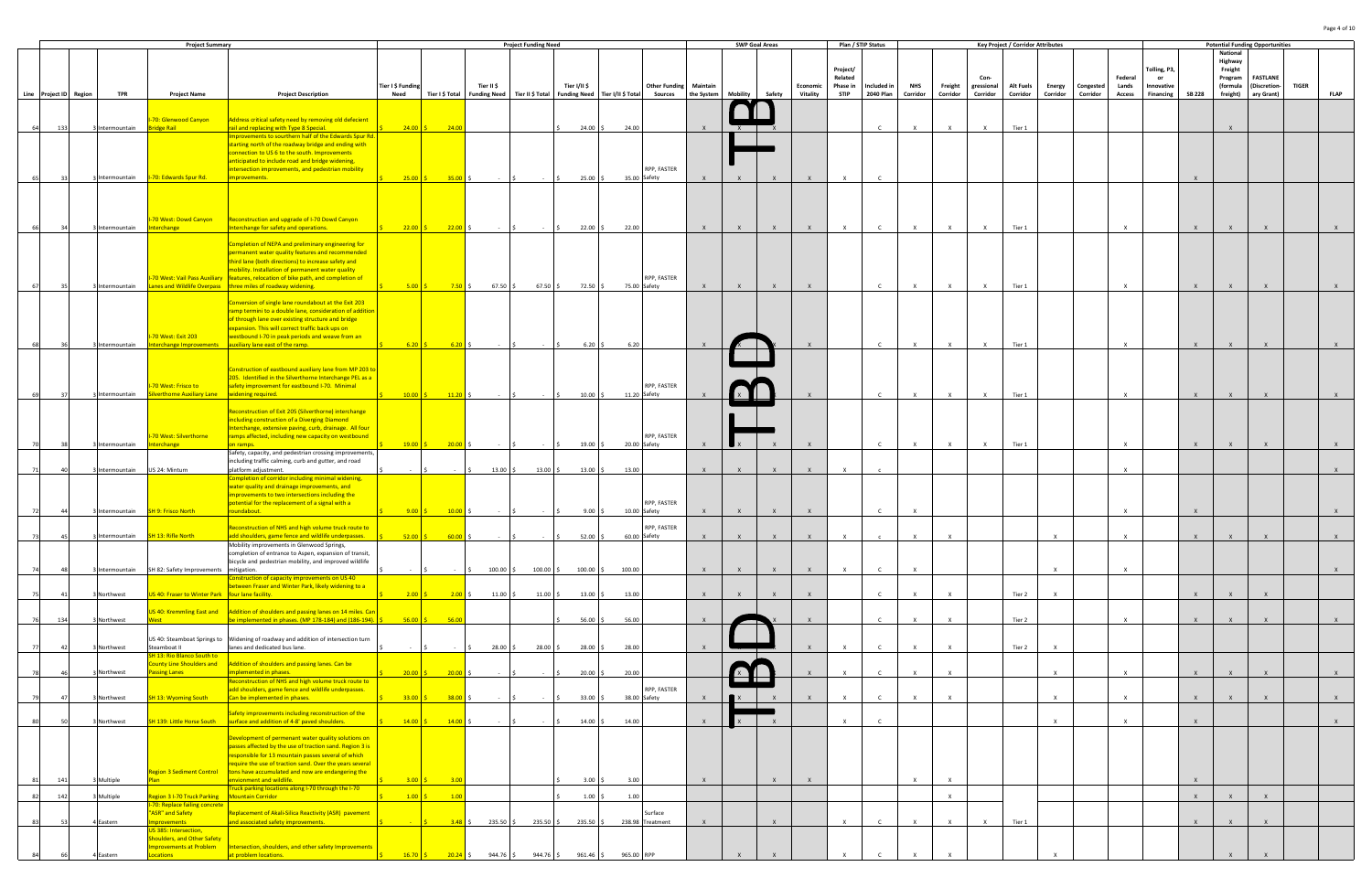|      |                        |                 | <b>Project Summary</b>                                     |                                                                                                                                                        |                           |                          |                    | <b>Project Funding Need</b>   |                                                   |            |                                                 |              |                                 | <b>SWP Goal Areas</b> |                      | Plan / STIP Status      |                                 |                        |                     |                        | <b>Key Project / Corridor Attributes</b> |              |                              |                        |                         |               |                      | <b>Potential Funding Opportunities</b> |              |              |
|------|------------------------|-----------------|------------------------------------------------------------|--------------------------------------------------------------------------------------------------------------------------------------------------------|---------------------------|--------------------------|--------------------|-------------------------------|---------------------------------------------------|------------|-------------------------------------------------|--------------|---------------------------------|-----------------------|----------------------|-------------------------|---------------------------------|------------------------|---------------------|------------------------|------------------------------------------|--------------|------------------------------|------------------------|-------------------------|---------------|----------------------|----------------------------------------|--------------|--------------|
|      |                        |                 |                                                            |                                                                                                                                                        |                           |                          |                    |                               |                                                   |            |                                                 |              |                                 |                       |                      |                         |                                 |                        |                     |                        |                                          |              |                              |                        |                         |               | National<br>Highway  |                                        |              |              |
|      |                        |                 |                                                            |                                                                                                                                                        |                           |                          |                    |                               |                                                   |            |                                                 |              |                                 |                       |                      | Project/<br>Related     |                                 |                        |                     | Con-                   |                                          |              |                              | Federal                | Tolling, P3,<br>or      |               | Freight<br>Program   | <b>FASTLANE</b>                        |              |              |
|      | Line Project ID Region | <b>TPR</b>      | <b>Project Name</b>                                        | <b>Project Description</b>                                                                                                                             | Tier I \$ Funding<br>Need | Tier I \$ Total          | Tier II \$         | Funding Need Tier II \$ Total | Tier I/II \$<br>Funding Need   Tier I/II \$ Total |            | <b>Other Funding Maintain</b><br><b>Sources</b> | the System   | Mobility                        | Safety                | Economic<br>Vitality | Phase in<br><b>STIP</b> | Included in<br><b>2040 Plan</b> | <b>NHS</b><br>Corridor | Freight<br>Corridor | gressional<br>Corridor | <b>Alt Fuels</b><br>Corridor             | Corridor     | Energy Congested<br>Corridor | Lands<br><b>Access</b> | Innovative<br>Financing | <b>SB 228</b> | (formula<br>freight) | (Discretion-<br>ary Grant)             | <b>TIGER</b> | <b>FLAP</b>  |
|      |                        |                 |                                                            |                                                                                                                                                        |                           |                          |                    |                               |                                                   |            |                                                 |              |                                 |                       |                      |                         |                                 |                        |                     |                        |                                          |              |                              |                        |                         |               |                      |                                        |              |              |
|      |                        | Intermountain   | I-70: Glenwood Canyon<br>idge Rail                         | Address critical safety need by removing old defecient<br>rail and replacing with Type 8 Special.                                                      | $24.00$ \$                | 24.00                    |                    |                               | $24.00$ \$                                        | 24.00      |                                                 |              |                                 |                       |                      |                         |                                 | $\mathsf{X}$           | $\times$            | $\mathsf{X}$           | Tier 1                                   |              |                              |                        |                         |               |                      |                                        |              |              |
|      |                        |                 |                                                            | mprovements to sourthern half of the Edwards Spur R<br>tarting north of the roadway bridge and ending with                                             |                           |                          |                    |                               |                                                   |            |                                                 |              |                                 |                       |                      |                         |                                 |                        |                     |                        |                                          |              |                              |                        |                         |               |                      |                                        |              |              |
|      |                        |                 |                                                            | connection to US 6 to the south. Improvements<br>anticipated to include road and bridge widening,                                                      |                           |                          |                    |                               |                                                   |            |                                                 |              |                                 |                       |                      |                         |                                 |                        |                     |                        |                                          |              |                              |                        |                         |               |                      |                                        |              |              |
|      |                        | Intermountain   | I-70: Edwards Spur Rd.                                     | ntersection improvements, and pedestrian mobility<br><b>provements.</b>                                                                                | 25.00                     | 35.00                    |                    |                               | 25.00                                             |            | RPP, FASTER<br>35.00 Safety                     |              |                                 | $\mathsf{X}$          | $\mathsf{X}$         | $\mathsf{X}$            | $\mathsf{C}$                    |                        |                     |                        |                                          |              |                              |                        |                         |               |                      |                                        |              |              |
|      |                        |                 |                                                            |                                                                                                                                                        |                           |                          |                    |                               |                                                   |            |                                                 |              |                                 |                       |                      |                         |                                 |                        |                     |                        |                                          |              |                              |                        |                         |               |                      |                                        |              |              |
|      |                        |                 |                                                            |                                                                                                                                                        |                           |                          |                    |                               |                                                   |            |                                                 |              |                                 |                       |                      |                         |                                 |                        |                     |                        |                                          |              |                              |                        |                         |               |                      |                                        |              |              |
|      |                        | 3 Intermountain | -70 West: Dowd Canyon<br>terchange                         | Reconstruction and upgrade of I-70 Dowd Canyon<br>nterchange for safety and operations.                                                                | $22.00$ \$                | $22.00$ \$               | $-15$              |                               | 22.00                                             | 22.00      |                                                 | $\mathsf{X}$ | $\mathsf{X}$                    | $\mathsf{X}$          |                      |                         | $\mathsf{C}$                    | $\mathsf{X}$           |                     | $\mathsf{x}$           | Tier 1                                   |              |                              | $\mathbf{x}$           |                         | $\mathsf{x}$  |                      |                                        |              |              |
|      |                        |                 |                                                            | Completion of NEPA and preliminary engineering for                                                                                                     |                           |                          |                    |                               |                                                   |            |                                                 |              |                                 |                       |                      |                         |                                 |                        |                     |                        |                                          |              |                              |                        |                         |               |                      |                                        |              |              |
|      |                        |                 |                                                            | ermanent water quality features and recommended<br>hird lane (both directions) to increase safety and                                                  |                           |                          |                    |                               |                                                   |            |                                                 |              |                                 |                       |                      |                         |                                 |                        |                     |                        |                                          |              |                              |                        |                         |               |                      |                                        |              |              |
|      |                        |                 |                                                            | mobility. Installation of permanent water quality                                                                                                      |                           |                          |                    |                               |                                                   |            |                                                 |              |                                 |                       |                      |                         |                                 |                        |                     |                        |                                          |              |                              |                        |                         |               |                      |                                        |              |              |
|      |                        | ntermountain    | Lanes and Wildlife Overpass                                | I-70 West: Vail Pass Auxiliary   features, relocation of bike path, and completion of<br>three miles of roadway widening.                              | $5.00$ S                  |                          | $7.50$ \$ 67.50 \$ | 67.50 \$                      | 72.50 \$                                          |            | RPP, FASTER<br>75.00 Safety                     | $\mathbf{x}$ | $\mathsf{x}$                    | $\mathsf{X}$          | $\mathsf{X}$         |                         | $\mathsf{C}$                    | $\mathbf{x}$           | $\mathbf{x}$        | $\mathbf{x}$           | Tier 1                                   |              |                              | $\mathbf{x}$           |                         | $\mathbf{x}$  |                      |                                        |              |              |
|      |                        |                 |                                                            | Conversion of single lane roundabout at the Exit 203                                                                                                   |                           |                          |                    |                               |                                                   |            |                                                 |              |                                 |                       |                      |                         |                                 |                        |                     |                        |                                          |              |                              |                        |                         |               |                      |                                        |              |              |
|      |                        |                 |                                                            | amp termini to a double lane, consideration of additio<br>of through lane over existing structure and bridge                                           |                           |                          |                    |                               |                                                   |            |                                                 |              |                                 |                       |                      |                         |                                 |                        |                     |                        |                                          |              |                              |                        |                         |               |                      |                                        |              |              |
|      |                        |                 | 70 West: Exit 203                                          | expansion. This will correct traffic back ups on<br>westbound I-70 in peak periods and weave from an                                                   |                           |                          |                    |                               |                                                   |            |                                                 |              |                                 |                       |                      |                         |                                 |                        |                     |                        |                                          |              |                              |                        |                         |               |                      |                                        |              |              |
|      |                        | Intermountain   |                                                            | iterchange Improvements aluxiliary lane east of the ramp.                                                                                              | $6.20$ \$                 |                          | $6.20\,$ \$ -      |                               | 6.20                                              | 6.20       |                                                 |              |                                 |                       |                      |                         |                                 |                        |                     |                        | Tier 1                                   |              |                              | $\mathbf{x}$           |                         | $\mathbf{x}$  |                      |                                        |              |              |
|      |                        |                 |                                                            | Construction of eastbound auxiliary lane from MP 203 t                                                                                                 |                           |                          |                    |                               |                                                   |            |                                                 |              |                                 |                       |                      |                         |                                 |                        |                     |                        |                                          |              |                              |                        |                         |               |                      |                                        |              |              |
|      |                        |                 | I-70 West: Frisco to                                       | 205. Identified in the Silverthorne Interchange PEL as a<br>safety improvement for eastbound I-70. Minimal                                             |                           |                          |                    |                               |                                                   |            | RPP, FASTER                                     |              |                                 |                       |                      |                         |                                 |                        |                     |                        |                                          |              |                              |                        |                         |               |                      |                                        |              |              |
|      |                        | Intermountain   | <b>Iverthorne Auxiliary Lane</b>                           | widening required.                                                                                                                                     |                           |                          |                    |                               | 10.00                                             |            | 11.20 Safety                                    |              |                                 |                       |                      |                         |                                 |                        |                     |                        | Tier 1                                   |              |                              |                        |                         |               |                      |                                        |              |              |
|      |                        |                 |                                                            | Reconstruction of Exit 205 (Silverthorne) interchange<br>ncluding construction of a Diverging Diamond                                                  |                           |                          |                    |                               |                                                   |            |                                                 |              |                                 |                       |                      |                         |                                 |                        |                     |                        |                                          |              |                              |                        |                         |               |                      |                                        |              |              |
|      |                        |                 | -70 West: Silverthorne                                     | nterchange, extensive paving, curb, drainage. All four<br>ramps affected, including new capacity on westbound                                          |                           |                          |                    |                               |                                                   |            | RPP, FASTER                                     |              |                                 |                       |                      |                         |                                 |                        |                     |                        |                                          |              |                              |                        |                         |               |                      |                                        |              |              |
|      |                        | Intermountain   | terchange                                                  | on ramps.<br>Safety, capacity, and pedestrian crossing improvements                                                                                    | $19.00$ \$                | $20.00$ \$               |                    |                               | $19.00$ \$                                        |            | 20.00 Safety                                    |              |                                 |                       |                      |                         | $\mathsf{C}$                    | $\mathbf{x}$           | X                   | $\mathbf{x}$           | Tier 1                                   |              |                              | $\times$               |                         | $\mathsf{X}$  | $\mathsf{X}$         |                                        |              |              |
|      |                        | Intermountain   | US 24: Minturn                                             | including traffic calming, curb and gutter, and road<br>platform adjustment.                                                                           |                           |                          | 13.00              | 13.00%                        | 13.00                                             | 13.00      |                                                 | $\mathbf{x}$ |                                 |                       |                      |                         |                                 |                        |                     |                        |                                          |              |                              | $\mathbf{x}$           |                         |               |                      |                                        |              |              |
|      |                        |                 |                                                            | Completion of corridor including minimal widening,<br>vater quality and drainage improvements, and                                                     |                           |                          |                    |                               |                                                   |            |                                                 |              |                                 |                       |                      |                         |                                 |                        |                     |                        |                                          |              |                              |                        |                         |               |                      |                                        |              |              |
|      |                        |                 |                                                            | mprovements to two intersections including the<br>ootential for the replacement of a signal with a                                                     |                           |                          |                    |                               |                                                   |            | RPP, FASTER                                     |              |                                 |                       |                      |                         |                                 |                        |                     |                        |                                          |              |                              |                        |                         |               |                      |                                        |              |              |
|      |                        | Intermountain   | <b>SH 9: Frisco North</b>                                  | oundabout.                                                                                                                                             | $9.00$ $\sqrt{5}$         | $10.00$ \$               | <b>Contract</b>    | <b>Contract</b>               | 9.005                                             |            | 10.00 Safety                                    | $\mathsf{X}$ | $\mathsf{X}$                    | $\mathsf{X}$          | $\mathsf{X}$         |                         | $\mathsf{C}$                    | $\mathsf{X}$           |                     |                        |                                          |              |                              | $\times$               |                         | $\mathsf{x}$  |                      |                                        |              |              |
|      |                        |                 | 3 Intermountain SH 13: Rifle North                         | Reconstruction of NHS and high volume truck route to<br>add shoulders, game fence and wildlife underpasses.                                            | $52.00$ $\mid$ \$         | $60.00$ \$               |                    |                               | $52.00$ \$                                        |            | RPP, FASTER<br>60.00 Safety                     |              |                                 |                       |                      |                         |                                 |                        |                     |                        |                                          |              |                              |                        |                         |               |                      |                                        |              |              |
|      |                        |                 |                                                            | Mobility improvements in Glenwood Springs,<br>completion of entrance to Aspen, expansion of transit,                                                   |                           |                          |                    |                               |                                                   |            |                                                 |              |                                 |                       |                      |                         |                                 |                        |                     |                        |                                          |              |                              |                        |                         |               |                      |                                        |              |              |
|      |                        | Intermountain   | SH 82: Safety Improvements mitigation.                     | bicycle and pedestrian mobility, and improved wildlife                                                                                                 |                           |                          | \$100.00\$         | $100.00$ \$                   | 100.00%                                           | 100.00     |                                                 | $\mathsf{X}$ | $\mathsf{X}$                    | $\mathsf{X}$          |                      |                         |                                 |                        |                     |                        |                                          |              |                              |                        |                         |               |                      |                                        |              |              |
|      |                        |                 |                                                            | Construction of capacity improvements on US 40<br>between Fraser and Winter Park, likely widening to a                                                 |                           |                          |                    |                               |                                                   |            |                                                 |              |                                 |                       |                      |                         |                                 |                        |                     |                        |                                          |              |                              |                        |                         |               |                      |                                        |              |              |
| 75   |                        | Northwest       | US 40: Fraser to Winter Park   four lane facility.         |                                                                                                                                                        | $2.00$ \$                 |                          |                    | $11.00\%$                     | 13.00                                             | 13.00      |                                                 | $\mathsf{X}$ |                                 | $\mathsf{X}$          |                      |                         | $\mathsf{C}$                    | $\mathsf{X}$           | $\mathsf{x}$        |                        | Tier 2                                   |              |                              |                        |                         |               |                      |                                        |              |              |
| 76   | 134                    | Northwest       |                                                            | US 40: Kremmling East and Addition of shoulders and passing lanes on 14 miles. Car<br>be implemented in phases. (MP 178-184) and (186-194). $\vert$ \$ |                           | $56.00 \div 56.00$       |                    |                               | 56.00%                                            | 56.00      |                                                 | $\mathsf{X}$ |                                 |                       | $\mathbf{x}$         |                         | $\epsilon$                      | $\times$               | $\times$            |                        | Tier 2                                   |              |                              | $\times$               |                         | $\mathsf{x}$  | $\mathbf{x}$         | $\mathbf{Y}$                           |              | $\mathsf{X}$ |
|      |                        |                 |                                                            | US 40: Steamboat Springs to Widening of roadway and addition of intersection turn                                                                      |                           |                          |                    |                               |                                                   |            |                                                 |              |                                 |                       |                      |                         |                                 |                        |                     |                        |                                          |              |                              |                        |                         |               |                      |                                        |              |              |
|      |                        | Northwest       | Steamboat II<br>SH 13: Rio Blanco South to                 | lanes and dedicated bus lane.                                                                                                                          |                           |                          | 28.00              | 28.00 \$                      | 28.00                                             | 28.00      |                                                 | $\mathbf{x}$ |                                 |                       |                      | $\mathbf{x}$            |                                 | $\mathsf{x}$           | $\mathbf{x}$        |                        | Tier 2                                   | $\mathbf{Y}$ |                              |                        |                         |               |                      |                                        |              |              |
|      |                        | Northwest       | County Line Shoulders and<br>ssing Lanes                   | Addition of shoulders and passing lanes. Can be<br>mplemented in phases.                                                                               | $20.00$ \$                | $20.00$ \$               |                    |                               | $20.00$ \$                                        | 20.00      |                                                 |              |                                 |                       |                      | $\mathbf{x}$            |                                 | $\mathsf{X}$           | $\mathsf{x}$        |                        |                                          | $\mathbf{x}$ |                              | $\times$               |                         | $\mathsf{x}$  | $\mathbf{x}$         |                                        |              | $\mathsf{X}$ |
|      |                        |                 |                                                            | Reconstruction of NHS and high volume truck route to<br>add shoulders, game fence and wildlife underpasses.                                            |                           |                          |                    |                               |                                                   |            | RPP, FASTER                                     |              | <u>ana amin'ny fivondronan-</u> |                       |                      |                         |                                 |                        |                     |                        |                                          |              |                              |                        |                         |               |                      |                                        |              |              |
| -791 |                        | Northwest       | <b>SH 13: Wyoming South</b>                                | Can be implemented in phases.                                                                                                                          |                           | $33.00$ \$<br>$38.00$ \$ |                    |                               | $33.00$ \$                                        |            | 38.00 Safety                                    | $\mathsf{X}$ |                                 | $\mathsf{x}$          | $\mathbf{x}$         | $\mathsf{X}$            | $\mathsf{C}$                    | $\mathsf{X}$           | $\mathsf{X}$        |                        |                                          | $\mathbf{x}$ |                              | $\times$               |                         | $\mathbf{x}$  |                      |                                        |              | $\mathsf{X}$ |
|      |                        | Northwest       | SH 139: Little Horse South                                 | Safety improvements including reconstruction of the<br>surface and addition of 4-8' paved shoulders.                                                   | $14.00$ :                 | 14.00                    |                    |                               | 14.00                                             | 14.00      |                                                 | $\mathbf{x}$ |                                 | $\mathsf{X}$          |                      | $\mathsf{x}$            |                                 |                        |                     |                        |                                          | $\mathsf{x}$ |                              | $\times$               |                         | $\mathsf{x}$  |                      |                                        |              | $\mathsf{X}$ |
|      |                        |                 |                                                            | Development of permenant water quality solutions on                                                                                                    |                           |                          |                    |                               |                                                   |            |                                                 |              |                                 |                       |                      |                         |                                 |                        |                     |                        |                                          |              |                              |                        |                         |               |                      |                                        |              |              |
|      |                        |                 |                                                            | passes affected by the use of traction sand. Region 3 is<br>esponsible for 13 mountain passes several of which                                         |                           |                          |                    |                               |                                                   |            |                                                 |              |                                 |                       |                      |                         |                                 |                        |                     |                        |                                          |              |                              |                        |                         |               |                      |                                        |              |              |
|      |                        |                 | <b>Region 3 Sediment Control</b>                           | equire the use of traction sand. Over the years several<br>tons have accumulated and now are endangering the                                           |                           |                          |                    |                               |                                                   |            |                                                 |              |                                 |                       |                      |                         |                                 |                        |                     |                        |                                          |              |                              |                        |                         |               |                      |                                        |              |              |
| 81   | 141                    | Multiple        |                                                            | envionment and wildlife.<br>Truck parking locations along I-70 through the I-70                                                                        | 3.00                      | 3.00                     |                    |                               | 3.00                                              | 3.00       |                                                 | $\mathsf{X}$ |                                 | $\mathsf{X}$          | $\mathsf{X}$         |                         |                                 | $\times$               | $\times$            |                        |                                          |              |                              |                        |                         | $\mathsf{x}$  |                      |                                        |              |              |
| 82   | 142                    | Multiple        | egion 3 I-70 Truck Parking<br>70: Replace failing concrete | Mountain Corridor                                                                                                                                      | 1.00                      | 1.00                     |                    |                               | 1.00                                              | 1.00       |                                                 |              |                                 |                       |                      |                         |                                 |                        | $\mathsf{x}$        |                        |                                          |              |                              |                        |                         | $\mathsf{X}$  |                      |                                        |              |              |
|      |                        | Eastern         | "ASR" and Safety<br><b>provements</b>                      | Replacement of Akali-Silica Reactivity (ASR) pavement<br>and associated safety improvements.                                                           |                           |                          |                    |                               |                                                   |            | Surface<br>238.98 Treatment                     |              |                                 | $\mathsf{X}$          |                      |                         |                                 | $\mathsf{x}$           | $\mathbf{x}$        |                        | Tier 1                                   |              |                              |                        |                         | $\mathsf{x}$  |                      |                                        |              |              |
|      |                        |                 | S 385: Intersection,<br>houlders, and Other Safety         |                                                                                                                                                        |                           |                          |                    |                               |                                                   |            |                                                 |              |                                 |                       |                      |                         |                                 |                        |                     |                        |                                          |              |                              |                        |                         |               |                      |                                        |              |              |
|      |                        |                 | <b>Inprovements at Problem</b>                             | Intersection, shoulders, and other safety Improvements<br>at problem locations.                                                                        | 16.70                     | $20.24$ \$               | 944.76             | 944.76 \$                     | 961.46                                            | 965.00 RPP |                                                 |              |                                 |                       |                      |                         |                                 |                        |                     |                        |                                          |              |                              |                        |                         |               |                      |                                        |              |              |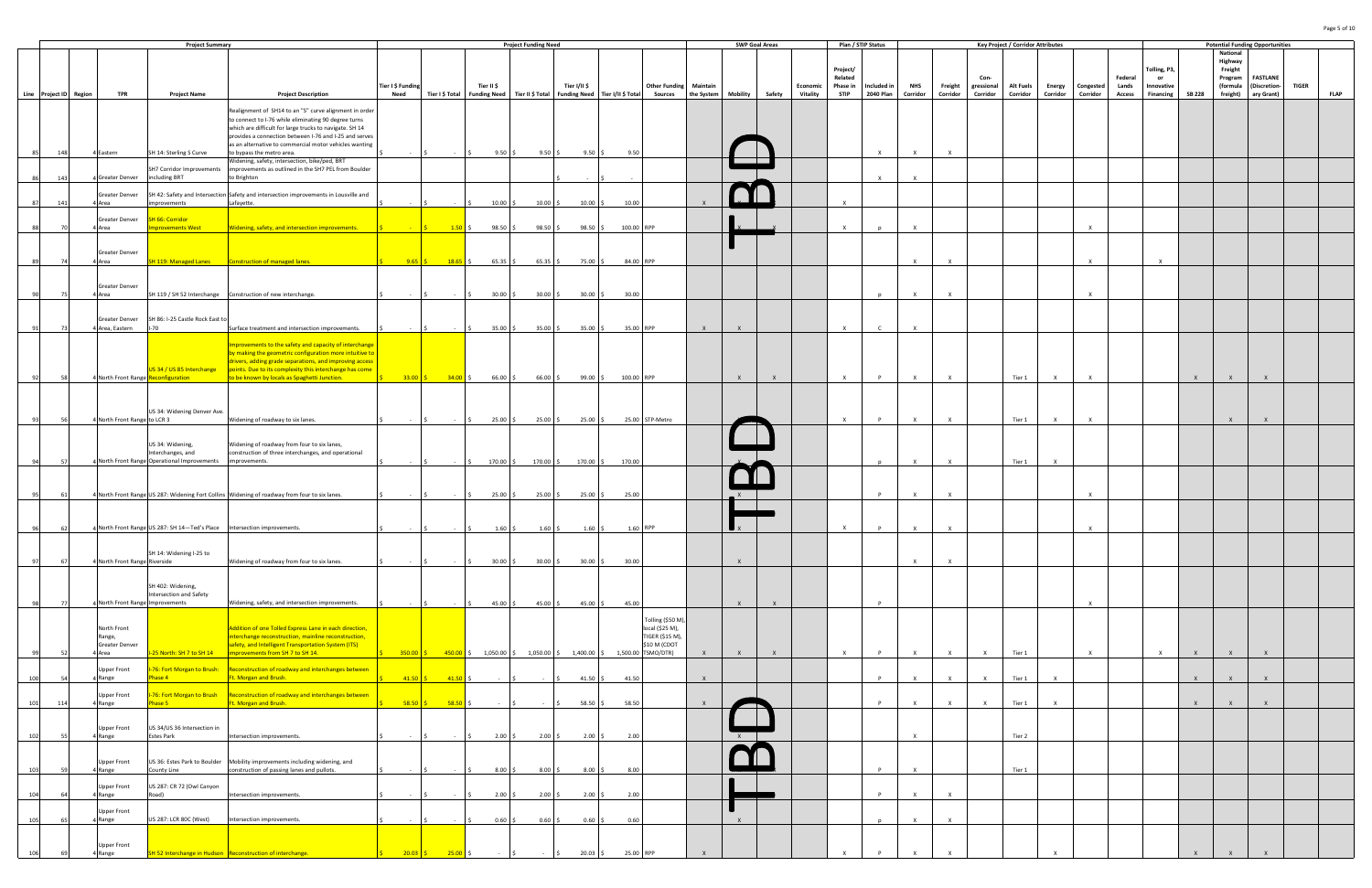|                        |                                  | <b>Project Summary</b>                                                   |                                                                                                                           |                   |                    |                                          | <b>Project Funding Need</b> |                    |                                                                                                                                                 |                                      |              |              | <b>SWP Goal Areas</b> |                 | Plan / STIP Status  |              |              |              |              | <b>Key Project / Corridor Attributes</b> |              |                  |               |                    |               |                     | <b>Potential Funding Opportunities</b> |              |             |
|------------------------|----------------------------------|--------------------------------------------------------------------------|---------------------------------------------------------------------------------------------------------------------------|-------------------|--------------------|------------------------------------------|-----------------------------|--------------------|-------------------------------------------------------------------------------------------------------------------------------------------------|--------------------------------------|--------------|--------------|-----------------------|-----------------|---------------------|--------------|--------------|--------------|--------------|------------------------------------------|--------------|------------------|---------------|--------------------|---------------|---------------------|----------------------------------------|--------------|-------------|
|                        |                                  |                                                                          |                                                                                                                           |                   |                    |                                          |                             |                    |                                                                                                                                                 |                                      |              |              |                       |                 |                     |              |              |              |              |                                          |              |                  |               |                    |               | National<br>Highway |                                        |              |             |
|                        |                                  |                                                                          |                                                                                                                           |                   |                    |                                          |                             |                    |                                                                                                                                                 |                                      |              |              |                       |                 | Project/<br>Related |              |              |              | Con-         |                                          |              |                  | Federal       | Tolling, P3,<br>or |               | Freight             | <b>FASTLANE</b>                        |              |             |
|                        |                                  |                                                                          |                                                                                                                           | Tier I \$ Funding |                    | Tier II \$                               |                             | Tier I/II \$       |                                                                                                                                                 | <b>Other Funding Maintain</b>        |              |              |                       | Economic        | Phase in            | Included in  | <b>NHS</b>   | Freight      | gressional   | <b>Alt Fuels</b>                         |              | Energy Congested | Lands         | Innovative         |               | Program<br>(formula | (Discretion-                           | <b>TIGER</b> |             |
| Line Project ID Region | <b>TPR</b>                       | <b>Project Name</b>                                                      | <b>Project Description</b>                                                                                                | Need              |                    |                                          |                             |                    | Tier I \$ Total   Funding Need   Tier II \$ Total   Funding Need   Tier I/II \$ Total                                                           | Sources   the System                 |              |              | Mobility Safety       | <b>Vitality</b> | <b>STIP</b>         | 2040 Plan    | Corridor     | Corridor     | Corridor     | Corridor                                 | Corridor     | Corridor         | <b>Access</b> | Financing          | <b>SB 228</b> | freight)            | ary Grant)                             |              | <b>FLAP</b> |
|                        |                                  |                                                                          | Realignment of SH14 to an "S" curve alignment in order<br>to connect to I-76 while eliminating 90 degree turns            |                   |                    |                                          |                             |                    |                                                                                                                                                 |                                      |              |              |                       |                 |                     |              |              |              |              |                                          |              |                  |               |                    |               |                     |                                        |              |             |
|                        |                                  |                                                                          | which are difficult for large trucks to navigate. SH 14<br>provides a connection between I-76 and I-25 and serves         |                   |                    |                                          |                             |                    |                                                                                                                                                 |                                      |              |              |                       |                 |                     |              |              |              |              |                                          |              |                  |               |                    |               |                     |                                        |              |             |
|                        |                                  |                                                                          | as an alternative to commercial motor vehicles wanting<br>to bypass the metro area.                                       |                   |                    |                                          |                             |                    |                                                                                                                                                 |                                      |              |              |                       |                 |                     |              |              |              |              |                                          |              |                  |               |                    |               |                     |                                        |              |             |
| 148                    | 4 Eastern                        | SH 14: Sterling S Curve                                                  | Widening, safety, intersection, bike/ped, BRT                                                                             |                   |                    | $9.50$ \$                                | 9.50%                       | $9.50\degree$ \$   | 9.50                                                                                                                                            |                                      |              |              |                       |                 |                     | $\mathsf{x}$ | $\mathsf{x}$ |              |              |                                          |              |                  |               |                    |               |                     |                                        |              |             |
| 143                    | 4 Greater Denver                 | SH7 Corridor Improvements<br>including BRT                               | improvements as outlined in the SH7 PEL from Boulder<br>to Brighton                                                       |                   |                    |                                          |                             |                    |                                                                                                                                                 |                                      |              |              |                       |                 |                     | $\mathsf{X}$ | $\mathsf{x}$ |              |              |                                          |              |                  |               |                    |               |                     |                                        |              |             |
|                        | Greater Denver                   |                                                                          | SH 42: Safety and Intersection Safety and intersection improvements in Lousville and                                      |                   |                    |                                          |                             |                    |                                                                                                                                                 |                                      |              |              |                       |                 |                     |              |              |              |              |                                          |              |                  |               |                    |               |                     |                                        |              |             |
|                        | 4 Area                           | mprovements                                                              | Lafayette.                                                                                                                |                   |                    | $10.00$ :                                | $10.00$ \$                  | $10.00\frac{1}{5}$ | 10.00                                                                                                                                           |                                      |              |              |                       |                 | $\mathbf{x}$        |              |              |              |              |                                          |              |                  |               |                    |               |                     |                                        |              |             |
|                        | Greater Denver<br>4 Area         | <b>SH 66: Corridor</b><br>provements West                                | Widening, safety, and intersection improvements.                                                                          |                   | $1.50 \div$        | $98.50$ \$                               | $98.50$ \$                  | 98.50%             | 100.00 RPP                                                                                                                                      |                                      |              |              |                       |                 | $\mathbf{x}$        |              | $\mathsf{x}$ |              |              |                                          |              |                  |               |                    |               |                     |                                        |              |             |
|                        |                                  |                                                                          |                                                                                                                           |                   |                    |                                          |                             |                    |                                                                                                                                                 |                                      |              |              |                       |                 |                     |              |              |              |              |                                          |              |                  |               |                    |               |                     |                                        |              |             |
|                        | Greater Denver                   |                                                                          |                                                                                                                           |                   |                    |                                          |                             |                    |                                                                                                                                                 |                                      |              |              |                       |                 |                     |              |              |              |              |                                          |              |                  |               |                    |               |                     |                                        |              |             |
|                        | 4 Area                           | SH 119: Managed Lanes                                                    | Construction of managed lanes.                                                                                            |                   | $9.65$ \$ 18.65 \$ | $65.35$ \$                               | $65.35\%$                   | 75.00 \$           | 84.00 RPP                                                                                                                                       |                                      |              |              |                       |                 |                     |              | $\mathbf{x}$ |              |              |                                          |              |                  |               | $\mathbf{x}$       |               |                     |                                        |              |             |
|                        | Greater Denver                   |                                                                          |                                                                                                                           |                   |                    |                                          |                             |                    |                                                                                                                                                 |                                      |              |              |                       |                 |                     |              |              |              |              |                                          |              |                  |               |                    |               |                     |                                        |              |             |
| - 75                   | 4 Area                           |                                                                          | SH 119 / SH 52 Interchange   Construction of new interchange.                                                             |                   |                    | $30.00$ \$                               | $30.00$ \$                  | $30.00$ \$         | 30.00                                                                                                                                           |                                      |              |              |                       |                 |                     |              | $\mathbf{x}$ |              |              |                                          |              |                  |               |                    |               |                     |                                        |              |             |
|                        | Greater Denver                   | SH 86: I-25 Castle Rock East to                                          |                                                                                                                           |                   |                    |                                          |                             |                    |                                                                                                                                                 |                                      |              |              |                       |                 |                     |              |              |              |              |                                          |              |                  |               |                    |               |                     |                                        |              |             |
|                        | 4 Area, Eastern                  | -70                                                                      | Surface treatment and intersection improvements.                                                                          |                   |                    | 35.00%                                   | 35.00%                      |                    | 35.00 \$ 35.00 RPP                                                                                                                              |                                      | $\mathsf{X}$ | $\mathsf{X}$ |                       |                 | $\mathbf{x}$        |              | $\mathbf{x}$ |              |              |                                          |              |                  |               |                    |               |                     |                                        |              |             |
|                        |                                  |                                                                          | Improvements to the safety and capacity of interchange                                                                    |                   |                    |                                          |                             |                    |                                                                                                                                                 |                                      |              |              |                       |                 |                     |              |              |              |              |                                          |              |                  |               |                    |               |                     |                                        |              |             |
|                        |                                  |                                                                          | by making the geometric configuration more intuitive to<br>drivers, adding grade separations, and improving access        |                   |                    |                                          |                             |                    |                                                                                                                                                 |                                      |              |              |                       |                 |                     |              |              |              |              |                                          |              |                  |               |                    |               |                     |                                        |              |             |
|                        |                                  | US 34 / US 85 Interchange<br>4 North Front Range Reconfiguration         | points. Due to its complexity this interchange has come<br>to be known by locals as Spaghetti Junction.                   |                   |                    | $\frac{1}{5}$ 33.00 \$ 34.00 \$ 66.00 \$ | $66.00$ \$                  |                    | 99.00 \$ 100.00 RPP                                                                                                                             |                                      |              | $\mathsf{X}$ | $\mathsf{X}$          |                 | $\mathsf{X}$        | P            | $\mathsf{X}$ | $\mathbf{x}$ |              | Tier 1                                   | $\times$     | $\times$         |               |                    | $\mathsf{X}$  | $\mathsf{X}$        |                                        |              |             |
|                        |                                  |                                                                          |                                                                                                                           |                   |                    |                                          |                             |                    |                                                                                                                                                 |                                      |              |              |                       |                 |                     |              |              |              |              |                                          |              |                  |               |                    |               |                     |                                        |              |             |
|                        |                                  | US 34: Widening Denver Ave.                                              |                                                                                                                           |                   |                    |                                          |                             |                    |                                                                                                                                                 |                                      |              |              |                       |                 |                     |              |              |              |              |                                          |              |                  |               |                    |               |                     |                                        |              |             |
|                        | 4 North Front Range to LCR 3     |                                                                          | Widening of roadway to six lanes.                                                                                         |                   |                    | 25.00                                    | $25.00$ \$                  | $25.00$ \$         |                                                                                                                                                 | 25.00 STP-Metro                      |              |              |                       |                 | $\mathsf{x}$        | P            | $\mathsf{x}$ | $\mathbf{v}$ |              | Tier 1                                   | $\mathbf{Y}$ | $\mathbf{x}$     |               |                    |               | $\mathbf{x}$        |                                        |              |             |
|                        |                                  |                                                                          | Widening of roadway from four to six lanes,                                                                               |                   |                    |                                          |                             |                    |                                                                                                                                                 |                                      |              |              |                       |                 |                     |              |              |              |              |                                          |              |                  |               |                    |               |                     |                                        |              |             |
|                        |                                  | US 34: Widening,<br>Interchanges, and                                    | construction of three interchanges, and operational                                                                       |                   |                    |                                          |                             |                    |                                                                                                                                                 |                                      |              |              |                       |                 |                     |              |              |              |              |                                          |              |                  |               |                    |               |                     |                                        |              |             |
|                        |                                  | 4 North Front Range Operational Improvements                             | improvements.                                                                                                             |                   |                    | 170.00 \$                                | 170.00 \$                   | 170.00 \$          | 170.00                                                                                                                                          |                                      |              |              |                       |                 |                     |              | $\mathbf{x}$ |              |              | Tier 1                                   |              |                  |               |                    |               |                     |                                        |              |             |
|                        |                                  |                                                                          |                                                                                                                           |                   |                    |                                          |                             |                    |                                                                                                                                                 |                                      |              |              |                       |                 |                     |              |              |              |              |                                          |              |                  |               |                    |               |                     |                                        |              |             |
| -61                    |                                  |                                                                          | 4 North Front Range US 287: Widening Fort Collins Widening of roadway from four to six lanes.                             |                   |                    | $25.00$ \$                               | 25.00%                      | $25.00$ \$         | 25.00                                                                                                                                           |                                      |              |              |                       |                 |                     | <b>P</b>     | $\mathbf{x}$ |              |              |                                          |              |                  |               |                    |               |                     |                                        |              |             |
|                        |                                  |                                                                          |                                                                                                                           |                   |                    |                                          |                             |                    |                                                                                                                                                 |                                      |              |              |                       |                 |                     |              |              |              |              |                                          |              |                  |               |                    |               |                     |                                        |              |             |
|                        |                                  | 4 North Front Range US 287: SH 14-Ted's Place Intersection improvements. |                                                                                                                           |                   |                    | $1.60$ :                                 | $1.60 \pm 5$                | $1.60 \div$        | 1.60 RPP                                                                                                                                        |                                      |              |              |                       |                 | $\times$            | P.           | $\mathsf{X}$ |              |              |                                          |              |                  |               |                    |               |                     |                                        |              |             |
|                        |                                  | SH 14: Widening I-25 to                                                  |                                                                                                                           |                   |                    |                                          |                             |                    |                                                                                                                                                 |                                      |              |              |                       |                 |                     |              |              |              |              |                                          |              |                  |               |                    |               |                     |                                        |              |             |
|                        | 4 North Front Range Riverside    |                                                                          | Widening of roadway from four to six lanes.                                                                               |                   |                    | $30.00$ \$                               | $30.00$ \$                  | $30.00$ \$         | 30.00                                                                                                                                           |                                      |              | $\mathsf{X}$ |                       |                 |                     |              | $\mathsf{X}$ | $\mathsf{x}$ |              |                                          |              |                  |               |                    |               |                     |                                        |              |             |
|                        |                                  |                                                                          |                                                                                                                           |                   |                    |                                          |                             |                    |                                                                                                                                                 |                                      |              |              |                       |                 |                     |              |              |              |              |                                          |              |                  |               |                    |               |                     |                                        |              |             |
|                        |                                  | SH 402: Widening,<br>Intersection and Safety                             |                                                                                                                           |                   |                    |                                          |                             |                    |                                                                                                                                                 |                                      |              |              |                       |                 |                     |              |              |              |              |                                          |              |                  |               |                    |               |                     |                                        |              |             |
|                        | 4 North Front Range Improvements |                                                                          | Widening, safety, and intersection improvements.                                                                          |                   |                    | 45.00%                                   | 45.00%                      |                    | $45.00\frac{1}{5}$<br>45.00                                                                                                                     |                                      |              | $\mathsf{X}$ | $\mathsf{X}$          |                 |                     | $\mathsf{P}$ |              |              |              |                                          |              | $\mathsf{x}$     |               |                    |               |                     |                                        |              |             |
|                        | North Front                      |                                                                          | Addition of one Tolled Express Lane in each direction,                                                                    |                   |                    |                                          |                             |                    |                                                                                                                                                 | Tolling (\$50 M),<br>local (\$25 M), |              |              |                       |                 |                     |              |              |              |              |                                          |              |                  |               |                    |               |                     |                                        |              |             |
|                        | Range,<br>Greater Denver         |                                                                          | interchange reconstruction, mainline reconstruction,<br>safety, and Intelligent Transportation System (ITS)               |                   |                    |                                          |                             |                    |                                                                                                                                                 | TIGER (\$15 M),<br>\$10 M (CDOT      |              |              |                       |                 |                     |              |              |              |              |                                          |              |                  |               |                    |               |                     |                                        |              |             |
|                        | 4 Area                           | 25 North: SH 7 to SH 14                                                  | improvements from SH 7 to SH 14.                                                                                          |                   |                    |                                          |                             |                    | $\frac{1}{2}$ 350.00 $\frac{1}{2}$ 450.00 $\frac{1}{2}$ 1,050.00 $\frac{1}{2}$ 1,050.00 $\frac{1}{2}$ 1,400.00 $\frac{1}{2}$ 1,500.00 TSMO/DTR) |                                      | $\mathsf{X}$ | $\mathsf{X}$ | $\mathsf{X}$          |                 | $\times$            | P            | $\times$     | $\mathsf{x}$ | $\mathsf{X}$ | Tier 1                                   |              | $\times$         |               | $\mathsf{X}$       | $\mathsf{X}$  | $\mathsf{X}$        | $\mathsf{X}$                           |              |             |
| 100                    | Upper Front<br>4 Range           | Phase 4                                                                  | 1-76: Fort Morgan to Brush: Reconstruction of roadway and interchanges between<br>Ft. Morgan and Brush.                   | $41.50$ \$        | $-41.50$ \$        |                                          |                             | $41.50$ \$         | 41.50                                                                                                                                           |                                      | $\mathsf{X}$ |              |                       |                 |                     | P            | $\mathbf{x}$ | $\mathbf{x}$ | $\mathsf{X}$ | Tier 1                                   |              |                  |               |                    | $\mathbf{x}$  | $\mathbf{x}$        |                                        |              |             |
|                        |                                  |                                                                          |                                                                                                                           |                   |                    |                                          |                             |                    |                                                                                                                                                 |                                      |              |              |                       |                 |                     |              |              |              |              |                                          |              |                  |               |                    |               |                     |                                        |              |             |
| 101<br>114             | Upper Front<br>4 Range           | I-76: Fort Morgan to Brush<br>hase 5                                     | Reconstruction of roadway and interchanges between<br>t. Morgan and Brush.                                                | $58.50$ \$        | $58.50$ \$         |                                          |                             | $58.50\%$          | 58.50                                                                                                                                           |                                      | $\mathsf{X}$ |              |                       |                 |                     | P            | $\times$     | $\mathbf{x}$ | $\mathsf{x}$ | Tier 1                                   |              |                  |               |                    | $\mathbf{x}$  |                     |                                        |              |             |
|                        |                                  |                                                                          |                                                                                                                           |                   |                    |                                          |                             |                    |                                                                                                                                                 |                                      |              |              |                       |                 |                     |              |              |              |              |                                          |              |                  |               |                    |               |                     |                                        |              |             |
|                        | <b>Upper Front</b><br>4 Range    | US 34/US 36 Intersection in<br>Estes Park                                | Intersection improvements.                                                                                                |                   |                    | 2.00                                     | $2.00\frac{1}{5}$           | $2.00\frac{1}{5}$  | 2.00                                                                                                                                            |                                      |              | X            |                       |                 |                     |              | $\mathsf{x}$ |              |              | Tier 2                                   |              |                  |               |                    |               |                     |                                        |              |             |
|                        |                                  |                                                                          |                                                                                                                           |                   |                    |                                          |                             |                    |                                                                                                                                                 |                                      |              |              |                       |                 |                     |              |              |              |              |                                          |              |                  |               |                    |               |                     |                                        |              |             |
|                        | <b>Upper Front</b><br>4 Range    | County Line                                                              | US 36: Estes Park to Boulder  Mobility improvements including widening, and<br>construction of passing lanes and pullots. |                   |                    | 8.00                                     | $8.00\frac{5}{5}$           | $8.00\frac{5}{7}$  | 8.00                                                                                                                                            |                                      |              |              |                       |                 |                     | P            | $\mathsf{X}$ |              |              | Tier 1                                   |              |                  |               |                    |               |                     |                                        |              |             |
|                        | Upper Front                      | US 287: CR 72 (Owl Canyon                                                |                                                                                                                           |                   |                    |                                          |                             |                    |                                                                                                                                                 |                                      |              |              |                       |                 |                     |              |              |              |              |                                          |              |                  |               |                    |               |                     |                                        |              |             |
|                        | 4 Range                          | Road)                                                                    | Intersection improvements.                                                                                                |                   |                    | 2.00                                     | $2.00$ \$                   | 2.00%              | 2.00                                                                                                                                            |                                      |              |              |                       |                 |                     | P            | $\mathsf{x}$ | $\mathsf{x}$ |              |                                          |              |                  |               |                    |               |                     |                                        |              |             |
|                        | <b>Upper Front</b>               |                                                                          |                                                                                                                           |                   |                    |                                          |                             |                    |                                                                                                                                                 |                                      |              |              |                       |                 |                     |              |              | $\mathsf{x}$ |              |                                          |              |                  |               |                    |               |                     |                                        |              |             |
| 105                    | 4 Range                          | US 287: LCR 80C (West)                                                   | Intersection improvements.                                                                                                |                   |                    | $0.60$ \$                                | 0.60%                       |                    | 0.60<br>$0.60\frac{1}{5}$                                                                                                                       |                                      |              | $\mathsf{x}$ |                       |                 |                     | p            | $\mathsf{X}$ |              |              |                                          |              |                  |               |                    |               |                     |                                        |              |             |
|                        | Upper Front                      |                                                                          |                                                                                                                           |                   |                    |                                          |                             |                    |                                                                                                                                                 |                                      |              |              |                       |                 |                     |              |              |              |              |                                          |              |                  |               |                    |               |                     |                                        |              |             |
|                        | <b>Range</b>                     |                                                                          | SH 52 Interchange in Hudson Reconstruction of interchange.                                                                | 20.03             |                    |                                          |                             | 20.03              | 25.00 RPP                                                                                                                                       |                                      |              |              |                       |                 |                     |              |              |              |              |                                          |              |                  |               |                    |               |                     |                                        |              |             |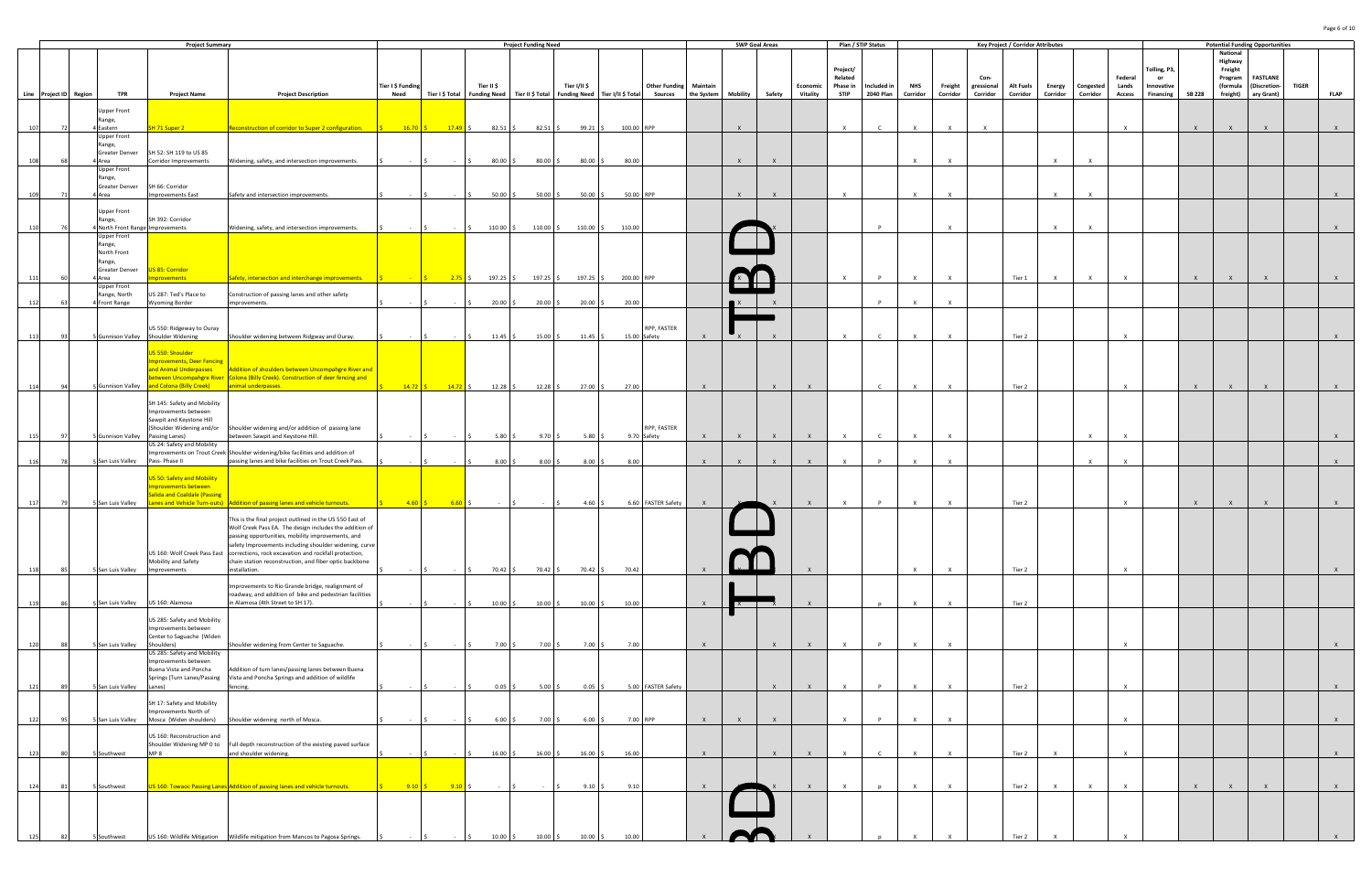|                        |      |                                            | <b>Project Summary</b>                              |                                                                                                                                              |                   |                                                   |                                 | <b>Project Funding Need</b> |                                                                            |              |                               |              | <b>SWP Goal Areas</b>    |              |                 | Plan / STIP Status  |                  |              |              |                    | <b>Key Project / Corridor Attributes</b> |              |                  |                  |                         |               | <b>Potential Funding Opportunities</b> |                          |              |              |
|------------------------|------|--------------------------------------------|-----------------------------------------------------|----------------------------------------------------------------------------------------------------------------------------------------------|-------------------|---------------------------------------------------|---------------------------------|-----------------------------|----------------------------------------------------------------------------|--------------|-------------------------------|--------------|--------------------------|--------------|-----------------|---------------------|------------------|--------------|--------------|--------------------|------------------------------------------|--------------|------------------|------------------|-------------------------|---------------|----------------------------------------|--------------------------|--------------|--------------|
|                        |      |                                            |                                                     |                                                                                                                                              |                   |                                                   |                                 |                             |                                                                            |              |                               |              |                          |              |                 |                     |                  |              |              |                    |                                          |              |                  |                  |                         |               | National<br>Highway                    |                          |              |              |
|                        |      |                                            |                                                     |                                                                                                                                              |                   |                                                   |                                 |                             |                                                                            |              |                               |              |                          |              |                 | Project/            |                  |              |              |                    |                                          |              |                  |                  | Tolling, P3,            |               | Freight                                |                          |              |              |
|                        |      |                                            |                                                     |                                                                                                                                              | Tier I \$ Funding |                                                   | Tier II \$                      |                             | Tier I/II \$                                                               |              | <b>Other Funding Maintain</b> |              |                          |              | Economic        | Related<br>Phase in | Included in      | <b>NHS</b>   | Freight      | Con-<br>gressional | Alt Fuels                                |              | Energy Congested | Federal<br>Lands | <b>or</b><br>Innovative |               | Program<br>(formula                    | FASTLANE<br>(Discretion- | <b>TIGER</b> |              |
| Line Project ID Region |      | TPR                                        | <b>Project Name</b>                                 | <b>Project Description</b>                                                                                                                   | Need              | Tier I \$ Total                                   | Funding Need   Tier II \$ Total |                             | Funding Need   Tier I/II \$ Total Sources   the System   Mobility   Safety |              |                               |              |                          |              | <b>Vitality</b> | <b>STIP</b>         | <b>2040 Plan</b> | Corridor     | Corridor     | Corridor           | Corridor                                 | Corridor     | Corridor         | <b>Access</b>    | Financing               | <b>SB 228</b> | freight)                               | ary Grant)               |              | <b>FLAP</b>  |
|                        |      | <b>Upper Front</b>                         |                                                     |                                                                                                                                              |                   |                                                   |                                 |                             |                                                                            |              |                               |              |                          |              |                 |                     |                  |              |              |                    |                                          |              |                  |                  |                         |               |                                        |                          |              |              |
|                        |      | Range,                                     |                                                     |                                                                                                                                              |                   |                                                   |                                 |                             |                                                                            |              |                               |              |                          |              |                 |                     |                  |              |              |                    |                                          |              |                  |                  |                         |               |                                        |                          |              |              |
| 107                    |      | 4 Eastern<br><b>Upper Front</b>            | SH 71 Super 2                                       | Reconstruction of corridor to Super 2 configuration.                                                                                         |                   | $\frac{\zeta}{\zeta}$ 16.70 $\zeta$ 17.49 $\zeta$ | $82.51$ \$                      | $82.51 \pm 5$               | 99.21 :                                                                    | 100.00 RPP   |                               |              |                          |              |                 | $\mathbf{x}$        | $\mathsf{C}$     | $\mathsf{X}$ |              |                    |                                          |              |                  |                  |                         |               |                                        |                          |              |              |
|                        |      | Range,                                     |                                                     |                                                                                                                                              |                   |                                                   |                                 |                             |                                                                            |              |                               |              |                          |              |                 |                     |                  |              |              |                    |                                          |              |                  |                  |                         |               |                                        |                          |              |              |
|                        |      | Greater Denver<br>4 Area                   | SH 52: SH 119 to US 85<br>Corridor Improvements     | Widening, safety, and intersection improvements.                                                                                             |                   |                                                   | $80.00$ \$                      | 80.00                       | 80.00                                                                      | 80.00        |                               |              | $\mathbf{x}$             | $\mathsf{X}$ |                 |                     |                  | $\mathbf{x}$ | Y            |                    |                                          |              |                  |                  |                         |               |                                        |                          |              |              |
|                        |      | <b>Upper Front</b>                         |                                                     |                                                                                                                                              |                   |                                                   |                                 |                             |                                                                            |              |                               |              |                          |              |                 |                     |                  |              |              |                    |                                          |              |                  |                  |                         |               |                                        |                          |              |              |
|                        |      | Range,<br>Greater Denver                   | SH 66: Corridor                                     |                                                                                                                                              |                   |                                                   |                                 |                             |                                                                            |              |                               |              |                          |              |                 |                     |                  |              |              |                    |                                          |              |                  |                  |                         |               |                                        |                          |              |              |
|                        |      | 4 Area                                     | <b>Improvements East</b>                            | Safety and intersection improvements.                                                                                                        |                   | $\sim 100$                                        | $50.00$ \$                      | $50.00$ \$                  | 50.00                                                                      | 50.00 RPP    |                               |              | $\mathsf{X}$             | $\mathsf{X}$ |                 | $\mathbf{x}$        |                  | $\mathsf{X}$ | $\mathsf{x}$ |                    |                                          |              |                  |                  |                         |               |                                        |                          |              |              |
|                        |      | <b>Upper Front</b>                         |                                                     |                                                                                                                                              |                   |                                                   |                                 |                             |                                                                            |              |                               |              |                          |              |                 |                     |                  |              |              |                    |                                          |              |                  |                  |                         |               |                                        |                          |              |              |
| 110                    |      | Range,<br>4 North Front Range Improvements | SH 392: Corridor                                    | Widening, safety, and intersection improvements.                                                                                             |                   |                                                   | $110.00$ \$                     | 110.00 \$                   | 110.00 \$                                                                  | 110.00       |                               |              |                          |              |                 |                     | P                |              | $\mathsf{x}$ |                    |                                          |              |                  |                  |                         |               |                                        |                          |              |              |
|                        |      | <b>Upper Front</b>                         |                                                     |                                                                                                                                              |                   |                                                   |                                 |                             |                                                                            |              |                               |              |                          |              |                 |                     |                  |              |              |                    |                                          |              |                  |                  |                         |               |                                        |                          |              |              |
|                        |      | Range,<br>North Front                      |                                                     |                                                                                                                                              |                   |                                                   |                                 |                             |                                                                            |              |                               |              |                          |              |                 |                     |                  |              |              |                    |                                          |              |                  |                  |                         |               |                                        |                          |              |              |
|                        |      | Range,                                     |                                                     |                                                                                                                                              |                   |                                                   |                                 |                             |                                                                            |              |                               |              |                          |              |                 |                     |                  |              |              |                    |                                          |              |                  |                  |                         |               |                                        |                          |              |              |
|                        |      | Greater Denver<br>Area                     | JS 85: Corridor<br>provements                       | Safety, intersection and interchange improvements.                                                                                           |                   |                                                   | $2.75$ \$ 197.25 \$             | 197.25 \$                   | 197.25 \$                                                                  | 200.00 RPP   |                               |              |                          |              |                 |                     | P                |              | $\mathsf{x}$ |                    | Tier 1                                   |              |                  |                  |                         | $\mathsf{X}$  |                                        | $\mathsf{X}$             |              |              |
|                        |      | <b>Upper Front</b>                         |                                                     |                                                                                                                                              |                   |                                                   |                                 |                             |                                                                            |              |                               |              | $\overline{\phantom{a}}$ |              |                 |                     |                  |              |              |                    |                                          |              |                  |                  |                         |               |                                        |                          |              |              |
|                        |      | Range, North<br>4 Front Range              | US 287: Ted's Place to<br>Wyoming Border            | Construction of passing lanes and other safety<br>improvements.                                                                              |                   |                                                   | $20.00$ \$                      | $20.00$ \$                  | 20.00                                                                      | 20.00        |                               |              |                          |              |                 |                     | P                | $\mathsf{X}$ | $\mathsf{x}$ |                    |                                          |              |                  |                  |                         |               |                                        |                          |              |              |
|                        |      |                                            |                                                     |                                                                                                                                              |                   |                                                   |                                 |                             |                                                                            |              |                               |              |                          |              |                 |                     |                  |              |              |                    |                                          |              |                  |                  |                         |               |                                        |                          |              |              |
|                        |      |                                            | US 550: Ridgeway to Ouray                           |                                                                                                                                              |                   |                                                   |                                 |                             |                                                                            |              | RPP, FASTER                   |              |                          |              |                 |                     |                  |              |              |                    |                                          |              |                  |                  |                         |               |                                        |                          |              |              |
| 113                    | 93   | 5 Gunnison Valley Shoulder Widening        |                                                     | Shoulder widening between Ridgway and Ouray.                                                                                                 |                   |                                                   | $11.45 \pm 5$                   | $15.00\%$                   | $11.45$ \$                                                                 | 15.00 Safety |                               | $\mathsf{X}$ |                          | $\mathsf{X}$ |                 | $\mathsf{X}$        |                  | $\times$     | $\mathsf{x}$ |                    | Tier 2                                   |              |                  | $\mathsf{X}$     |                         |               |                                        |                          |              |              |
|                        |      |                                            | US 550: Shoulder                                    |                                                                                                                                              |                   |                                                   |                                 |                             |                                                                            |              |                               |              |                          |              |                 |                     |                  |              |              |                    |                                          |              |                  |                  |                         |               |                                        |                          |              |              |
|                        |      |                                            | nprovements, Deer Fencing<br>and Animal Underpasses | Addition of shoulders between Uncompahgre River and                                                                                          |                   |                                                   |                                 |                             |                                                                            |              |                               |              |                          |              |                 |                     |                  |              |              |                    |                                          |              |                  |                  |                         |               |                                        |                          |              |              |
|                        |      |                                            |                                                     | between Uncompahgre River   Colona (Billy Creek). Construction of deer fencing and                                                           |                   |                                                   |                                 |                             |                                                                            |              |                               |              |                          |              |                 |                     |                  |              |              |                    |                                          |              |                  |                  |                         |               |                                        |                          |              |              |
|                        |      |                                            | 5 Gunnison Valley and Colona (Billy Creek)          | animal underpasses.                                                                                                                          |                   | $14.72$ \$ $14.72$ \$                             | $12.28 \quad$ \$                | $12.28$ \$                  | $27.00$ \$                                                                 | 27.00        |                               | $\mathsf{X}$ |                          | $\mathsf{X}$ | $\mathsf{X}$    |                     | $\mathsf{C}$     | $\mathsf{x}$ | X            |                    | Tier 2                                   |              |                  | $\mathbf{x}$     |                         | $\mathsf{X}$  |                                        |                          |              |              |
|                        |      |                                            | SH 145: Safety and Mobility                         |                                                                                                                                              |                   |                                                   |                                 |                             |                                                                            |              |                               |              |                          |              |                 |                     |                  |              |              |                    |                                          |              |                  |                  |                         |               |                                        |                          |              |              |
|                        |      |                                            | Improvements between<br>Sawpit and Keystone Hill    |                                                                                                                                              |                   |                                                   |                                 |                             |                                                                            |              |                               |              |                          |              |                 |                     |                  |              |              |                    |                                          |              |                  |                  |                         |               |                                        |                          |              |              |
|                        |      |                                            |                                                     | (Shoulder Widening and/or Shoulder widening and/or addition of passing lane                                                                  |                   |                                                   |                                 |                             |                                                                            |              | RPP, FASTER                   |              |                          |              |                 |                     |                  |              |              |                    |                                          |              |                  |                  |                         |               |                                        |                          |              |              |
| 115                    |      | 5 Gunnison Valley Passing Lanes)           | US 24: Safety and Mobility                          | between Sawpit and Keystone Hill.                                                                                                            |                   |                                                   | $5.80\degree$                   | 9.70                        | 5.80                                                                       | 9.70 Safety  |                               | $\mathsf{X}$ | $\mathsf{X}$             | $\mathsf{X}$ |                 |                     |                  |              |              |                    |                                          |              |                  |                  |                         |               |                                        |                          |              |              |
| 116                    |      | 5 San Luis Valley                          | Pass- Phase II                                      | Improvements on Trout Creek Shoulder widening/bike facilities and addition of<br>passing lanes and bike facilities on Trout Creek Pass.      |                   |                                                   | $8.00\frac{2}{3}$               | $8.00\frac{1}{5}$           | 8.00%                                                                      | 8.00         |                               | $\mathsf{X}$ |                          | $\mathsf{X}$ |                 |                     | P                |              | $\mathsf{x}$ |                    |                                          |              |                  |                  |                         |               |                                        |                          |              |              |
|                        |      |                                            |                                                     |                                                                                                                                              |                   |                                                   |                                 |                             |                                                                            |              |                               |              |                          |              |                 |                     |                  |              |              |                    |                                          |              |                  |                  |                         |               |                                        |                          |              |              |
|                        |      |                                            | US 50: Safety and Mobility<br>mprovements between   |                                                                                                                                              |                   |                                                   |                                 |                             |                                                                            |              |                               |              |                          |              |                 |                     |                  |              |              |                    |                                          |              |                  |                  |                         |               |                                        |                          |              |              |
|                        |      |                                            | <b>Salida and Coaldale (Passing</b>                 |                                                                                                                                              |                   |                                                   |                                 |                             |                                                                            |              |                               |              |                          |              |                 |                     |                  |              |              |                    |                                          |              |                  |                  |                         |               |                                        |                          |              |              |
|                        |      | 5 San Luis Valley                          |                                                     | Lanes and Vehicle Turn-outs) Addition of passing lanes and vehicle turnouts.                                                                 |                   |                                                   |                                 |                             | 4.60                                                                       |              | 6.60 FASTER Safety            | $\mathsf{X}$ |                          |              |                 |                     |                  | $\mathsf{x}$ | $\mathsf{x}$ |                    | Tier 2                                   |              |                  | $\times$         |                         |               |                                        |                          |              |              |
|                        |      |                                            |                                                     | This is the final project outlined in the US 550 East of                                                                                     |                   |                                                   |                                 |                             |                                                                            |              |                               |              |                          |              |                 |                     |                  |              |              |                    |                                          |              |                  |                  |                         |               |                                        |                          |              |              |
|                        |      |                                            |                                                     | Wolf Creek Pass EA. The design includes the addition of<br>passing opportunities, mobility improvements, and                                 |                   |                                                   |                                 |                             |                                                                            |              |                               |              |                          |              |                 |                     |                  |              |              |                    |                                          |              |                  |                  |                         |               |                                        |                          |              |              |
|                        |      |                                            |                                                     | safety Improvements including shoulder widening, curve<br>US 160: Wolf Creek Pass East corrections, rock excavation and rockfall protection, |                   |                                                   |                                 |                             |                                                                            |              |                               |              |                          |              |                 |                     |                  |              |              |                    |                                          |              |                  |                  |                         |               |                                        |                          |              |              |
|                        |      |                                            | Mobility and Safety                                 | chain station reconstruction, and fiber optic backbone                                                                                       |                   |                                                   |                                 |                             |                                                                            |              |                               |              |                          |              |                 |                     |                  |              |              |                    |                                          |              |                  |                  |                         |               |                                        |                          |              |              |
| 118                    | - 85 | 5 San Luis Valley                          | Improvements                                        | installation.                                                                                                                                |                   |                                                   | 70.42 \$                        | 70.42 \$                    | $70.42 \div$                                                               | 70.42        |                               |              |                          |              |                 |                     |                  | $\times$     | $\mathsf{x}$ |                    | Tier 2                                   |              |                  |                  |                         |               |                                        |                          |              | $\mathsf{X}$ |
|                        |      |                                            |                                                     | Improvements to Rio Grande bridge, realignment of                                                                                            |                   |                                                   |                                 |                             |                                                                            |              |                               |              |                          |              |                 |                     |                  |              |              |                    |                                          |              |                  |                  |                         |               |                                        |                          |              |              |
| 119                    |      | 5 San Luis Valley                          | US 160: Alamosa                                     | roadway, and addition of bike and pedestrian facilities<br>in Alamosa (4th Street to SH 17).                                                 |                   |                                                   | $10.00$ \$                      | $10.00$ \$                  | $10.00$ \$                                                                 | 10.00        |                               | $\mathsf{X}$ |                          |              | $\mathbf{x}$    |                     |                  | $\mathsf{x}$ | $\mathbf{x}$ |                    | Tier 2                                   |              |                  |                  |                         |               |                                        |                          |              |              |
|                        |      |                                            | US 285: Safety and Mobility                         |                                                                                                                                              |                   |                                                   |                                 |                             |                                                                            |              |                               |              |                          |              |                 |                     |                  |              |              |                    |                                          |              |                  |                  |                         |               |                                        |                          |              |              |
|                        |      |                                            | Improvements between                                |                                                                                                                                              |                   |                                                   |                                 |                             |                                                                            |              |                               |              |                          |              |                 |                     |                  |              |              |                    |                                          |              |                  |                  |                         |               |                                        |                          |              |              |
| 120                    | - 88 | 5 San Luis Valley                          | Center to Saguache (Widen<br>Shoulders)             | Shoulder widening from Center to Saguache.                                                                                                   |                   |                                                   | $7.00\%$                        | $7.00 \,$ \$                | $7.00\%$                                                                   | 7.00         |                               | X            |                          | $\mathsf{X}$ | $\mathsf{X}$    | $\mathsf{X}$        | P                | $\mathsf{X}$ | $\mathsf{X}$ |                    |                                          |              |                  | $\mathsf{X}$     |                         |               |                                        |                          |              | $\mathsf{X}$ |
|                        |      |                                            | US 285: Safety and Mobility                         |                                                                                                                                              |                   |                                                   |                                 |                             |                                                                            |              |                               |              |                          |              |                 |                     |                  |              |              |                    |                                          |              |                  |                  |                         |               |                                        |                          |              |              |
|                        |      |                                            | Improvements between<br>Buena Vista and Poncha      | Addition of turn lanes/passing lanes between Buena                                                                                           |                   |                                                   |                                 |                             |                                                                            |              |                               |              |                          |              |                 |                     |                  |              |              |                    |                                          |              |                  |                  |                         |               |                                        |                          |              |              |
|                        |      |                                            | Springs (Turn Lanes/Passing                         | Vista and Poncha Springs and addition of wildlife                                                                                            |                   |                                                   |                                 |                             |                                                                            |              |                               |              |                          |              |                 |                     |                  |              |              |                    |                                          |              |                  |                  |                         |               |                                        |                          |              |              |
| 121                    |      | 5 San Luis Valley                          | Lanes)                                              | fencing.                                                                                                                                     |                   |                                                   | $0.05$ \$                       | 5.00%                       | 0.05                                                                       |              | 5.00 FASTER Safety            |              |                          | $\mathsf{X}$ | $\mathsf{X}$    | $\mathsf{X}$        | P                | $\mathsf{X}$ | $\mathsf{x}$ |                    | Tier 2                                   |              |                  | $\mathsf{X}$     |                         |               |                                        |                          |              | $\mathsf{X}$ |
|                        |      |                                            | SH 17: Safety and Mobility                          |                                                                                                                                              |                   |                                                   |                                 |                             |                                                                            |              |                               |              |                          |              |                 |                     |                  |              |              |                    |                                          |              |                  |                  |                         |               |                                        |                          |              |              |
| 122                    | - 95 | 5 San Luis Valley                          | Improvements North of<br>Mosca (Widen shoulders)    | Shoulder widening north of Mosca.                                                                                                            |                   |                                                   | 6.00%                           | $7.00\%$                    | $6.00$ :                                                                   | 7.00 RPP     |                               | $\mathsf{X}$ | $\mathsf{X}$             | $\mathsf{X}$ |                 | $\mathsf{X}$        | P                | $\mathbf{x}$ | $\mathsf{X}$ |                    |                                          |              |                  | $\mathsf{X}$     |                         |               |                                        |                          |              | $\mathsf{X}$ |
|                        |      |                                            | US 160: Reconstruction and                          |                                                                                                                                              |                   |                                                   |                                 |                             |                                                                            |              |                               |              |                          |              |                 |                     |                  |              |              |                    |                                          |              |                  |                  |                         |               |                                        |                          |              |              |
|                        |      |                                            | Shoulder Widening MP 0 to                           | Full depth reconstruction of the existing paved surface                                                                                      |                   |                                                   |                                 |                             |                                                                            |              |                               |              |                          |              |                 |                     |                  |              |              |                    |                                          |              |                  |                  |                         |               |                                        |                          |              |              |
| 123                    | - 80 | 5 Southwest                                | MP <sub>8</sub>                                     | and shoulder widening.                                                                                                                       |                   |                                                   | $16.00$ \$                      | $16.00$ \$                  | $16.00$ \$                                                                 | 16.00        |                               | $\mathsf{X}$ |                          | $\mathsf{X}$ | $\mathsf{X}$    | $\mathsf{X}$        | $\mathsf{C}$     | $\mathsf{X}$ | $\times$     |                    | Tier 2                                   | $\mathsf{x}$ |                  | $\mathsf{X}$     |                         |               |                                        |                          |              | $\mathsf{X}$ |
|                        |      |                                            |                                                     |                                                                                                                                              |                   |                                                   |                                 |                             |                                                                            |              |                               |              |                          |              |                 |                     |                  |              |              |                    |                                          |              |                  |                  |                         |               |                                        |                          |              |              |
| 124                    | 81   | 5 Southwest                                |                                                     | US 160: Towaoc Passing Lanes Addition of passing lanes and vehicle turnouts.                                                                 |                   | $9.10\left\vert \right.$ \$<br>$9.10 \pm 5$       |                                 |                             | 9.10                                                                       | 9.10         |                               | $\mathbf{x}$ |                          |              | $\mathsf{X}$    | $\mathbf{x}$        |                  | $\mathsf{X}$ | $\mathbf{x}$ |                    | Tier 2                                   |              |                  | $\mathbf{x}$     |                         |               |                                        |                          |              | $\mathsf{X}$ |
|                        |      |                                            |                                                     |                                                                                                                                              |                   |                                                   |                                 |                             |                                                                            |              |                               |              |                          |              |                 |                     |                  |              |              |                    |                                          |              |                  |                  |                         |               |                                        |                          |              |              |
|                        |      |                                            |                                                     |                                                                                                                                              |                   |                                                   |                                 |                             |                                                                            |              |                               |              |                          |              |                 |                     |                  |              |              |                    |                                          |              |                  |                  |                         |               |                                        |                          |              |              |
|                        |      |                                            |                                                     |                                                                                                                                              |                   |                                                   |                                 |                             |                                                                            |              |                               |              |                          |              |                 |                     |                  |              |              |                    |                                          |              |                  |                  |                         |               |                                        |                          |              |              |
|                        |      | iouthwest                                  |                                                     | US 160: Wildlife Mitigation Wildlife mitigation from Mancos to Pagosa Springs.                                                               |                   |                                                   | 10.00                           |                             | 10.00                                                                      |              |                               |              |                          |              |                 |                     |                  |              |              |                    |                                          |              |                  |                  |                         |               |                                        |                          |              |              |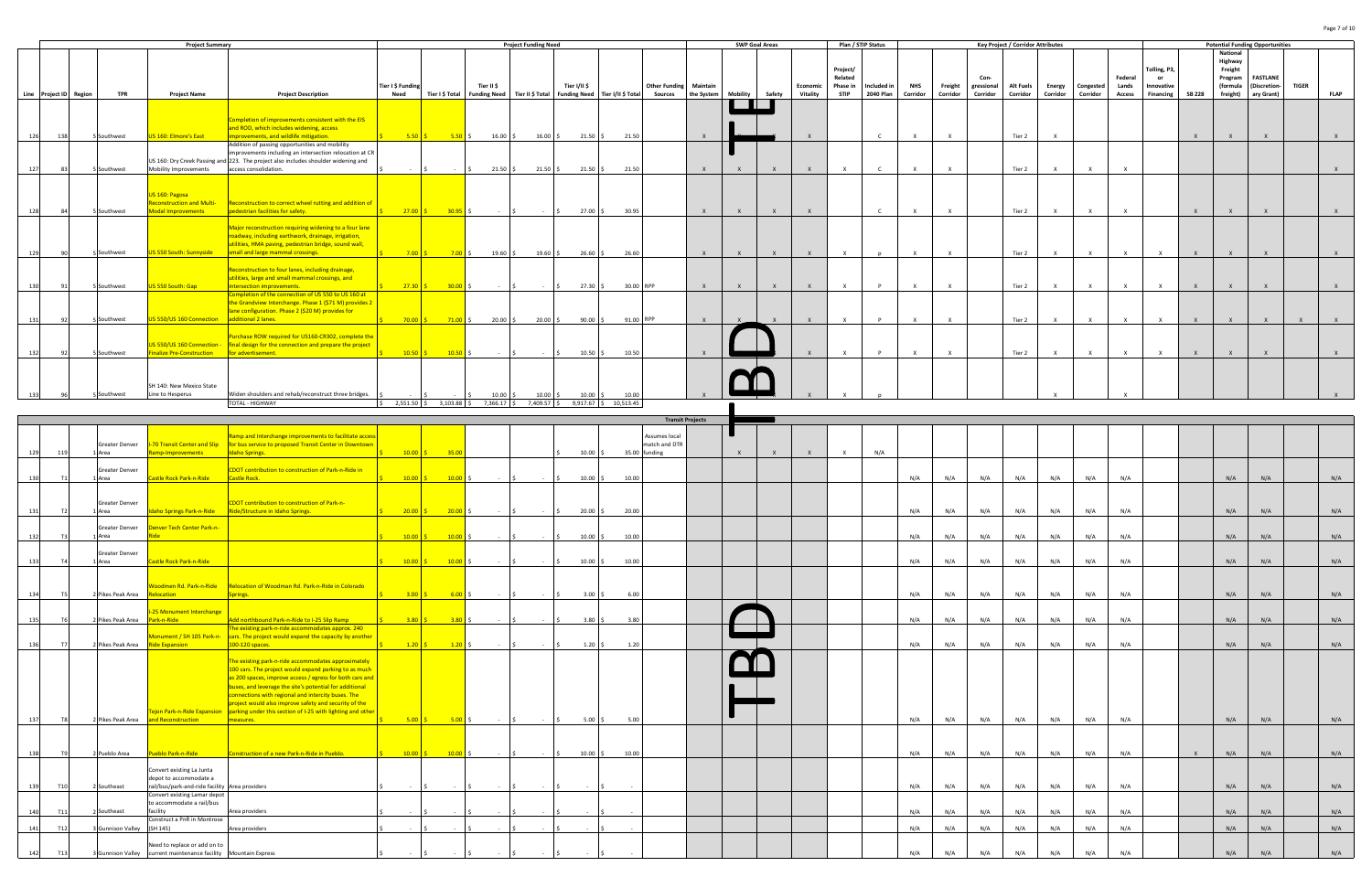|     |     |                        | <b>Project Summary</b>                                                                                             |                                                                                                                                                                                                            |                                                                                                                                                                     |                                                               |                                                                                                                      | <b>Project Funding Need</b>                                                   |                                                                                                                      |                                                                |                                                                                                                                                                                         |                                                                                                                       |                      |              |                       |                                                |                                 |                        |                           | <b>Key Project</b>             |
|-----|-----|------------------------|--------------------------------------------------------------------------------------------------------------------|------------------------------------------------------------------------------------------------------------------------------------------------------------------------------------------------------------|---------------------------------------------------------------------------------------------------------------------------------------------------------------------|---------------------------------------------------------------|----------------------------------------------------------------------------------------------------------------------|-------------------------------------------------------------------------------|----------------------------------------------------------------------------------------------------------------------|----------------------------------------------------------------|-----------------------------------------------------------------------------------------------------------------------------------------------------------------------------------------|-----------------------------------------------------------------------------------------------------------------------|----------------------|--------------|-----------------------|------------------------------------------------|---------------------------------|------------------------|---------------------------|--------------------------------|
|     |     | <b>TPR</b>             | <b>Project Name</b>                                                                                                | <b>Project Description</b>                                                                                                                                                                                 | Need                                                                                                                                                                |                                                               | Tier II \$                                                                                                           | Tier II \$ Total                                                              | Tier I/II \$                                                                                                         |                                                                | <b>Sources</b>                                                                                                                                                                          | Maintain<br>the System                                                                                                | Mobility             | Safety       | Economic<br>Vitality  | Project/<br>Related<br>Phase in<br><b>STIP</b> | Included in<br><b>2040 Plan</b> | <b>NHS</b><br>Corridor | Freight<br>Corridor       | Con-<br>gressional<br>Corridor |
| 126 | 138 |                        | US 160: Elmore's East                                                                                              | Completion of improvements consistent with the EIS<br>and ROD, which includes widening, access<br>mprovements, and wildlife mitigation.                                                                    |                                                                                                                                                                     |                                                               |                                                                                                                      |                                                                               |                                                                                                                      | 21.50                                                          |                                                                                                                                                                                         | $\boldsymbol{\mathsf{x}}$                                                                                             |                      |              |                       |                                                | $\epsilon$                      |                        | $\boldsymbol{\mathsf{x}}$ |                                |
| 127 | 83  |                        |                                                                                                                    | Addition of passing opportunities and mobility<br>access consolidation.                                                                                                                                    | $\sim$ $-$                                                                                                                                                          | $\sim$                                                        |                                                                                                                      |                                                                               |                                                                                                                      |                                                                |                                                                                                                                                                                         | $\mathsf{X}$                                                                                                          |                      | $\mathsf{x}$ |                       | $\mathbf{x}$                                   | $\epsilon$                      |                        |                           |                                |
| 128 | 84  |                        | US 160: Pagosa<br>Reconstruction and Multi-<br>Modal Improvements                                                  | Reconstruction to correct wheel rutting and addition of<br>pedestrian facilities for safety.                                                                                                               | <b>S</b>                                                                                                                                                            |                                                               |                                                                                                                      | $\sim$                                                                        | $\zeta$                                                                                                              |                                                                |                                                                                                                                                                                         | $\mathbf{x}$                                                                                                          |                      | $\mathsf{x}$ |                       |                                                | $\epsilon$                      |                        |                           |                                |
| 129 | 90  |                        | JS 550 South: Sunnyside                                                                                            | Major reconstruction requiring widening to a four lane<br>oadway, including earthwork, drainage, irrigation,<br>utilities, HMA paving, pedestrian bridge, sound wall,<br>small and large mammal crossings. | $\leq$                                                                                                                                                              |                                                               |                                                                                                                      |                                                                               |                                                                                                                      |                                                                |                                                                                                                                                                                         | $\mathsf{X}$                                                                                                          |                      | $\mathsf{x}$ |                       |                                                | $\mathsf{n}$                    |                        |                           |                                |
| 130 | 91  |                        | <b>JS 550 South: Gap</b>                                                                                           | Reconstruction to four lanes, including drainage,<br>utilities, large and small mammal crossings, and<br>ntersection improvements.                                                                         |                                                                                                                                                                     |                                                               | $\sim$                                                                                                               | $\sim$                                                                        | $\mathsf{S}$                                                                                                         |                                                                |                                                                                                                                                                                         | $\mathsf{X}$                                                                                                          |                      | $\mathsf{X}$ | $\mathbf{x}$          | $\mathbf{x}$                                   | $\mathbf{D}$                    | $\mathbf{x}$           | $\mathbf{Y}$              |                                |
| 131 | 92  |                        | <b>JS 550/US 160 Connection</b>                                                                                    | the Grandview Interchange. Phase 1 (\$71 M) provides 2<br>lane configuration. Phase 2 (\$20 M) provides for<br>additional 2 lanes.                                                                         |                                                                                                                                                                     |                                                               |                                                                                                                      |                                                                               |                                                                                                                      |                                                                |                                                                                                                                                                                         | $\mathsf{X}$                                                                                                          |                      | $\mathbf{x}$ |                       | X                                              | <b>D</b>                        |                        |                           |                                |
| 132 | 92  |                        | US 550/US 160 Connection -<br>inalize Pre-Construction                                                             | Purchase ROW required for US160-CR302, complete the<br>final design for the connection and prepare the project<br>or advertisement.                                                                        | $5 -$                                                                                                                                                               |                                                               |                                                                                                                      | $\sim$ $-$                                                                    | $\mathsf{S}$                                                                                                         |                                                                |                                                                                                                                                                                         | $\mathsf{X}$                                                                                                          |                      |              |                       | $\mathsf{x}$                                   | $\mathbf{D}$                    |                        |                           |                                |
|     |     |                        | Line to Hesperus                                                                                                   | Widen shoulders and rehab/reconstruct three bridges.                                                                                                                                                       |                                                                                                                                                                     |                                                               |                                                                                                                      |                                                                               |                                                                                                                      |                                                                |                                                                                                                                                                                         |                                                                                                                       |                      |              |                       |                                                |                                 |                        |                           |                                |
|     |     | Line Project ID Region | 5 Southwest<br>5 Southwest<br>5 Southwest<br>5 Southwest<br>5 Southwest<br>5 Southwest<br>5 Southwest<br>Southwest | Mobility Improvements<br>SH 140: New Mexico State                                                                                                                                                          | US 160: Dry Creek Passing and 223. The project also includes shoulder widening and<br>Completion of the connection of US 550 to US 160 at<br><b>TOTAL - HIGHWAY</b> | improvements including an intersection relocation at CR<br>ς. | Tier I \$ Funding<br>Tier I \$ Total<br>$5.50$ S<br>$27.00$ \$<br>$7.00$ S<br>$27.30$ \$<br>$70.00$ \$<br>$10.50$ \$ | $5.50$ \$<br>$30.95$ \$<br>$7.00$ \$<br>$30.00$ \$<br>$71.00$ S<br>$10.50$ \$ | <b>Funding Need</b><br>$16.00$ \$<br>21.50S<br>$-5$<br>$19.60$ \$<br>$\mathsf{S}$<br>$20.00$ S<br>$-5$<br>$10.00$ \$ | $16.00$ \$<br>21.50S<br>$19.60$ \$<br>$20.00$ \$<br>$10.00$ \$ | $21.50$ \$<br>21.50S<br>$27.00$ \$<br>26.60S<br>$27.30$ \$<br>$90.00$ \$<br>$10.50$ \$<br>$10.00$ \$<br>$2,551.50$ \$<br>$3,103.88$ \$<br>$7,366.17$ \$<br>7,409.57 \$<br>$9,917.67$ \$ | Funding Need   Tier I/II \$ Total<br>21.50<br>30.95<br>26.60<br>30.00 RPP<br>91.00 RPP<br>10.50<br>10.00<br>10,513.45 | <b>Other Funding</b> |              | <b>SWP Goal Areas</b> |                                                |                                 | Plan / STIP Status     |                           |                                |

|                        |    |                                  | <b>Project Summary</b>                                        |                                                                                                               |                                                     |                            |                                                                   | <b>Project Funding Need</b>                                                                                              |              |                                |              |              | <b>SWP Goal Areas</b> |          | Plan / STIP Status |                    |              |          |            | Key Project / Corridor Attributes |          |              |               |              |               |                     | <b>Potential Funding Opportunities</b> |              |             |
|------------------------|----|----------------------------------|---------------------------------------------------------------|---------------------------------------------------------------------------------------------------------------|-----------------------------------------------------|----------------------------|-------------------------------------------------------------------|--------------------------------------------------------------------------------------------------------------------------|--------------|--------------------------------|--------------|--------------|-----------------------|----------|--------------------|--------------------|--------------|----------|------------|-----------------------------------|----------|--------------|---------------|--------------|---------------|---------------------|----------------------------------------|--------------|-------------|
|                        |    |                                  |                                                               |                                                                                                               |                                                     |                            |                                                                   |                                                                                                                          |              |                                |              |              |                       |          |                    |                    |              |          |            |                                   |          |              |               |              |               | National            |                                        |              |             |
|                        |    |                                  |                                                               |                                                                                                               |                                                     |                            |                                                                   |                                                                                                                          |              |                                |              |              |                       |          | Project/           |                    |              |          |            |                                   |          |              |               | Tolling, P3, |               | Highway<br>Freight  |                                        |              |             |
|                        |    |                                  |                                                               |                                                                                                               |                                                     |                            |                                                                   |                                                                                                                          |              |                                |              |              |                       |          | Related            |                    |              |          | Con-       |                                   |          |              | Federal       | or           |               | Program             | <b>FASTLANE</b>                        |              |             |
|                        |    |                                  |                                                               |                                                                                                               | Tier I \$ Funding                                   |                            | Tier II \$                                                        |                                                                                                                          | Tier I/II \$ | <b>Other Funding Maintain</b>  |              |              |                       | Economic | Phase in           | Included in        | <b>NHS</b>   | Freight  | gressional | <b>Alt Fuels</b>                  | Energy   | Congested    | Lands         | nnovative    |               | (formula            | <b>Discretion-</b>                     | <b>TIGER</b> |             |
| Line Project ID Region |    | <b>TPR</b>                       | <b>Project Name</b>                                           | <b>Project Description</b>                                                                                    | Need                                                |                            |                                                                   | Tier I \$ Total   Funding Need   Tier II \$ Total   Funding Need   Tier I/II \$ Total                                    |              | <b>Sources</b>                 | the System   | Mobility     | Safety                | Vitality | <b>STIP</b>        | 2040 Plan Corridor |              | Corridor | Corridor   | Corridor                          | Corridor | Corridor     | <b>Access</b> | Financing    | <b>SB 228</b> | freight) ary Grant) |                                        |              | <b>FLAP</b> |
|                        |    |                                  |                                                               |                                                                                                               |                                                     |                            |                                                                   |                                                                                                                          |              |                                |              |              |                       |          |                    |                    |              |          |            |                                   |          |              |               |              |               |                     |                                        |              |             |
|                        |    |                                  |                                                               |                                                                                                               |                                                     |                            |                                                                   |                                                                                                                          |              |                                |              |              |                       |          |                    |                    |              |          |            |                                   |          |              |               |              |               |                     |                                        |              |             |
|                        |    |                                  |                                                               | Completion of improvements consistent with the EIS                                                            |                                                     |                            |                                                                   |                                                                                                                          |              |                                |              |              |                       |          |                    |                    |              |          |            |                                   |          |              |               |              |               |                     |                                        |              |             |
|                        |    |                                  |                                                               | and ROD, which includes widening, access                                                                      |                                                     |                            |                                                                   |                                                                                                                          |              |                                |              |              |                       |          |                    |                    |              |          |            |                                   |          |              |               |              |               |                     |                                        |              |             |
|                        |    | 5 Southwest                      | US 160: Elmore's East                                         | mprovements, and wildlife mitigation.                                                                         | $5.50$ $\sqrt{5}$                                   | $5.50\%$                   | $16.00\%$                                                         | 16.00%                                                                                                                   | $21.50$ \$   | 21.50                          |              |              |                       |          |                    |                    |              |          |            | Tier 2                            |          |              |               |              |               |                     |                                        |              |             |
|                        |    |                                  |                                                               | Addition of passing opportunities and mobility                                                                |                                                     |                            |                                                                   |                                                                                                                          |              |                                |              |              |                       |          |                    |                    |              |          |            |                                   |          |              |               |              |               |                     |                                        |              |             |
|                        |    |                                  |                                                               | improvements including an intersection relocation at CR                                                       |                                                     |                            |                                                                   |                                                                                                                          |              |                                |              |              |                       |          |                    |                    |              |          |            |                                   |          |              |               |              |               |                     |                                        |              |             |
|                        |    |                                  |                                                               | US 160: Dry Creek Passing and 223. The project also includes shoulder widening and                            |                                                     |                            |                                                                   |                                                                                                                          |              |                                |              |              |                       |          |                    |                    |              |          |            |                                   |          |              |               |              |               |                     |                                        |              |             |
|                        |    | 5 Southwest                      | Mobility Improvements                                         | access consolidation.                                                                                         |                                                     |                            | $21.50$ \$                                                        | $21.50\%$                                                                                                                | $21.50 \div$ | 21.50                          | $\mathsf{X}$ |              |                       |          | $\mathsf{x}$       |                    | $\mathsf{X}$ |          |            | Tier 2                            |          | $\times$     | $\mathsf{x}$  |              |               |                     |                                        |              |             |
|                        |    |                                  |                                                               |                                                                                                               |                                                     |                            |                                                                   |                                                                                                                          |              |                                |              |              |                       |          |                    |                    |              |          |            |                                   |          |              |               |              |               |                     |                                        |              |             |
|                        |    |                                  |                                                               |                                                                                                               |                                                     |                            |                                                                   |                                                                                                                          |              |                                |              |              |                       |          |                    |                    |              |          |            |                                   |          |              |               |              |               |                     |                                        |              |             |
|                        |    |                                  | JS 160: Pagosa                                                |                                                                                                               |                                                     |                            |                                                                   |                                                                                                                          |              |                                |              |              |                       |          |                    |                    |              |          |            |                                   |          |              |               |              |               |                     |                                        |              |             |
|                        |    |                                  | Reconstruction and Multi-                                     | Reconstruction to correct wheel rutting and addition of                                                       |                                                     |                            |                                                                   |                                                                                                                          |              |                                |              |              |                       |          |                    |                    |              |          |            |                                   |          |              |               |              |               |                     |                                        |              |             |
|                        |    | 5 Southwest                      | <b>Modal Improvements</b>                                     | pedestrian facilities for safety.                                                                             | $27.00$ \$                                          | $30.95$ \$                 |                                                                   |                                                                                                                          | 27.00 \$     | 30.95                          | $\mathsf{X}$ | $\mathsf{X}$ |                       |          |                    |                    | $\mathbf{x}$ |          |            | Tier 2                            |          |              |               |              |               |                     |                                        |              |             |
|                        |    |                                  |                                                               |                                                                                                               |                                                     |                            |                                                                   |                                                                                                                          |              |                                |              |              |                       |          |                    |                    |              |          |            |                                   |          |              |               |              |               |                     |                                        |              |             |
|                        |    |                                  |                                                               | Major reconstruction requiring widening to a four lane                                                        |                                                     |                            |                                                                   |                                                                                                                          |              |                                |              |              |                       |          |                    |                    |              |          |            |                                   |          |              |               |              |               |                     |                                        |              |             |
|                        |    |                                  |                                                               | oadway, including earthwork, drainage, irrigation,                                                            |                                                     |                            |                                                                   |                                                                                                                          |              |                                |              |              |                       |          |                    |                    |              |          |            |                                   |          |              |               |              |               |                     |                                        |              |             |
|                        |    |                                  |                                                               | utilities, HMA paving, pedestrian bridge, sound wall,                                                         |                                                     |                            |                                                                   |                                                                                                                          |              |                                |              |              |                       |          |                    |                    |              |          |            |                                   |          | $\mathbf{x}$ |               |              |               |                     |                                        |              |             |
|                        |    | 5 Southwest                      | US 550 South: Sunnyside                                       | small and large mammal crossings.                                                                             |                                                     |                            | $7.00 \t\begin{bmatrix} 5 \\ 2.00 \t\end{bmatrix}$ $5 \t3.60 \t5$ | 19.60%                                                                                                                   | 26.60%       | 26.60                          | $\mathsf{X}$ | $\mathsf{X}$ |                       |          |                    |                    | $\mathbf{x}$ |          |            | Tier 2                            |          |              |               |              |               |                     |                                        |              |             |
|                        |    |                                  |                                                               |                                                                                                               |                                                     |                            |                                                                   |                                                                                                                          |              |                                |              |              |                       |          |                    |                    |              |          |            |                                   |          |              |               |              |               |                     |                                        |              |             |
|                        |    |                                  |                                                               | Reconstruction to four lanes, including drainage,                                                             |                                                     |                            |                                                                   |                                                                                                                          |              |                                |              |              |                       |          |                    |                    |              |          |            |                                   |          |              |               |              |               |                     |                                        |              |             |
|                        |    | 5 Southwest                      | US 550 South: Gap                                             | utilities, large and small mammal crossings, and<br>intersection improvements.                                |                                                     |                            |                                                                   |                                                                                                                          |              |                                | $\mathbf{x}$ |              |                       |          |                    |                    |              |          |            |                                   |          |              |               |              |               |                     |                                        |              |             |
| 130                    |    |                                  |                                                               |                                                                                                               | $27.30$ \$                                          | $30.00$ \$                 |                                                                   |                                                                                                                          | $27.30 \& 5$ | 30.00 RPP                      |              |              |                       |          |                    |                    |              |          |            | Tier 2                            |          |              |               |              |               |                     |                                        |              |             |
|                        |    |                                  |                                                               | Completion of the connection of US 550 to US 160 at<br>the Grandview Interchange. Phase 1 (\$71 M) provides 2 |                                                     |                            |                                                                   |                                                                                                                          |              |                                |              |              |                       |          |                    |                    |              |          |            |                                   |          |              |               |              |               |                     |                                        |              |             |
|                        |    |                                  |                                                               | lane configuration. Phase 2 (\$20 M) provides for                                                             |                                                     |                            |                                                                   |                                                                                                                          |              |                                |              |              |                       |          |                    |                    |              |          |            |                                   |          |              |               |              |               |                     |                                        |              |             |
| 131                    |    | 5 Southwest                      | JS 550/US 160 Connection additional 2 lanes.                  |                                                                                                               |                                                     |                            |                                                                   |                                                                                                                          |              |                                | $\mathsf{X}$ |              |                       |          | $\mathbf{x}$       |                    | $\mathbf{x}$ |          |            |                                   |          | $\mathbf{x}$ |               | X            |               |                     |                                        |              |             |
|                        |    |                                  |                                                               |                                                                                                               |                                                     |                            |                                                                   |                                                                                                                          | $90.00$ \$   | 91.00 RPP                      |              |              |                       |          |                    |                    |              |          |            | Tier 2                            |          |              |               |              |               |                     |                                        |              |             |
|                        |    |                                  |                                                               |                                                                                                               |                                                     |                            |                                                                   |                                                                                                                          |              |                                |              |              |                       |          |                    |                    |              |          |            |                                   |          |              |               |              |               |                     |                                        |              |             |
|                        |    |                                  |                                                               | Purchase ROW required for US160-CR302, complete the                                                           |                                                     |                            |                                                                   |                                                                                                                          |              |                                |              |              |                       |          |                    |                    |              |          |            |                                   |          |              |               |              |               |                     |                                        |              |             |
|                        |    |                                  | JS 550/US 160 Connection -                                    | final design for the connection and prepare the project                                                       | $\sin 10.50$ $\sin 10.50$ $\sin 10.50$ $\sin 10.50$ |                            |                                                                   |                                                                                                                          |              |                                |              |              |                       |          |                    |                    |              |          |            |                                   |          |              |               |              |               |                     |                                        |              |             |
| 132                    |    | 5 Southwest                      | <b>Finalize Pre-Construction</b>                              | for advertisement.                                                                                            |                                                     |                            |                                                                   |                                                                                                                          | $10.50$ \$   | 10.50                          | $\mathsf{X}$ |              |                       |          |                    |                    | $\mathsf{x}$ |          |            | Tier 2                            |          |              |               |              |               |                     |                                        |              |             |
|                        |    |                                  |                                                               |                                                                                                               |                                                     |                            |                                                                   |                                                                                                                          |              |                                |              |              |                       |          |                    |                    |              |          |            |                                   |          |              |               |              |               |                     |                                        |              |             |
|                        |    |                                  |                                                               |                                                                                                               |                                                     |                            |                                                                   |                                                                                                                          |              |                                |              |              |                       |          |                    |                    |              |          |            |                                   |          |              |               |              |               |                     |                                        |              |             |
|                        |    |                                  |                                                               |                                                                                                               |                                                     |                            |                                                                   |                                                                                                                          |              |                                |              |              |                       |          |                    |                    |              |          |            |                                   |          |              |               |              |               |                     |                                        |              |             |
|                        |    |                                  | SH 140: New Mexico State                                      |                                                                                                               |                                                     |                            |                                                                   |                                                                                                                          |              |                                |              |              |                       |          |                    |                    |              |          |            |                                   |          |              |               |              |               |                     |                                        |              |             |
|                        |    | 5 Southwest                      | Line to Hesperus                                              | Widen shoulders and rehab/reconstruct three bridges.                                                          |                                                     |                            | 10.00                                                             | $10.00\frac{1}{5}$                                                                                                       | $10.00$ \$   | 10.00                          |              |              |                       |          |                    |                    |              |          |            |                                   |          |              |               |              |               |                     |                                        |              |             |
|                        |    |                                  |                                                               | TOTAL - HIGHWAY                                                                                               |                                                     |                            |                                                                   | $\begin{bmatrix} 5 & 2.551.50 & 5 & 3.103.88 & 5 & 7.366.17 & 5 & 7.409.57 & 5 & 9.917.67 & 5 & 10.513.45 \end{bmatrix}$ |              |                                |              |              |                       |          |                    |                    |              |          |            |                                   |          |              |               |              |               |                     |                                        |              |             |
|                        |    |                                  |                                                               |                                                                                                               |                                                     |                            |                                                                   |                                                                                                                          |              |                                |              |              |                       |          |                    |                    |              |          |            |                                   |          |              |               |              |               |                     |                                        |              |             |
|                        |    |                                  |                                                               |                                                                                                               |                                                     |                            |                                                                   |                                                                                                                          |              | <b>Transit Projects</b>        |              |              |                       |          |                    |                    |              |          |            |                                   |          |              |               |              |               |                     |                                        |              |             |
|                        |    |                                  |                                                               | Ramp and Interchange improvements to facilitate access                                                        |                                                     |                            |                                                                   |                                                                                                                          |              |                                |              |              |                       |          |                    |                    |              |          |            |                                   |          |              |               |              |               |                     |                                        |              |             |
|                        |    | Greater Denver                   |                                                               | 1-70 Transit Center and Slip For bus service to proposed Transit Center in Downtown                           |                                                     |                            |                                                                   |                                                                                                                          |              | Assumes local<br>match and DTR |              |              |                       |          |                    |                    |              |          |            |                                   |          |              |               |              |               |                     |                                        |              |             |
|                        |    | I Area                           | amp-Improvements                                              | <b>Idaho Springs.</b>                                                                                         |                                                     | $\frac{10.00}{5}$ 35.00    |                                                                   |                                                                                                                          | $10.00$ \$   | 35.00 funding                  |              |              |                       |          | $\times$           | N/A                |              |          |            |                                   |          |              |               |              |               |                     |                                        |              |             |
|                        |    |                                  |                                                               |                                                                                                               |                                                     |                            |                                                                   |                                                                                                                          |              |                                |              |              |                       |          |                    |                    |              |          |            |                                   |          |              |               |              |               |                     |                                        |              |             |
|                        |    | Greater Denver                   |                                                               | CDOT contribution to construction of Park-n-Ride in                                                           |                                                     |                            |                                                                   |                                                                                                                          |              |                                |              |              |                       |          |                    |                    |              |          |            |                                   |          |              |               |              |               |                     |                                        |              |             |
|                        |    | 1 Area                           | Castle Rock Park-n-Ride                                       | Castle Rock.                                                                                                  | $10.00$ \$                                          | $10.00$ \$                 |                                                                   |                                                                                                                          | $10.00$ \$   | 10.00                          |              |              |                       |          |                    |                    | N/A          | N/A      | N/A        | N/A                               | N/A      | N/A          | N/A           |              |               | N/A                 | N/A                                    |              | N/A         |
|                        |    |                                  |                                                               |                                                                                                               |                                                     |                            |                                                                   |                                                                                                                          |              |                                |              |              |                       |          |                    |                    |              |          |            |                                   |          |              |               |              |               |                     |                                        |              |             |
|                        |    |                                  |                                                               |                                                                                                               |                                                     |                            |                                                                   |                                                                                                                          |              |                                |              |              |                       |          |                    |                    |              |          |            |                                   |          |              |               |              |               |                     |                                        |              |             |
|                        |    | Greater Denver                   |                                                               | CDOT contribution to construction of Park-n-                                                                  |                                                     |                            |                                                                   |                                                                                                                          |              |                                |              |              |                       |          |                    |                    |              |          |            |                                   |          |              |               |              |               |                     |                                        |              |             |
|                        |    | 1 Area                           |                                                               | daho Springs Park-n-Ride Ride/Structure in Idaho Springs.                                                     |                                                     | $\frac{20.00}{5}$ 20.00 \$ |                                                                   |                                                                                                                          | $20.00$ \$   | 20.00                          |              |              |                       |          |                    |                    | N/A          | N/A      | N/A        | N/A                               | N/A      | N/A          | N/A           |              |               | N/A                 | N/A                                    |              | N/A         |
|                        |    |                                  |                                                               |                                                                                                               |                                                     |                            |                                                                   |                                                                                                                          |              |                                |              |              |                       |          |                    |                    |              |          |            |                                   |          |              |               |              |               |                     |                                        |              |             |
|                        |    | Greater Denver                   | <b>Denver Tech Center Park-n-</b>                             |                                                                                                               |                                                     |                            |                                                                   |                                                                                                                          |              |                                |              |              |                       |          |                    |                    |              |          |            |                                   |          |              |               |              |               |                     |                                        |              |             |
|                        |    | Area                             |                                                               |                                                                                                               | $10.00$ \$                                          | $10.00$ \$                 |                                                                   |                                                                                                                          | $10.00$ \$   | 10.00                          |              |              |                       |          |                    |                    | N/A          | N/A      | N/A        | N/A                               | N/A      | N/A          | N/A           |              |               | N/A                 | N/A                                    |              | N/A         |
|                        |    |                                  |                                                               |                                                                                                               |                                                     |                            |                                                                   |                                                                                                                          |              |                                |              |              |                       |          |                    |                    |              |          |            |                                   |          |              |               |              |               |                     |                                        |              |             |
|                        |    | Greater Denver                   |                                                               |                                                                                                               |                                                     |                            |                                                                   |                                                                                                                          |              |                                |              |              |                       |          |                    |                    |              |          |            |                                   |          |              |               |              |               |                     |                                        |              |             |
| 133                    |    | 1 Area                           | Castle Rock Park-n-Ride                                       |                                                                                                               |                                                     |                            |                                                                   |                                                                                                                          | $10.00$ \$   | 10.00                          |              |              |                       |          |                    |                    | N/A          | N/A      | N/A        | N/A                               | N/A      | N/A          | N/A           |              |               | N/A                 | N/A                                    |              | N/A         |
|                        |    |                                  |                                                               |                                                                                                               |                                                     |                            |                                                                   |                                                                                                                          |              |                                |              |              |                       |          |                    |                    |              |          |            |                                   |          |              |               |              |               |                     |                                        |              |             |
|                        |    |                                  |                                                               |                                                                                                               |                                                     |                            |                                                                   |                                                                                                                          |              |                                |              |              |                       |          |                    |                    |              |          |            |                                   |          |              |               |              |               |                     |                                        |              |             |
|                        |    |                                  | Voodmen Rd. Park-n-Ride                                       | Relocation of Woodman Rd. Park-n-Ride in Colorado                                                             |                                                     |                            |                                                                   |                                                                                                                          |              |                                |              |              |                       |          |                    |                    |              |          |            |                                   |          |              |               |              |               |                     |                                        |              |             |
| 134                    |    | 2 Pikes Peak Area                | Relocation                                                    | Springs.                                                                                                      | $3.00$ $\vert$ \$                                   | 6.00 S                     |                                                                   |                                                                                                                          | $3.00\%$     | 6.00                           |              |              |                       |          |                    |                    | N/A          | N/A      | N/A        | N/A                               | N/A      | N/A          | N/A           |              |               | N/A                 | N/A                                    |              | N/A         |
|                        |    |                                  |                                                               |                                                                                                               |                                                     |                            |                                                                   |                                                                                                                          |              |                                |              |              |                       |          |                    |                    |              |          |            |                                   |          |              |               |              |               |                     |                                        |              |             |
|                        |    |                                  | I-25 Monument Interchange                                     |                                                                                                               |                                                     |                            |                                                                   |                                                                                                                          |              |                                |              |              |                       |          |                    |                    |              |          |            |                                   |          |              |               |              |               |                     |                                        |              |             |
| 135                    |    | 2 Pikes Peak Area                | Park-n-Ride                                                   | Add northbound Park-n-Ride to I-25 Slip Ramp                                                                  | 3.80 <sub>5</sub>                                   | $3.80$ \$                  |                                                                   |                                                                                                                          | 3.80%        | 3.80                           |              |              |                       |          |                    |                    | N/A          | N/A      | N/A        | N/A                               | N/A      | N/A          | N/A           |              |               | N/A                 | N/A                                    |              | N/A         |
|                        |    |                                  |                                                               | The existing park-n-ride accommodates approx. 240                                                             |                                                     |                            |                                                                   |                                                                                                                          |              |                                |              |              |                       |          |                    |                    |              |          |            |                                   |          |              |               |              |               |                     |                                        |              |             |
|                        |    |                                  | <b>Monument / SH 105 Park-n-</b>                              | cars. The project would expand the capacity by another                                                        |                                                     |                            |                                                                   |                                                                                                                          |              |                                |              |              |                       |          |                    |                    |              |          |            |                                   |          |              |               |              |               |                     |                                        |              |             |
| 136                    | T7 | 2 Pikes Peak Area Ride Expansion |                                                               | 100-120 spaces.                                                                                               | $1.20$ \$                                           | $\frac{1.20}{ }$ \$        | $\sim$                                                            |                                                                                                                          | $1.20\%$     | 1.20                           |              |              |                       |          |                    |                    | N/A          | N/A      | N/A        | N/A                               | N/A      | N/A          | N/A           |              |               | N/A                 | N/A                                    |              | N/A         |
|                        |    |                                  |                                                               |                                                                                                               |                                                     |                            |                                                                   |                                                                                                                          |              |                                |              |              |                       |          |                    |                    |              |          |            |                                   |          |              |               |              |               |                     |                                        |              |             |
|                        |    |                                  |                                                               | The existing park-n-ride accommodates approximately                                                           |                                                     |                            |                                                                   |                                                                                                                          |              |                                |              |              |                       |          |                    |                    |              |          |            |                                   |          |              |               |              |               |                     |                                        |              |             |
|                        |    |                                  |                                                               | 100 cars. The project would expand parking to as much                                                         |                                                     |                            |                                                                   |                                                                                                                          |              |                                |              |              |                       |          |                    |                    |              |          |            |                                   |          |              |               |              |               |                     |                                        |              |             |
|                        |    |                                  |                                                               | as 200 spaces, improve access / egress for both cars and                                                      |                                                     |                            |                                                                   |                                                                                                                          |              |                                |              |              |                       |          |                    |                    |              |          |            |                                   |          |              |               |              |               |                     |                                        |              |             |
|                        |    |                                  |                                                               | buses, and leverage the site's potential for additional                                                       |                                                     |                            |                                                                   |                                                                                                                          |              |                                |              |              |                       |          |                    |                    |              |          |            |                                   |          |              |               |              |               |                     |                                        |              |             |
|                        |    |                                  |                                                               | connections with regional and intercity buses. The                                                            |                                                     |                            |                                                                   |                                                                                                                          |              |                                |              |              |                       |          |                    |                    |              |          |            |                                   |          |              |               |              |               |                     |                                        |              |             |
|                        |    |                                  |                                                               | project would also improve safety and security of the                                                         |                                                     |                            |                                                                   |                                                                                                                          |              |                                |              |              |                       |          |                    |                    |              |          |            |                                   |          |              |               |              |               |                     |                                        |              |             |
|                        |    |                                  |                                                               | Fejon Park-n-Ride Expansion Inarking under this section of I-25 with lighting and other                       |                                                     |                            |                                                                   |                                                                                                                          |              |                                |              |              |                       |          |                    |                    |              |          |            |                                   |          |              |               |              |               |                     |                                        |              |             |
| 137                    |    | 2 Pikes Peak Area                | and Reconstruction                                            | measures.                                                                                                     |                                                     | $5.00 \t\zeta$ 5.00 \$     | $\sim 10^{-11}$                                                   | $\sim$                                                                                                                   | $5.00\%$     | 5.00                           |              |              |                       |          |                    |                    | N/A          | N/A      | N/A        | N/A                               | N/A      | N/A          | N/A           |              |               | N/A                 | N/A                                    |              | N/A         |
|                        |    |                                  |                                                               |                                                                                                               |                                                     |                            |                                                                   |                                                                                                                          |              |                                |              |              |                       |          |                    |                    |              |          |            |                                   |          |              |               |              |               |                     |                                        |              |             |
|                        |    |                                  |                                                               |                                                                                                               |                                                     |                            |                                                                   |                                                                                                                          |              |                                |              |              |                       |          |                    |                    |              |          |            |                                   |          |              |               |              |               |                     |                                        |              |             |
|                        |    |                                  |                                                               |                                                                                                               |                                                     |                            |                                                                   |                                                                                                                          |              |                                |              |              |                       |          |                    |                    |              |          |            |                                   |          |              |               |              |               |                     |                                        |              |             |
| 138                    |    | 2 Pueblo Area                    | <b>Pueblo Park-n-Ride</b>                                     | Construction of a new Park-n-Ride in Pueblo.                                                                  |                                                     |                            |                                                                   |                                                                                                                          | $10.00$ \$   | 10.00                          |              |              |                       |          |                    |                    | N/A          | N/A      | N/A        | N/A                               | N/A      | N/A          | N/A           |              | $\mathsf{X}$  | N/A                 | N/A                                    |              | N/A         |
|                        |    |                                  |                                                               |                                                                                                               |                                                     |                            |                                                                   |                                                                                                                          |              |                                |              |              |                       |          |                    |                    |              |          |            |                                   |          |              |               |              |               |                     |                                        |              |             |
|                        |    |                                  | Convert existing La Junta                                     |                                                                                                               |                                                     |                            |                                                                   |                                                                                                                          |              |                                |              |              |                       |          |                    |                    |              |          |            |                                   |          |              |               |              |               |                     |                                        |              |             |
|                        |    |                                  | depot to accommodate a                                        |                                                                                                               |                                                     |                            |                                                                   |                                                                                                                          |              |                                |              |              |                       |          |                    |                    |              |          |            |                                   |          |              |               |              |               |                     |                                        |              |             |
| 139<br>T10             |    | 2 Southeast                      | rail/bus/park-and-ride facility Area providers                |                                                                                                               |                                                     |                            |                                                                   |                                                                                                                          |              |                                |              |              |                       |          |                    |                    | N/A          | N/A      | N/A        | N/A                               | N/A      | N/A          | N/A           |              |               | N/A                 | N/A                                    |              | N/A         |
|                        |    |                                  | Convert existing Lamar depot                                  |                                                                                                               |                                                     |                            |                                                                   |                                                                                                                          |              |                                |              |              |                       |          |                    |                    |              |          |            |                                   |          |              |               |              |               |                     |                                        |              |             |
|                        |    |                                  | to accommodate a rail/bus                                     |                                                                                                               |                                                     |                            |                                                                   |                                                                                                                          |              |                                |              |              |                       |          |                    |                    |              |          |            |                                   |          |              |               |              |               |                     |                                        |              |             |
| T11<br>140             |    | 2 Southeast                      | facility                                                      | Area providers                                                                                                |                                                     |                            |                                                                   |                                                                                                                          |              |                                |              |              |                       |          |                    |                    | N/A          | N/A      | N/A        | N/A                               | N/A      | N/A          | N/A           |              |               | N/A                 | N/A                                    |              | N/A         |
|                        |    |                                  | Construct a PnR in Montrose                                   |                                                                                                               |                                                     |                            |                                                                   |                                                                                                                          |              |                                |              |              |                       |          |                    |                    |              |          |            |                                   |          |              |               |              |               |                     |                                        |              |             |
| 141<br>T12             |    | Gunnison Valley (SH 145)         |                                                               | Area providers                                                                                                |                                                     |                            |                                                                   |                                                                                                                          |              |                                |              |              |                       |          |                    |                    | N/A          | N/A      | N/A        | N/A                               | N/A      | N/A          | N/A           |              |               | N/A                 | N/A                                    |              | N/A         |
|                        |    |                                  |                                                               |                                                                                                               |                                                     |                            |                                                                   |                                                                                                                          |              |                                |              |              |                       |          |                    |                    |              |          |            |                                   |          |              |               |              |               |                     |                                        |              |             |
|                        |    |                                  | Need to replace or add on to                                  |                                                                                                               |                                                     |                            |                                                                   |                                                                                                                          |              |                                |              |              |                       |          |                    |                    |              |          |            |                                   |          |              |               |              |               |                     |                                        |              |             |
| 142<br>T13             |    |                                  | Gunnison Valley current maintenance facility Mountain Express |                                                                                                               |                                                     |                            |                                                                   |                                                                                                                          |              |                                |              |              |                       |          |                    |                    | N/A          | N/A      | N/A        | N/A                               | N/A      | N/A          | N/A           |              |               | N/A                 | N/A                                    |              | N/A         |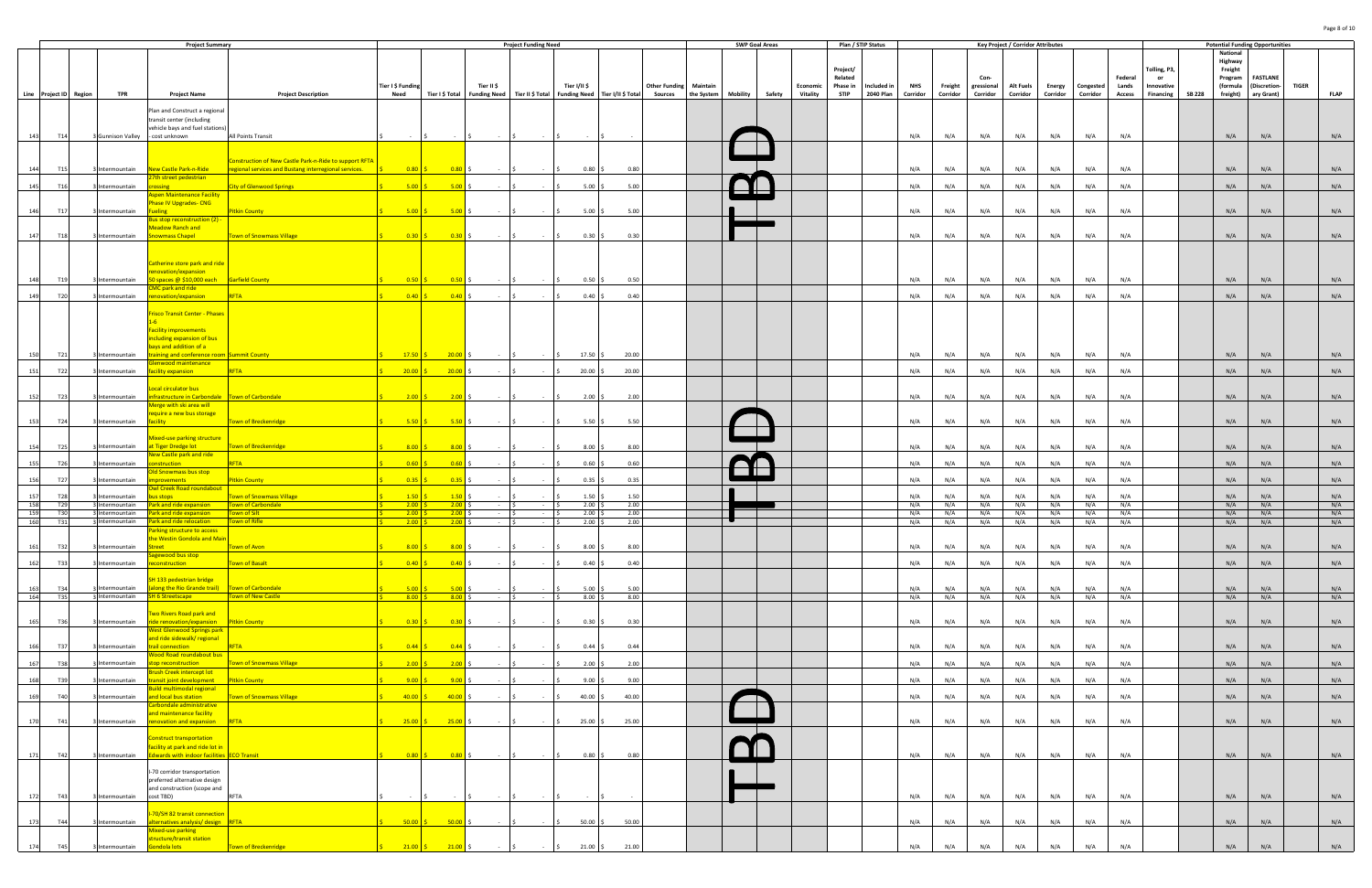|                                      |                                        | <b>Project Summary</b>                                                                                               |                                                         |                           |                                                           |                  | <b>Project Funding Need</b>                                         |                            |              |                |                                                      | <b>SWP Goal Areas</b> |                                       |                         | Plan / STIP Status       |                        |                     |                        | <b>Key Project / Corridor Attributes</b> |            |                              |                        |                         |               |                                           | <b>Potential Funding Opportunities</b> |              |             |
|--------------------------------------|----------------------------------------|----------------------------------------------------------------------------------------------------------------------|---------------------------------------------------------|---------------------------|-----------------------------------------------------------|------------------|---------------------------------------------------------------------|----------------------------|--------------|----------------|------------------------------------------------------|-----------------------|---------------------------------------|-------------------------|--------------------------|------------------------|---------------------|------------------------|------------------------------------------|------------|------------------------------|------------------------|-------------------------|---------------|-------------------------------------------|----------------------------------------|--------------|-------------|
|                                      |                                        |                                                                                                                      |                                                         |                           |                                                           |                  |                                                                     |                            |              |                |                                                      |                       |                                       | Project/<br>Related     |                          |                        |                     | Con-                   |                                          |            |                              | Federal                | Tolling, P3,<br>or      |               | National<br>Highway<br>Freight<br>Program | <b>FASTLANE</b>                        |              |             |
| Line Project ID Region               | <b>TPR</b>                             | <b>Project Name</b>                                                                                                  | <b>Project Description</b>                              | Tier I \$ Funding<br>Need | Tier I \$ Total                                           | Tier II \$       | Funding Need   Tier II \$ Total   Funding Need   Tier I/II \$ Total | Tier I/II \$               |              | <b>Sources</b> | <b>Other Funding Maintain</b><br>the System Mobility |                       | Economic<br>Safety<br><b>Vitality</b> | Phase in<br><b>STIP</b> | Included in<br>2040 Plan | <b>NHS</b><br>Corridor | Freight<br>Corridor | gressional<br>Corridor | <b>Alt Fuels</b><br>Corridor             | Corridor   | Energy Congested<br>Corridor | Lands<br><b>Access</b> | Innovative<br>Financing | <b>SB 228</b> | (formula<br>freight)                      | (Discretion-<br>ary Grant)             | <b>TIGER</b> | <b>FLAP</b> |
|                                      |                                        | Plan and Construct a regional<br>transit center (including                                                           |                                                         |                           |                                                           |                  |                                                                     |                            |              |                |                                                      |                       |                                       |                         |                          |                        |                     |                        |                                          |            |                              |                        |                         |               |                                           |                                        |              |             |
| 143<br>T14                           | 3 Gunnison Valley - cost unknown       | vehicle bays and fuel stations)                                                                                      | All Points Transit                                      |                           |                                                           |                  |                                                                     |                            |              |                |                                                      |                       |                                       |                         |                          | N/A                    | N/A                 | N/A                    | N/A                                      | N/A        | N/A                          | N/A                    |                         |               | N/A                                       | N/A                                    |              | N/A         |
|                                      |                                        |                                                                                                                      | Construction of New Castle Park-n-Ride to support RFTA  |                           |                                                           |                  |                                                                     |                            |              |                |                                                      |                       |                                       |                         |                          |                        |                     |                        |                                          |            |                              |                        |                         |               |                                           |                                        |              |             |
| T15<br>144                           |                                        | Intermountain New Castle Park-n-Ride<br>7th street pedestrian                                                        | regional services and Bustang interregional services.   | $0.80$ \$                 | 0.80                                                      | $\sim$           |                                                                     | $0.80$ \$                  | 0.80         |                |                                                      |                       |                                       |                         |                          | N/A                    | N/A                 | N/A                    | N/A                                      | N/A        | N/A                          | N/A                    |                         |               | N/A                                       | N/A                                    |              | N/A         |
| T16<br>145                           | ntermountain                           | <b>pssing</b><br>spen Maintenance Facility                                                                           | <b>City of Glenwood Springs</b>                         | 5.00                      | 5.00                                                      | $\sim$           |                                                                     | 5.00                       | 5.00         |                |                                                      |                       |                                       |                         |                          | N/A                    | N/A                 | N/A                    | N/A                                      | N/A        | N/A                          | N/A                    |                         |               | N/A                                       | N/A                                    |              | N/A         |
| 146<br>T17                           | Intermountain                          | hase IV Upgrades- CNG<br>Fueling                                                                                     | <b>Pitkin County</b>                                    | $5.00$ \$                 | $5.00$ \$                                                 |                  |                                                                     | $5.00$ \$                  | 5.00         |                |                                                      |                       |                                       |                         |                          | N/A                    | N/A                 | N/A                    | N/A                                      | N/A        | N/A                          | N/A                    |                         |               | N/A                                       | N/A                                    |              | N/A         |
| T18<br>147                           | Intermountain                          | lus stop reconstruction (2) -<br>Meadow Ranch and<br><b>Snowmass Chapel</b>                                          | <b>Town of Snowmass Village</b>                         | $0.30$ \$                 | $0.30 \pm 0.30$                                           | $\sim 100$       |                                                                     | $0.30\frac{1}{5}$          | 0.30         |                |                                                      |                       |                                       |                         |                          | N/A                    | N/A                 | N/A                    | N/A                                      | N/A        | N/A                          | N/A                    |                         |               | N/A                                       | N/A                                    |              | N/A         |
| T <sub>19</sub><br>148               | ntermountain                           | Catherine store park and ride<br>enovation/expansion<br>50 spaces @ \$10,000 each                                    | <b>Garfield County</b>                                  | 0.50                      | 0.50                                                      |                  |                                                                     | $0.50$ \$                  | 0.50         |                |                                                      |                       |                                       |                         |                          | N/A                    | N/A                 | N/A                    | N/A                                      | N/A        | N/A                          | N/A                    |                         |               | N/A                                       | N/A                                    |              | N/A         |
| T20<br>149                           | Intermountain                          | MC park and ride<br>enovation/expansion                                                                              | RFTA                                                    | 0.40                      | 0.40                                                      |                  |                                                                     | 0.40%                      | 0.40         |                |                                                      |                       |                                       |                         |                          | N/A                    | N/A                 | N/A                    | N/A                                      | N/A        | N/A                          | N/A                    |                         |               | N/A                                       | N/A                                    |              | N/A         |
|                                      |                                        | risco Transit Center - Phases<br>acility improvements<br><b>Including expansion of bus</b><br>pays and addition of a |                                                         |                           |                                                           |                  |                                                                     |                            |              |                |                                                      |                       |                                       |                         |                          |                        |                     |                        |                                          |            |                              |                        |                         |               |                                           |                                        |              |             |
| T21<br>150                           | ntermountain                           | raining and conference room Summit County<br>lenwood maintenance                                                     |                                                         | 17.50                     | 20.00                                                     |                  |                                                                     | $17.50$ \$                 | 20.00        |                |                                                      |                       |                                       |                         |                          | N/A                    | N/A                 | N/A                    | N/A                                      | N/A        | N/A                          | N/A                    |                         |               | N/A                                       | N/A                                    |              | N/A         |
| T22<br>151                           | Intermountain                          | acility expansion<br>Local circulator bus                                                                            | RFTA                                                    | 20.00                     | $20.00$ \$                                                | $\sim$           |                                                                     | $20.00$ \$                 | 20.00        |                |                                                      |                       |                                       |                         |                          | N/A                    | N/A                 | N/A                    | N/A                                      | N/A        | N/A                          | N/A                    |                         |               | N/A                                       | N/A                                    |              | N/A         |
| T23<br>152                           | Intermountain                          | infrastructure in Carbondale Town of Carbondale<br><b>Aerge with ski area will</b>                                   |                                                         | $2.00$ \$                 | $2.00$ \$                                                 | $\sim 100$       | $\sim$                                                              | 2.00%                      | 2.00         |                |                                                      |                       |                                       |                         |                          | N/A                    | N/A                 | N/A                    | N/A                                      | N/A        | N/A                          | N/A                    |                         |               | N/A                                       | N/A                                    |              | N/A         |
| 153<br>T24                           | Intermountain                          | equire a new bus storage<br><b>facility</b>                                                                          | Town of Breckenridge                                    | $5.50$ \$                 | 5.50                                                      | $\sim$ 100 $\mu$ | $\sim$ $-$                                                          | 5.50S                      | 5.50         |                |                                                      |                       |                                       |                         |                          | N/A                    | N/A                 | N/A                    | N/A                                      | N/A        | N/A                          | N/A                    |                         |               | N/A                                       | N/A                                    |              | N/A         |
| T <sub>25</sub><br>154               | ntermountain                           | <b>Aixed-use parking structure</b><br>at Tiger Dredge lot                                                            | <b>Town of Breckenridge</b>                             | $8.00$ \$                 | 8.00                                                      |                  |                                                                     | $8.00\%$                   | 8.00         |                |                                                      |                       |                                       |                         |                          | N/A                    | N/A                 | N/A                    | N/A                                      | N/A        | N/A                          | N/A                    |                         |               | N/A                                       | N/A                                    |              | N/A         |
| T <sub>26</sub><br>155               | ntermountain                           | New Castle park and ride<br>onstruction<br>Ild Snowmass bus stop                                                     | <b>RFTA</b>                                             | $\overline{0.60}$         | 0.60                                                      |                  |                                                                     | 0.60                       | 0.60         |                |                                                      |                       |                                       |                         |                          | N/A                    | N/A                 | N/A                    | N/A                                      | N/A        | N/A                          | N/A                    |                         |               | N/A                                       | N/A                                    |              | N/A         |
| T <sub>27</sub><br>156               | ntermountain                           | <b>provements</b><br>wl Creek Road roundabout                                                                        | <b>Pitkin County</b>                                    | $\overline{0.35}$         | 0.35                                                      |                  |                                                                     | 0.35                       | 0.35         |                |                                                      |                       |                                       |                         |                          | N/A                    | N/A                 | N/A                    | N/A                                      | N/A        | N/A                          | N/A                    |                         |               | N/A                                       | N/A                                    |              | N/A         |
| T <sub>28</sub><br>157<br>158<br>T29 | ntermountain<br>Intermountain          | us stops<br>Park and ride expansion                                                                                  | <b>Fown of Snowmass Village</b><br>Town of Carbondale   | 1.50<br>2.00              | 1.50<br>2.00                                              |                  |                                                                     | 1.50<br>2.00               | 1.50<br>2.00 |                |                                                      |                       |                                       |                         |                          | N/A<br>N/A             | N/A<br>N/A          | N/A<br>N/A             | N/A<br>N/A                               | N/A<br>N/A | N/A<br>N/A                   | N/A<br>N/A             |                         |               | N/A<br>N/A                                | N/A<br>N/A                             |              | N/A<br>N/A  |
| 159<br>T30                           | Intermountain                          | Park and ride expansion                                                                                              | Town of Silt                                            | 2.00                      | 2.00                                                      |                  | $-1S$                                                               | 2.00                       | 2.00         |                |                                                      |                       |                                       |                         |                          | N/A                    | N/A                 | N/A                    | N/A                                      | N/A        | N/A                          | N/A                    |                         |               | N/A                                       | N/A                                    |              | N/A         |
| T31<br>160<br>161<br>T32             | ntermountain<br>3 Intermountain Street | Park and ride relocation<br>Parking structure to access<br>the Westin Gondola and Main                               | own of Rifle<br>Town of Avon                            | 2.00<br>$8.00$ \$         | 2.00<br>$8.00 \div$                                       | $-5$             | $ \sqrt{5}$                                                         | 2.00<br>$8.00\frac{1}{5}$  | 2.00<br>8.00 |                |                                                      |                       |                                       |                         |                          | N/A<br>N/A             | N/A<br>N/A          | N/A<br>N/A             | N/A<br>N/A                               | N/A<br>N/A | N/A<br>N/A                   | N/A<br>N/A             |                         |               | N/A<br>N/A                                | N/A<br>N/A                             |              | N/A<br>N/A  |
| <b>T33</b><br>162                    | ntermountain                           | agewood bus stop<br>reconstruction                                                                                   | Town of Basalt                                          |                           | $0.40\pm$                                                 |                  |                                                                     | $0.40\frac{1}{5}$          | 0.40         |                |                                                      |                       |                                       |                         |                          | N/A                    | N/A                 | N/A                    | N/A                                      | N/A        | N/A                          | N/A                    |                         |               | N/A                                       | N/A                                    |              | N/A         |
|                                      |                                        | SH 133 pedestrian bridge                                                                                             |                                                         |                           |                                                           |                  |                                                                     |                            |              |                |                                                      |                       |                                       |                         |                          |                        |                     |                        |                                          |            |                              |                        |                         |               |                                           |                                        |              |             |
| 163<br>T34<br>164<br><b>T35</b>      | ntermountain                           | (along the Rio Grande trail) Town of Carbondale<br>3 Intermountain SH 6 Streetscape                                  | Town of New Castle                                      | $5.00$ \$<br>$8.00$ \$    | $5.00$ \$<br>$8.00\frac{1}{2}$                            | $\sim 100$       | $-5$                                                                | 5.00%<br>$8.00\frac{1}{5}$ | 5.00<br>8.00 |                |                                                      |                       |                                       |                         |                          | N/A<br>N/A             | N/A<br>N/A          | N/A<br>N/A             | N/A<br>N/A                               | N/A<br>N/A | N/A<br>N/A                   | N/A<br>N/A             |                         |               | N/A<br>N/A                                | N/A<br>N/A                             |              | N/A<br>N/A  |
| 165<br>T36                           |                                        | Two Rivers Road park and<br>Intermountain ride renovation/expansion Pitkin County                                    |                                                         |                           |                                                           |                  |                                                                     | $0.30 \div$                | 0.30         |                |                                                      |                       |                                       |                         |                          | N/A                    | N/A                 | N/A                    | N/A                                      | N/A        | N/A                          | N/A                    |                         |               | N/A                                       | N/A                                    |              | N/A         |
|                                      |                                        | <b>West Glenwood Springs park</b><br>and ride sidewalk/ regional                                                     |                                                         |                           |                                                           |                  |                                                                     |                            |              |                |                                                      |                       |                                       |                         |                          |                        |                     |                        |                                          |            |                              |                        |                         |               |                                           |                                        |              |             |
| 166<br><b>T37</b>                    | ntermountain                           | trail connection<br><b>Wood Road roundabout bus</b>                                                                  | RFTA                                                    | $0.44$ \$                 | $0.44$ \$                                                 | $\sim$           |                                                                     | $0.44 \; \simeq$           | 0.44         |                |                                                      |                       |                                       |                         |                          | N/A                    | N/A                 | N/A                    | N/A                                      | N/A        | N/A                          | N/A                    |                         |               | N/A                                       | N/A                                    |              | N/A         |
| <b>T38</b><br>167<br>168<br>T39      | ntermountain<br>ntermountain           | op reconstruction<br>Brush Creek intercept lot<br>ransit joint development                                           | <b>Town of Snowmass Village</b><br><b>Pitkin County</b> | 2.00<br>9.00              | 2.00<br>9.00                                              | $\sim$ $-$       |                                                                     | $2.00$ \$<br>9.005         | 2.00<br>9.00 |                |                                                      |                       |                                       |                         |                          | N/A<br>N/A             | N/A<br>N/A          | N/A<br>N/A             | N/A<br>N/A                               | N/A<br>N/A | N/A<br>N/A                   | N/A<br>N/A             |                         |               | N/A<br>N/A                                | N/A<br>N/A                             |              | N/A<br>N/A  |
| 169<br>T40                           | ntermountain                           | uild multimodal regional<br>and local bus station                                                                    | <b>Town of Snowmass Village</b>                         | $40.00$ \$                | $40.00$ \$                                                | $\sim 100$       |                                                                     | $40.00$ \$                 | 40.00        |                |                                                      |                       |                                       |                         |                          | N/A                    | N/A                 | N/A                    | N/A                                      | N/A        | N/A                          | N/A                    |                         |               | N/A                                       | N/A                                    |              | N/A         |
|                                      |                                        | arbondale administrative<br>nd maintenance facility                                                                  |                                                         |                           |                                                           |                  |                                                                     |                            |              |                |                                                      |                       |                                       |                         |                          |                        |                     |                        |                                          |            |                              |                        |                         |               |                                           |                                        |              |             |
| 170<br>T41                           |                                        | Intermountain renovation and expansion RFTA                                                                          |                                                         | $25.00$ \$                | $25.00$ \$                                                |                  |                                                                     | $25.00$ \$                 | 25.00        |                |                                                      |                       |                                       |                         |                          | N/A                    | N/A                 | N/A                    | N/A                                      | N/A        | N/A                          | N/A                    |                         |               | N/A                                       | N/A                                    |              | N/A         |
| 171<br>T42                           | Intermountain                          | <b>Construct transportation</b><br>facility at park and ride lot in<br>Edwards with indoor facilities ECO Transit    |                                                         |                           | $0.80 \t\t\begin{bmatrix} 5 \\ 0.80 \t\t\end{bmatrix}$ \$ |                  |                                                                     | $0.80$ \$                  | 0.80         |                |                                                      |                       |                                       |                         |                          | N/A                    | N/A                 | N/A                    | N/A                                      | N/A        | N/A                          | N/A                    |                         |               | N/A                                       | N/A                                    |              | N/A         |
|                                      |                                        | I-70 corridor transportation<br>preferred alternative design<br>and construction (scope and                          |                                                         |                           |                                                           |                  |                                                                     |                            |              |                |                                                      |                       |                                       |                         |                          |                        |                     |                        |                                          |            |                              |                        |                         |               |                                           |                                        |              |             |
| T43<br>172                           | Intermountain                          | cost TBD)                                                                                                            | <b>RFTA</b>                                             |                           |                                                           |                  |                                                                     |                            |              |                |                                                      |                       |                                       |                         |                          | N/A                    | N/A                 | N/A                    | N/A                                      | N/A        | N/A                          | N/A                    |                         |               | N/A                                       | N/A                                    |              | N/A         |
| 173<br>T44                           | ntermountain                           | -70/SH 82 transit connection<br>alternatives analysis/ design RFTA                                                   |                                                         | $50.00$ \$                | $50.00$ \$                                                | $\sim 100$       |                                                                     | $50.00$ \$                 | 50.00        |                |                                                      |                       |                                       |                         |                          | N/A                    | N/A                 | N/A                    | N/A                                      | N/A        | N/A                          | N/A                    |                         |               | N/A                                       | N/A                                    |              | N/A         |
| 174<br>T45                           | ntermountain                           | Mixed-use parking<br>tructure/transit station<br>Gondola lots                                                        | <b>Town of Breckenridge</b>                             | $21.00$ \$                | $21.00$ \$                                                |                  |                                                                     | $21.00$ \$                 | 21.00        |                |                                                      |                       |                                       |                         |                          | N/A                    | N/A                 | N/A                    | N/A                                      | N/A        | N/A                          | N/A                    |                         |               | N/A                                       | N/A                                    |              | N/A         |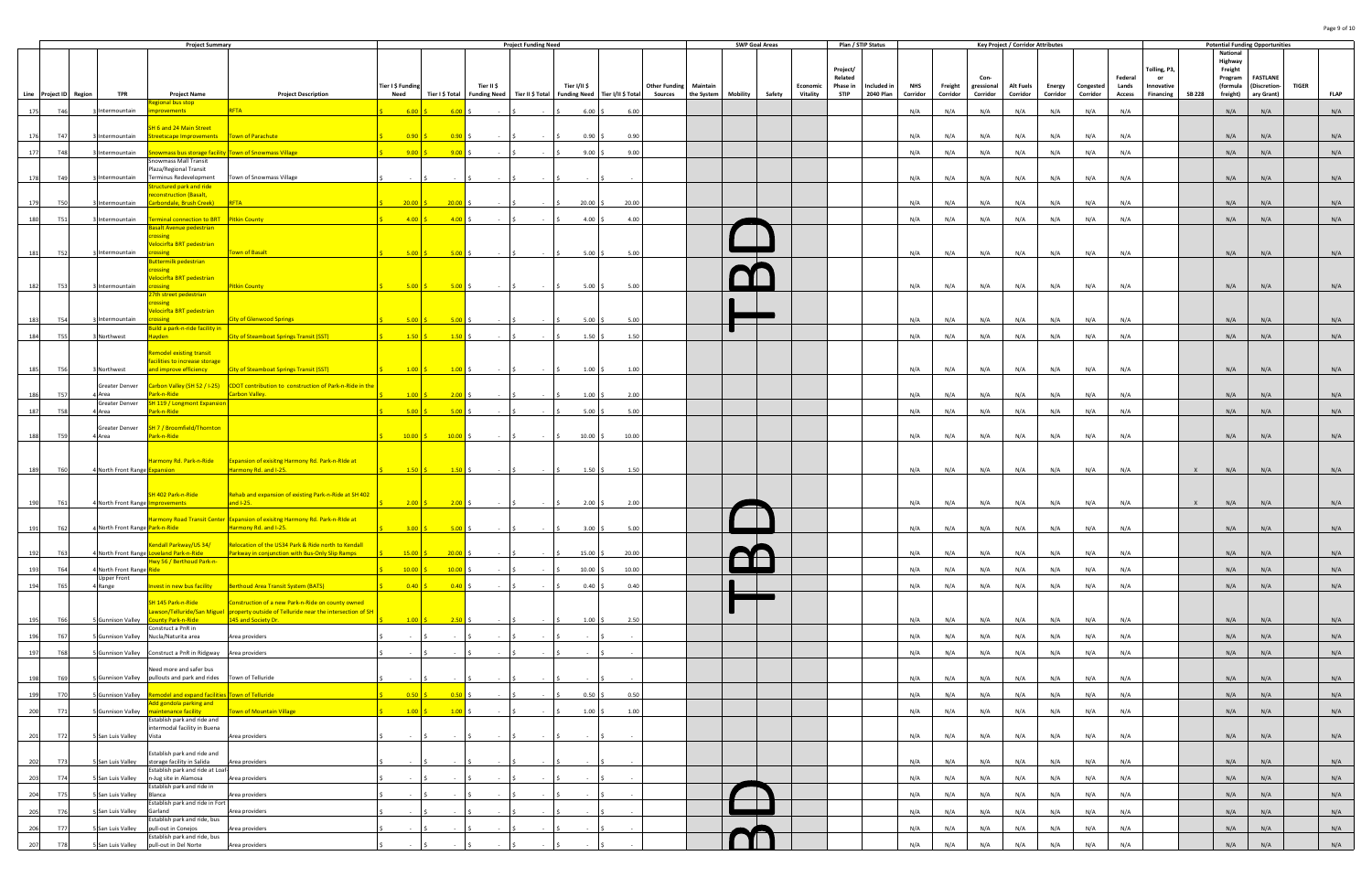|                        |     |                                     | <b>Project Summary</b>                                                         |                                                                                                        |                                             |             |                                               | <b>Project Funding Need</b>                                                           |              |                           |                               | <b>SWP Goal Areas</b> |                 | Plan / STIP Status  |             |          |          |                    | <b>Key Project / Corridor Attributes</b> |          |                  |                  |                  |               |                     | <b>Potential Funding Opportunities</b>          |             |
|------------------------|-----|-------------------------------------|--------------------------------------------------------------------------------|--------------------------------------------------------------------------------------------------------|---------------------------------------------|-------------|-----------------------------------------------|---------------------------------------------------------------------------------------|--------------|---------------------------|-------------------------------|-----------------------|-----------------|---------------------|-------------|----------|----------|--------------------|------------------------------------------|----------|------------------|------------------|------------------|---------------|---------------------|-------------------------------------------------|-------------|
|                        |     |                                     |                                                                                |                                                                                                        |                                             |             |                                               |                                                                                       |              |                           |                               |                       |                 |                     |             |          |          |                    |                                          |          |                  |                  |                  |               | National<br>Highway |                                                 |             |
|                        |     |                                     |                                                                                |                                                                                                        |                                             |             |                                               |                                                                                       |              |                           |                               |                       |                 | Project/            |             |          |          |                    |                                          |          |                  |                  | Tolling, P3,     |               | Freight             |                                                 |             |
|                        |     |                                     |                                                                                |                                                                                                        | Tier I \$ Funding                           |             | Tier II \$                                    |                                                                                       | Tier I/II \$ |                           | <b>Other Funding Maintain</b> |                       | Economic        | Related<br>Phase in | Included in | NHS      | Freight  | Con-<br>gressional | <b>Alt Fuels</b>                         |          | Energy Congested | Federal<br>Lands | or<br>Innovative |               | Program<br>(formula | <b>FASTLANE</b><br><b>TIGER</b><br>(Discretion- |             |
| Line Project ID Region |     | TPR                                 | <b>Project Name</b>                                                            | <b>Project Description</b>                                                                             | Need                                        |             |                                               | Tier I \$ Total   Funding Need   Tier II \$ Total   Funding Need   Tier I/II \$ Total |              |                           | Sources the System Mobility   |                       | Safety Vitality | <b>STIP</b>         | 2040 Plan   | Corridor | Corridor | Corridor           | Corridor                                 | Corridor | Corridor         | <b>Access</b>    | Financing        | <b>SB 228</b> | freight)            | ary Grant)                                      | <b>FLAP</b> |
| T46<br>175             |     | ntermountain                        | egional bus stop<br>rovements                                                  | <b>RFTA</b>                                                                                            | 6.00                                        | 6.00        |                                               |                                                                                       |              | 6.00<br>6.00%             |                               |                       |                 |                     |             | N/A      | N/A      | N/A                | N/A                                      | N/A      | N/A              | N/A              |                  |               | N/A                 | N/A                                             | N/A         |
|                        |     |                                     |                                                                                |                                                                                                        |                                             |             |                                               |                                                                                       |              |                           |                               |                       |                 |                     |             |          |          |                    |                                          |          |                  |                  |                  |               |                     |                                                 |             |
| <b>T47</b><br>176      |     | 'ntermountain                       | SH 6 and 24 Main Street<br>Streetscape Improvements   Town of Parachute        |                                                                                                        | 0.90                                        | 0.90        |                                               |                                                                                       |              | $0.90$ \$<br>0.90         |                               |                       |                 |                     |             | N/A      | N/A      | N/A                | N/A                                      | N/A      | N/A              | N/A              |                  |               | N/A                 | N/A                                             | N/A         |
| <b>T48</b>             |     | ntermountain                        |                                                                                |                                                                                                        | $9.00$ \$                                   | 9.00        |                                               |                                                                                       |              | $9.00$ \$<br>9.00         |                               |                       |                 |                     |             | N/A      | N/A      | N/A                | N/A                                      | N/A      | N/A              | N/A              |                  |               | N/A                 | N/A                                             | N/A         |
| 177                    |     |                                     | nowmass Mall Transit                                                           | nowmass bus storage facility Town of Snowmass Village                                                  |                                             |             |                                               |                                                                                       |              |                           |                               |                       |                 |                     |             |          |          |                    |                                          |          |                  |                  |                  |               |                     |                                                 |             |
| T4 <sup>°</sup>        |     | ntermountain                        | Plaza/Regional Transit<br>Terminus Redevelopment                               | Town of Snowmass Village                                                                               |                                             |             |                                               |                                                                                       |              |                           |                               |                       |                 |                     |             | N/A      | N/A      | N/A                | N/A                                      | N/A      | N/A              | N/A              |                  |               | N/A                 | N/A                                             | N/A         |
|                        |     |                                     | tructured park and ride                                                        |                                                                                                        |                                             |             |                                               |                                                                                       |              |                           |                               |                       |                 |                     |             |          |          |                    |                                          |          |                  |                  |                  |               |                     |                                                 |             |
| <b>T50</b><br>179      |     | ntermountain                        | econstruction (Basalt,<br>arbondale, Brush Creek)                              | <b>RFTA</b>                                                                                            | 20.00                                       | 20.00       |                                               |                                                                                       | $20.00$ \$   | 20.00                     |                               |                       |                 |                     |             | N/A      | N/A      | N/A                | N/A                                      | N/A      | N/A              | N/A              |                  |               | N/A                 | N/A                                             | N/A         |
|                        |     |                                     |                                                                                |                                                                                                        |                                             |             |                                               |                                                                                       |              |                           |                               |                       |                 |                     |             |          |          |                    |                                          |          |                  |                  |                  |               |                     |                                                 |             |
| <b>T51</b><br>180      |     | ntermountain                        | erminal connection to BRT Pitkin County<br>asalt Avenue pedestrian             |                                                                                                        | 4.00                                        | $-4.00$     |                                               |                                                                                       |              | $4.00\,$ \$<br>4.00       |                               |                       |                 |                     |             | N/A      | N/A      | N/A                | N/A                                      | N/A      | N/A              | N/A              |                  |               | N/A                 | N/A                                             | N/A         |
|                        |     |                                     | <b>ossing</b>                                                                  |                                                                                                        |                                             |             |                                               |                                                                                       |              |                           |                               |                       |                 |                     |             |          |          |                    |                                          |          |                  |                  |                  |               |                     |                                                 |             |
| <b>T52</b><br>181      |     | ntermountain                        | elocirfta BRT pedestrian                                                       | own of Basalt                                                                                          | 5.00                                        | 5.00        |                                               |                                                                                       |              | 5.00<br>$5.00$ \$         |                               |                       |                 |                     |             | N/A      | N/A      | N/A                | N/A                                      | N/A      | N/A              | N/A              |                  |               | N/A                 | N/A                                             | N/A         |
|                        |     |                                     | uttermilk pedestrian                                                           |                                                                                                        |                                             |             |                                               |                                                                                       |              |                           |                               |                       |                 |                     |             |          |          |                    |                                          |          |                  |                  |                  |               |                     |                                                 |             |
|                        |     |                                     | ossing<br>elocirfta BRT pedestrian                                             |                                                                                                        |                                             |             |                                               |                                                                                       |              |                           |                               |                       |                 |                     |             |          |          |                    |                                          |          |                  |                  |                  |               |                     |                                                 |             |
| <b>T53</b><br>182      |     | ntermountain                        | pssing                                                                         | <b>Pitkin County</b>                                                                                   | 5.00                                        | 5.00        |                                               |                                                                                       |              | $5.00\%$<br>5.00          |                               |                       |                 |                     |             | N/A      | N/A      | N/A                | N/A                                      | N/A      | N/A              | N/A              |                  |               | N/A                 | N/A                                             | N/A         |
|                        |     |                                     | th street pedestrian<br>pssing                                                 |                                                                                                        |                                             |             |                                               |                                                                                       |              |                           |                               |                       |                 |                     |             |          |          |                    |                                          |          |                  |                  |                  |               |                     |                                                 |             |
| <b>T54</b><br>183      |     | ntermountain                        | elocirfta BRT pedestrian<br><b>issing</b>                                      | <b>City of Glenwood Springs</b>                                                                        | 5.00                                        | 5.00        |                                               |                                                                                       |              | 5.00<br>$5.00$ \$         |                               |                       |                 |                     |             | N/A      | N/A      | N/A                | N/A                                      | N/A      | N/A              | N/A              |                  |               | N/A                 | N/A                                             | N/A         |
|                        |     |                                     | uild a park-n-ride facility in                                                 |                                                                                                        |                                             |             |                                               |                                                                                       |              |                           |                               |                       |                 |                     |             |          |          |                    |                                          |          |                  |                  |                  |               |                     |                                                 |             |
| 184<br><b>T55</b>      |     | Northwest                           | Hayden                                                                         | City of Steamboat Springs Transit (SST)                                                                | 1.50S                                       | $-1.50$     |                                               |                                                                                       |              | 1.50%<br>1.50             |                               |                       |                 |                     |             | N/A      | N/A      | N/A                | N/A                                      | N/A      | N/A              | N/A              |                  |               | N/A                 | N/A                                             | N/A         |
|                        |     |                                     | temodel existing transit                                                       |                                                                                                        |                                             |             |                                               |                                                                                       |              |                           |                               |                       |                 |                     |             |          |          |                    |                                          |          |                  |                  |                  |               |                     |                                                 |             |
| <b>T56</b><br>185      |     | 3 Northwest                         | facilities to increase storage<br>and improve efficiency                       | <b>City of Steamboat Springs Transit (SST)</b>                                                         |                                             |             | <b>Contract Contract</b>                      |                                                                                       |              | $1.00$ \$<br>1.00         |                               |                       |                 |                     |             | N/A      | N/A      | N/A                | N/A                                      | N/A      | N/A              | N/A              |                  |               | N/A                 | N/A                                             | N/A         |
|                        |     |                                     |                                                                                |                                                                                                        |                                             |             |                                               |                                                                                       |              |                           |                               |                       |                 |                     |             |          |          |                    |                                          |          |                  |                  |                  |               |                     |                                                 |             |
| T5                     |     | Greater Denver<br>Area              | ark-n-Ride                                                                     | Carbon Valley (SH 52 / I-25) CDOT contribution to construction of Park-n-Ride in the<br>Carbon Valley. | 1.00                                        | 2.00        |                                               |                                                                                       |              | 2.00<br>1.00              |                               |                       |                 |                     |             | N/A      | N/A      | N/A                | N/A                                      | N/A      | N/A              | N/A              |                  |               | N/A                 | N/A                                             | N/A         |
|                        |     | Greater Denver                      | <b>SH 119 / Longmont Expansion</b>                                             |                                                                                                        |                                             |             |                                               |                                                                                       |              |                           |                               |                       |                 |                     |             |          |          |                    |                                          |          |                  |                  |                  |               |                     |                                                 |             |
| <b>T58</b><br>187      |     | 4 Area                              | ark-n-Ride                                                                     |                                                                                                        | 5.00                                        | $5.00$ \$   | $\sim 100$                                    |                                                                                       |              | 5.00<br>$5.00$ \$         |                               |                       |                 |                     |             | N/A      | N/A      | N/A                | N/A                                      | N/A      | N/A              | N/A              |                  |               | N/A                 | N/A                                             | N/A         |
|                        |     | <b>Greater Denver</b>               | SH 7 / Broomfield/Thornton                                                     |                                                                                                        |                                             |             |                                               |                                                                                       |              |                           |                               |                       |                 |                     |             |          |          |                    |                                          |          |                  |                  |                  |               |                     |                                                 |             |
| 188<br>T59             |     | 4 Area                              | Park-n-Ride                                                                    |                                                                                                        | $10.00 \tbinom{1}{5}$ $10.00 \tbinom{5}{1}$ |             |                                               |                                                                                       |              | $10.00$ \$<br>10.00       |                               |                       |                 |                     |             | N/A      | N/A      | N/A                | N/A                                      | N/A      | N/A              | N/A              |                  |               | N/A                 | N/A                                             | N/A         |
|                        |     |                                     | larmony Rd. Park-n-Ride                                                        | Expansion of exisitng Harmony Rd. Park-n-Ride at                                                       |                                             |             |                                               |                                                                                       |              |                           |                               |                       |                 |                     |             |          |          |                    |                                          |          |                  |                  |                  |               |                     |                                                 |             |
| <b>T60</b><br>189      |     | 4 North Front Range Expansion       |                                                                                | Harmony Rd. and I-25.                                                                                  |                                             |             | $1.50 \, \text{S}$ $1.50 \, \text{S}$ $\cdot$ | S.<br>$\sim$ $-$                                                                      |              | $1.50\frac{1}{2}$<br>1.50 |                               |                       |                 |                     |             | N/A      | N/A      | N/A                | N/A                                      | N/A      | N/A              | N/A              |                  | $\mathbf{x}$  | N/A                 | N/A                                             | N/A         |
|                        |     |                                     |                                                                                |                                                                                                        |                                             |             |                                               |                                                                                       |              |                           |                               |                       |                 |                     |             |          |          |                    |                                          |          |                  |                  |                  |               |                     |                                                 |             |
|                        |     |                                     | SH 402 Park-n-Ride                                                             | Rehab and expansion of existing Park-n-Ride at SH 402                                                  |                                             |             |                                               |                                                                                       |              |                           |                               |                       |                 |                     |             |          |          |                    |                                          |          |                  |                  |                  |               |                     |                                                 |             |
| T61<br>190             |     | 4 North Front Range Improvements    |                                                                                | and I-25. $-$                                                                                          |                                             |             | <b>Contract Contract</b>                      |                                                                                       |              | $2.00\,$ \$<br>2.00       |                               |                       |                 |                     |             | N/A      | N/A      | N/A                | N/A                                      | N/A      | N/A              | N/A              |                  | $\mathbf{x}$  | N/A                 | N/A                                             | N/A         |
|                        |     |                                     |                                                                                | larmony Road Transit Center Expansion of exisitng Harmony Rd. Park-n-Ride at                           |                                             |             |                                               |                                                                                       |              |                           |                               |                       |                 |                     |             |          |          |                    |                                          |          |                  |                  |                  |               |                     |                                                 |             |
| T62<br>191             |     | 4 North Front Range Park-n-Ride     |                                                                                | Harmony Rd. and I-25.                                                                                  | 3.00                                        | 5.00        |                                               |                                                                                       | 3.00         | 5.00                      |                               |                       |                 |                     |             | N/A      | N/A      | N/A                | N/A                                      | N/A      | N/A              | N/A              |                  |               | N/A                 | N/A                                             | N/A         |
|                        |     |                                     | Kendall Parkway/US 34/                                                         | Relocation of the US34 Park & Ride north to Kendall                                                    |                                             |             |                                               |                                                                                       |              |                           |                               |                       |                 |                     |             |          |          |                    |                                          |          |                  |                  |                  |               |                     |                                                 |             |
| 192<br>T63             |     |                                     | 4 North Front Range Loveland Park-n-Ride<br>Hwy 56 / Berthoud Park-n-          | Parkway in conjunction with Bus-Only Slip Ramps                                                        | $15.00$ \$                                  | $20.00$ \$  |                                               |                                                                                       |              | 20.00<br>$15.00$ \$       |                               |                       |                 |                     |             | N/A      | N/A      | N/A                | N/A                                      | N/A      | N/A              | N/A              |                  |               | N/A                 | N/A                                             | N/A         |
| <b>T64</b><br>193      |     | 4 North Front Range Ride            |                                                                                |                                                                                                        | $10.00$ \$                                  | $10.00$ \$  |                                               |                                                                                       |              | $10.00$ \$<br>10.00       |                               |                       |                 |                     |             | N/A      | N/A      | N/A                | N/A                                      | N/A      | N/A              | N/A              |                  |               | N/A                 | N/A                                             | N/A         |
| 194<br><b>T65</b>      |     | <b>Upper Front</b><br>4 Range       | Invest in new bus facility                                                     | Berthoud Area Transit System (BATS)                                                                    | $0.40$ \$                                   | $0.40\zeta$ | $\sim$ $-$                                    |                                                                                       |              | $0.40 \,$ \$<br>0.40      |                               |                       |                 |                     |             | N/A      | N/A      | N/A                | N/A                                      | N/A      | N/A              | N/A              |                  |               | N/A                 | N/A                                             | N/A         |
|                        |     |                                     | SH 145 Park-n-Ride                                                             | Construction of a new Park-n-Ride on county owned                                                      |                                             |             |                                               |                                                                                       |              |                           |                               |                       |                 |                     |             |          |          |                    |                                          |          |                  |                  |                  |               |                     |                                                 |             |
|                        |     |                                     |                                                                                | Lawson/Telluride/San Miguel property outside of Telluride near the intersection of SH                  |                                             |             |                                               |                                                                                       |              |                           |                               |                       |                 |                     |             |          |          |                    |                                          |          |                  |                  |                  |               |                     |                                                 |             |
| 195<br>T66             |     | Gunnison Valley                     | ounty Park-n-Ride<br>Construct a PnR in                                        | 145 and Society Dr.                                                                                    |                                             |             | $\sim$ 100 $\mu$                              |                                                                                       |              | $1.00 \div$<br>2.50       |                               |                       |                 |                     |             | N/A      | N/A      | N/A                | N/A                                      | N/A      | N/A              | N/A              |                  |               | N/A                 | N/A                                             | N/A         |
| 196<br>T67             |     |                                     | Gunnison Valley Nucla/Naturita area                                            | Area providers                                                                                         |                                             |             |                                               |                                                                                       |              |                           |                               |                       |                 |                     |             | N/A      | N/A      | N/A                | N/A                                      | N/A      | N/A              | N/A              |                  |               | N/A                 | N/A                                             | N/A         |
| 197<br><b>T68</b>      |     |                                     | 5 Gunnison Valley Construct a PnR in Ridgway Area providers                    |                                                                                                        |                                             |             |                                               |                                                                                       |              |                           |                               |                       |                 |                     |             | N/A      | N/A      | N/A                | N/A                                      | N/A      | N/A              | N/A              |                  |               | N/A                 | N/A                                             | N/A         |
|                        |     |                                     | Need more and safer bus                                                        |                                                                                                        |                                             |             |                                               |                                                                                       |              |                           |                               |                       |                 |                     |             |          |          |                    |                                          |          |                  |                  |                  |               |                     |                                                 |             |
| T69<br>198             |     |                                     | 5 Gunnison Valley pullouts and park and rides Town of Telluride                |                                                                                                        |                                             |             |                                               |                                                                                       |              |                           |                               |                       |                 |                     |             | N/A      | N/A      | N/A                | N/A                                      | N/A      | N/A              | N/A              |                  |               | N/A                 | N/A                                             | N/A         |
| <b>T70</b><br>199      |     |                                     | 5 Gunnison Valley Remodel and expand facilities Town of Telluride              |                                                                                                        | $0.50$ \$                                   | $0.50$ \$   |                                               |                                                                                       |              | $0.50$ \$<br>0.50         |                               |                       |                 |                     |             | N/A      | N/A      | N/A                | N/A                                      | N/A      | N/A              | N/A              |                  |               | N/A                 | N/A                                             | N/A         |
|                        |     |                                     | dd gondola parking and                                                         |                                                                                                        |                                             |             |                                               |                                                                                       |              |                           |                               |                       |                 |                     |             |          |          |                    |                                          |          |                  |                  |                  |               |                     |                                                 |             |
| 200<br>T71             |     |                                     | Gunnison Valley <b>maintenance facility</b><br>Establish park and ride and     | <b>Town of Mountain Village</b>                                                                        | $1.00 \,$ \$                                | $1.00$ \$   |                                               |                                                                                       |              | $1.00 \,$ \$<br>1.00      |                               |                       |                 |                     |             | N/A      | N/A      | N/A                | N/A                                      | N/A      | N/A              | N/A              |                  |               | N/A                 | N/A                                             | N/A         |
|                        |     |                                     | intermodal facility in Buena                                                   |                                                                                                        |                                             |             |                                               |                                                                                       |              |                           |                               |                       |                 |                     |             |          |          |                    |                                          |          |                  |                  |                  |               |                     |                                                 |             |
| 201                    | T72 | 5 San Luis Valley Vista             |                                                                                | Area providers                                                                                         |                                             |             |                                               |                                                                                       |              |                           |                               |                       |                 |                     |             | N/A      | N/A      | N/A                | N/A                                      | N/A      | N/A              | N/A              |                  |               | N/A                 | N/A                                             | N/A         |
|                        |     |                                     | Establish park and ride and                                                    |                                                                                                        |                                             |             |                                               |                                                                                       |              |                           |                               |                       |                 |                     |             |          |          |                    |                                          |          |                  |                  |                  |               |                     |                                                 |             |
| 202<br>T73             |     |                                     | San Luis Valley storage facility in Salida<br>Establish park and ride at Loaf- | Area providers                                                                                         |                                             |             |                                               |                                                                                       |              |                           |                               |                       |                 |                     |             | N/A      | N/A      | N/A                | N/A                                      | N/A      | N/A              | N/A              |                  |               | N/A                 | N/A                                             | N/A         |
| 203<br>T74             |     |                                     | San Luis Valley n-Jug site in Alamosa<br>Establish park and ride in            | Area providers                                                                                         |                                             |             |                                               |                                                                                       |              |                           |                               |                       |                 |                     |             | N/A      | N/A      | N/A                | N/A                                      | N/A      | N/A              | N/A              |                  |               | N/A                 | N/A                                             | N/A         |
| 204<br>T75             |     | San Luis Valley Blanca              |                                                                                | Area providers                                                                                         |                                             |             |                                               |                                                                                       |              |                           |                               |                       |                 |                     |             | N/A      | N/A      | N/A                | N/A                                      | N/A      | N/A              | N/A              |                  |               | N/A                 | N/A                                             | N/A         |
| 205<br>T76             |     | San Luis Valley                     | Establish park and ride in Fort<br>Garland                                     | Area providers                                                                                         |                                             |             |                                               |                                                                                       |              |                           |                               |                       |                 |                     |             | N/A      | N/A      | N/A                | N/A                                      | N/A      | N/A              | N/A              |                  |               | N/A                 | N/A                                             | N/A         |
|                        |     |                                     | Establish park and ride, bus                                                   |                                                                                                        |                                             |             |                                               |                                                                                       |              |                           |                               |                       |                 |                     |             |          |          |                    |                                          |          |                  |                  |                  |               |                     |                                                 |             |
| 206<br><b>T77</b>      |     | San Luis Valley pull-out in Conejos | Establish park and ride, bus                                                   | Area providers                                                                                         |                                             |             |                                               |                                                                                       |              |                           |                               |                       |                 |                     |             | N/A      | N/A      | N/A                | N/A                                      | N/A      | N/A              | N/A              |                  |               | N/A                 | N/A                                             | N/A         |
| 207<br><b>T78</b>      |     |                                     | San Luis Valley pull-out in Del Norte                                          | Area providers                                                                                         |                                             |             |                                               |                                                                                       |              |                           |                               |                       |                 |                     |             | N/A      | N/A      | N/A                | N/A                                      | N/A      | N/A              | N/A              |                  |               | N/A                 | N/A                                             | N/A         |